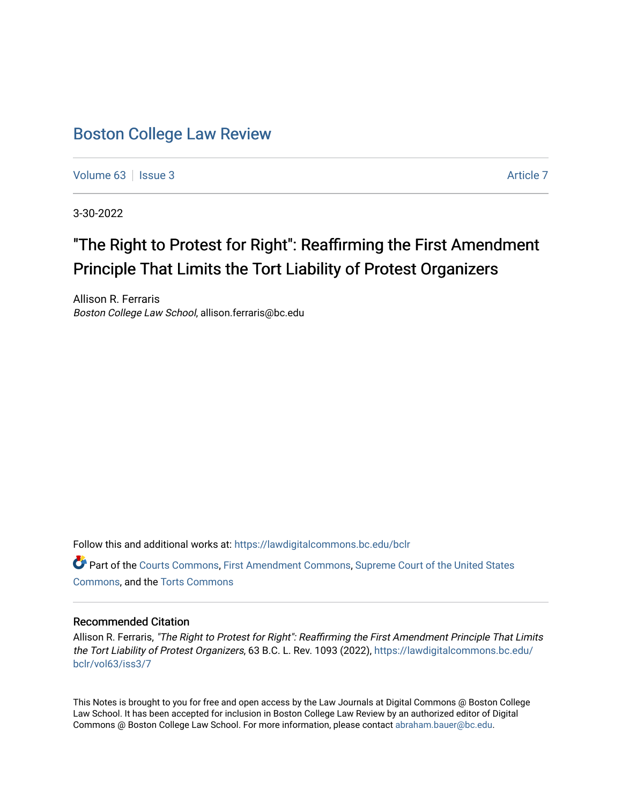## [Boston College Law Review](https://lawdigitalcommons.bc.edu/bclr)

[Volume 63](https://lawdigitalcommons.bc.edu/bclr/vol63) | [Issue 3](https://lawdigitalcommons.bc.edu/bclr/vol63/iss3) [Article 7](https://lawdigitalcommons.bc.edu/bclr/vol63/iss3/7) Article 7

3-30-2022

# "The Right to Protest for Right": Reaffirming the First Amendment Principle That Limits the Tort Liability of Protest Organizers

Allison R. Ferraris Boston College Law School, allison.ferraris@bc.edu

Follow this and additional works at: [https://lawdigitalcommons.bc.edu/bclr](https://lawdigitalcommons.bc.edu/bclr?utm_source=lawdigitalcommons.bc.edu%2Fbclr%2Fvol63%2Fiss3%2F7&utm_medium=PDF&utm_campaign=PDFCoverPages) 

Part of the [Courts Commons,](http://network.bepress.com/hgg/discipline/839?utm_source=lawdigitalcommons.bc.edu%2Fbclr%2Fvol63%2Fiss3%2F7&utm_medium=PDF&utm_campaign=PDFCoverPages) [First Amendment Commons](http://network.bepress.com/hgg/discipline/1115?utm_source=lawdigitalcommons.bc.edu%2Fbclr%2Fvol63%2Fiss3%2F7&utm_medium=PDF&utm_campaign=PDFCoverPages), [Supreme Court of the United States](http://network.bepress.com/hgg/discipline/1350?utm_source=lawdigitalcommons.bc.edu%2Fbclr%2Fvol63%2Fiss3%2F7&utm_medium=PDF&utm_campaign=PDFCoverPages)  [Commons](http://network.bepress.com/hgg/discipline/1350?utm_source=lawdigitalcommons.bc.edu%2Fbclr%2Fvol63%2Fiss3%2F7&utm_medium=PDF&utm_campaign=PDFCoverPages), and the [Torts Commons](http://network.bepress.com/hgg/discipline/913?utm_source=lawdigitalcommons.bc.edu%2Fbclr%2Fvol63%2Fiss3%2F7&utm_medium=PDF&utm_campaign=PDFCoverPages) 

#### Recommended Citation

Allison R. Ferraris, "The Right to Protest for Right": Reaffirming the First Amendment Principle That Limits the Tort Liability of Protest Organizers, 63 B.C. L. Rev. 1093 (2022), [https://lawdigitalcommons.bc.edu/](https://lawdigitalcommons.bc.edu/bclr/vol63/iss3/7?utm_source=lawdigitalcommons.bc.edu%2Fbclr%2Fvol63%2Fiss3%2F7&utm_medium=PDF&utm_campaign=PDFCoverPages) [bclr/vol63/iss3/7](https://lawdigitalcommons.bc.edu/bclr/vol63/iss3/7?utm_source=lawdigitalcommons.bc.edu%2Fbclr%2Fvol63%2Fiss3%2F7&utm_medium=PDF&utm_campaign=PDFCoverPages)

This Notes is brought to you for free and open access by the Law Journals at Digital Commons @ Boston College Law School. It has been accepted for inclusion in Boston College Law Review by an authorized editor of Digital Commons @ Boston College Law School. For more information, please contact [abraham.bauer@bc.edu.](mailto:abraham.bauer@bc.edu)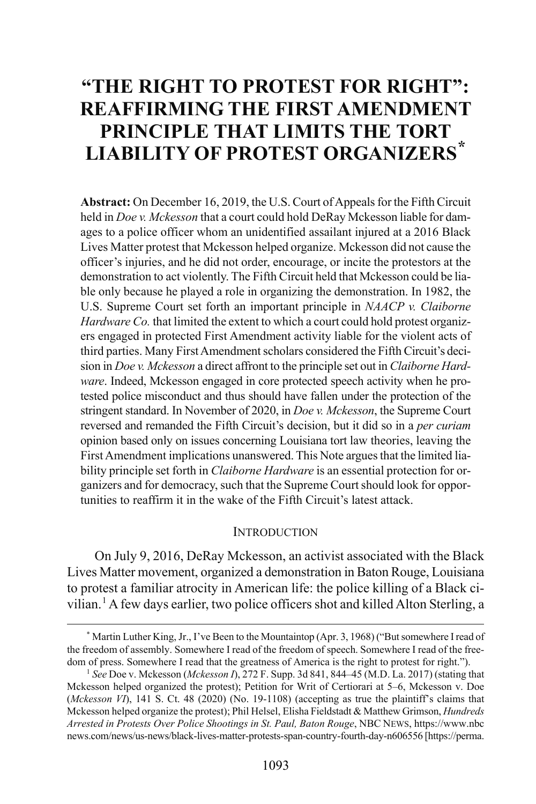## **"THE RIGHT TO PROTEST FOR RIGHT": REAFFIRMING THE FIRST AMENDMENT PRINCIPLE THAT LIMITS THE TORT LIABILITY OF PROTEST ORGANIZERS[\\*](#page-1-0)**

**Abstract:** On December 16, 2019, the U.S. Court of Appeals for the Fifth Circuit held in *Doe v. Mckesson* that a court could hold DeRay Mckesson liable for damages to a police officer whom an unidentified assailant injured at a 2016 Black Lives Matter protest that Mckesson helped organize. Mckesson did not cause the officer's injuries, and he did not order, encourage, or incite the protestors at the demonstration to act violently. The Fifth Circuit held that Mckesson could be liable only because he played a role in organizing the demonstration. In 1982, the U.S. Supreme Court set forth an important principle in *NAACP v. Claiborne Hardware Co.* that limited the extent to which a court could hold protest organizers engaged in protected First Amendment activity liable for the violent acts of third parties. Many First Amendment scholars considered the Fifth Circuit's decision in *Doe v. Mckesson* a direct affront to the principle set out in *Claiborne Hardware*. Indeed, Mckesson engaged in core protected speech activity when he protested police misconduct and thus should have fallen under the protection of the stringent standard. In November of 2020, in *Doe v. Mckesson*, the Supreme Court reversed and remanded the Fifth Circuit's decision, but it did so in a *per curiam* opinion based only on issues concerning Louisiana tort law theories, leaving the First Amendment implications unanswered. This Note argues that the limited liability principle set forth in *Claiborne Hardware* is an essential protection for organizers and for democracy, such that the Supreme Court should look for opportunities to reaffirm it in the wake of the Fifth Circuit's latest attack.

#### <span id="page-1-3"></span>**INTRODUCTION**

On July 9, 2016, DeRay Mckesson, an activist associated with the Black Lives Matter movement, organized a demonstration in Baton Rouge, Louisiana to protest a familiar atrocity in American life: the police killing of a Black ci-vilian.<sup>[1](#page-1-1)</sup> A few days earlier, two police officers shot and killed Alton Sterling, a

<span id="page-1-2"></span><span id="page-1-0"></span> <sup>\*</sup> Martin Luther King, Jr., I've Been to the Mountaintop (Apr. 3, 1968) ("But somewhere I read of the freedom of assembly. Somewhere I read of the freedom of speech. Somewhere I read of the freedom of press. Somewhere I read that the greatness of America is the right to protest for right.").

<span id="page-1-1"></span><sup>&</sup>lt;sup>1</sup> See Doe v. Mckesson (*Mckesson I*), 272 F. Supp. 3d 841, 844–45 (M.D. La. 2017) (stating that Mckesson helped organized the protest); Petition for Writ of Certiorari at 5–6, Mckesson v. Doe (*Mckesson VI*), 141 S. Ct. 48 (2020) (No. 19-1108) (accepting as true the plaintiff's claims that Mckesson helped organize the protest); Phil Helsel, Elisha Fieldstadt & Matthew Grimson, *Hundreds Arrested in Protests Over Police Shootings in St. Paul, Baton Rouge*, NBC NEWS, https://www.nbc news.com/news/us-news/black-lives-matter-protests-span-country-fourth-day-n606556 [https://perma.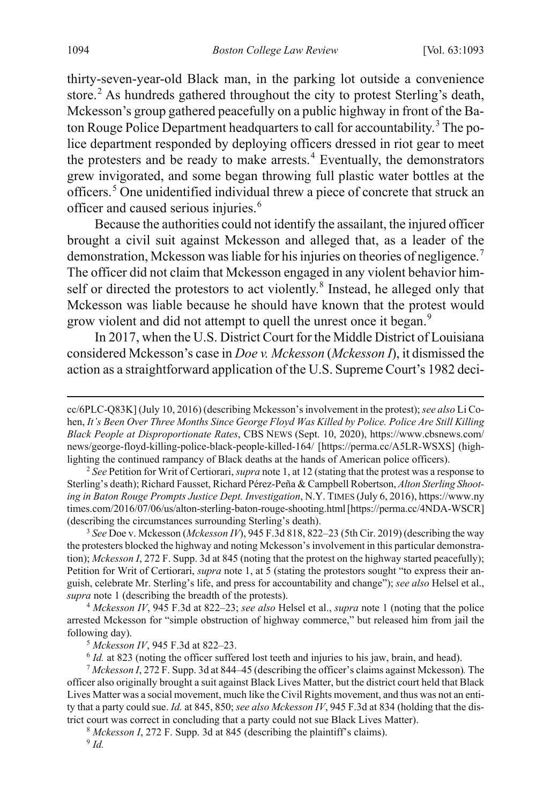thirty-seven-year-old Black man, in the parking lot outside a convenience store.<sup>[2](#page-2-0)</sup> As hundreds gathered throughout the city to protest Sterling's death, Mckesson's group gathered peacefully on a public highway in front of the Ba-ton Rouge Police Department headquarters to call for accountability.<sup>[3](#page-2-1)</sup> The police department responded by deploying officers dressed in riot gear to meet the protesters and be ready to make arrests. $4$  Eventually, the demonstrators grew invigorated, and some began throwing full plastic water bottles at the officers.[5](#page-2-3) One unidentified individual threw a piece of concrete that struck an officer and caused serious injuries.<sup>[6](#page-2-4)</sup>

Because the authorities could not identify the assailant, the injured officer brought a civil suit against Mckesson and alleged that, as a leader of the demonstration, Mckesson was liable for his injuries on theories of negligence.<sup>[7](#page-2-5)</sup> The officer did not claim that Mckesson engaged in any violent behavior him-self or directed the protestors to act violently.<sup>[8](#page-2-6)</sup> Instead, he alleged only that Mckesson was liable because he should have known that the protest would grow violent and did not attempt to quell the unrest once it began.<sup>[9](#page-2-7)</sup>

<span id="page-2-8"></span>In 2017, when the U.S. District Court for the Middle District of Louisiana considered Mckesson's case in *Doe v. Mckesson* (*Mckesson I*), it dismissed the action as a straightforward application of the U.S. Supreme Court's 1982 deci-

<span id="page-2-0"></span>2  *See* Petition for Writ of Certiorari, *supra* not[e 1,](#page-1-2) at 12 (stating that the protest was a response to Sterling's death); Richard Fausset, Richard Pérez-Peña & Campbell Robertson, *Alton Sterling Shooting in Baton Rouge Prompts Justice Dept. Investigation*, N.Y. TIMES (July 6, 2016), https://www.ny times.com/2016/07/06/us/alton-sterling-baton-rouge-shooting.html[https://perma.cc/4NDA-WSCR] (describing the circumstances surrounding Sterling's death).

<span id="page-2-1"></span>3  *See* Doe v. Mckesson (*Mckesson IV*), 945 F.3d 818, 822–23 (5th Cir. 2019) (describing the way the protesters blocked the highway and noting Mckesson's involvement in this particular demonstration); *Mckesson I*, 272 F. Supp. 3d at 845 (noting that the protest on the highway started peacefully); Petition for Writ of Certiorari, *supra* not[e 1,](#page-1-2) at 5 (stating the protestors sought "to express their anguish, celebrate Mr. Sterling's life, and press for accountability and change"); *see also* Helsel et al., *supra* not[e 1 \(](#page-1-3)describing the breadth of the protests).

<span id="page-2-2"></span><sup>4</sup> *Mckesson IV*, 945 F.3d at 822–23; *see also* Helsel et al., *supra* note [1](#page-1-3) (noting that the police arrested Mckesson for "simple obstruction of highway commerce," but released him from jail the following day).

<sup>5</sup> *Mckesson IV*, 945 F.3d at 822–23.<br><sup>6</sup> *Id.* at 823 (noting the officer suffered lost teeth and injuries to his jaw, brain, and head).

<span id="page-2-5"></span><span id="page-2-4"></span><span id="page-2-3"></span><sup>7</sup> *Mckesson I*, 272 F. Supp. 3d at 844–45 (describing the officer's claims against Mckesson)*.* The officer also originally brought a suit against Black Lives Matter, but the district court held that Black Lives Matter was a social movement, much like the Civil Rights movement, and thus was not an entity that a party could sue. *Id.* at 845, 850; *see also Mckesson IV*, 945 F.3d at 834 (holding that the district court was correct in concluding that a party could not sue Black Lives Matter).

<span id="page-2-7"></span><span id="page-2-6"></span><sup>8</sup> *Mckesson I*, 272 F. Supp. 3d at 845 (describing the plaintiff's claims).

cc/6PLC-Q83K] (July 10, 2016) (describing Mckesson's involvement in the protest); *see also* Li Cohen, *It's Been Over Three Months Since George Floyd Was Killed by Police. Police Are Still Killing Black People at Disproportionate Rates*, CBS NEWS (Sept. 10, 2020), https://www.cbsnews.com/ news/george-floyd-killing-police-black-people-killed-164/ [https://perma.cc/A5LR-WSXS] (highlighting the continued rampancy of Black deaths at the hands of American police officers).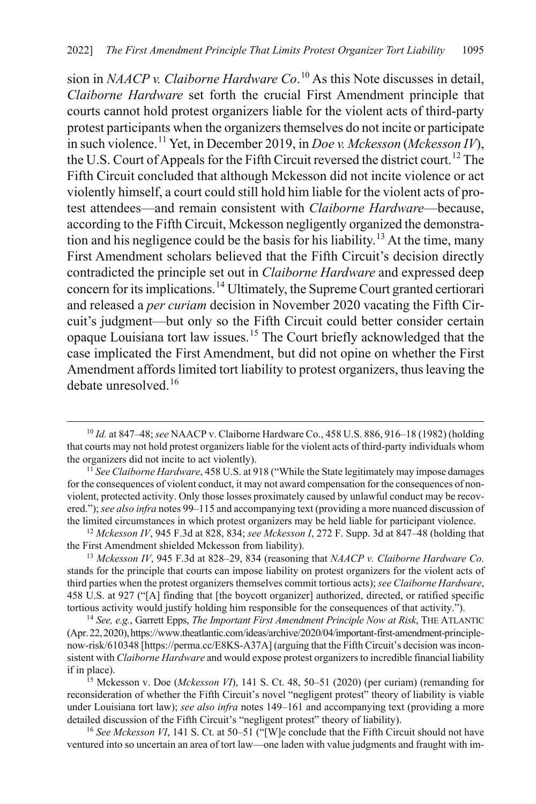sion in *NAACP v. Claiborne Hardware Co*. [10](#page-3-0) As this Note discusses in detail, *Claiborne Hardware* set forth the crucial First Amendment principle that courts cannot hold protest organizers liable for the violent acts of third-party protest participants when the organizers themselves do not incite or participate in such violence.[11](#page-3-1) Yet, in December 2019, in *Doe v. Mckesson* (*Mckesson IV*), the U.S. Court of Appeals for the Fifth Circuit reversed the district court.<sup>[12](#page-3-2)</sup> The Fifth Circuit concluded that although Mckesson did not incite violence or act violently himself, a court could still hold him liable for the violent acts of protest attendees—and remain consistent with *Claiborne Hardware*—because, according to the Fifth Circuit, Mckesson negligently organized the demonstra-tion and his negligence could be the basis for his liability.<sup>[13](#page-3-3)</sup> At the time, many First Amendment scholars believed that the Fifth Circuit's decision directly contradicted the principle set out in *Claiborne Hardware* and expressed deep concern for its implications.<sup>[14](#page-3-4)</sup> Ultimately, the Supreme Court granted certiorari and released a *per curiam* decision in November 2020 vacating the Fifth Circuit's judgment—but only so the Fifth Circuit could better consider certain opaque Louisiana tort law issues.[15](#page-3-5) The Court briefly acknowledged that the case implicated the First Amendment, but did not opine on whether the First Amendment affords limited tort liability to protest organizers, thus leaving the debate unresolved.[16](#page-3-6)

<span id="page-3-2"></span>the First Amendment shielded Mckesson from liability).

<span id="page-3-3"></span><sup>13</sup> *Mckesson IV*, 945 F.3d at 828–29, 834 (reasoning that *NAACP v. Claiborne Hardware Co.* stands for the principle that courts can impose liability on protest organizers for the violent acts of third parties when the protest organizers themselves commit tortious acts); *see Claiborne Hardware*, 458 U.S. at 927 ("[A] finding that [the boycott organizer] authorized, directed, or ratified specific tortious activity would justify holding him responsible for the consequences of that activity.").

<span id="page-3-4"></span><sup>14</sup> *See, e.g.*, Garrett Epps, *The Important First Amendment Principle Now at Risk*, THE ATLANTIC (Apr.22,2020),https://www.theatlantic.com/ideas/archive/2020/04/important-first-amendment-principlenow-risk/610348 [https://perma.cc/E8KS-A37A] (arguing that the Fifth Circuit's decision was inconsistent with *Claiborne Hardware* and would expose protest organizers to incredible financial liability if in place).

<span id="page-3-5"></span><sup>15</sup> Mckesson v. Doe (*Mckesson VI*), 141 S. Ct. 48, 50–51 (2020) (per curiam) (remanding for reconsideration of whether the Fifth Circuit's novel "negligent protest" theory of liability is viable under Louisiana tort law); *see also infra* note[s 149–](#page-27-0)[161](#page-29-0) and accompanying text (providing a more detailed discussion of the Fifth Circuit's "negligent protest" theory of liability).

<span id="page-3-6"></span><sup>16</sup> See Mckesson VI, 141 S. Ct. at 50–51 ("[W]e conclude that the Fifth Circuit should not have ventured into so uncertain an area of tort law—one laden with value judgments and fraught with im-

<span id="page-3-7"></span><span id="page-3-0"></span> <sup>10</sup> *Id.* at 847–48; *see* NAACP v. Claiborne Hardware Co., 458 U.S. 886, 916–18 (1982) (holding that courts may not hold protest organizers liable for the violent acts of third-party individuals whom the organizers did not incite to act violently).

<span id="page-3-1"></span><sup>11</sup> *See Claiborne Hardware*, 458 U.S. at 918 ("While the State legitimately may impose damages for the consequences of violent conduct, it may not award compensation for the consequences of nonviolent, protected activity. Only those losses proximately caused by unlawful conduct may be recovered."); *see also infra* note[s 99](#page-19-0)[–115](#page-21-0) and accompanying text (providing a more nuanced discussion of the limited circumstances in which protest organizers may be held liable for participant violence. 12 *Mckesson IV*, 945 F.3d at 828, 834; *see Mckesson I*, 272 F. Supp. 3d at 847–48 (holding that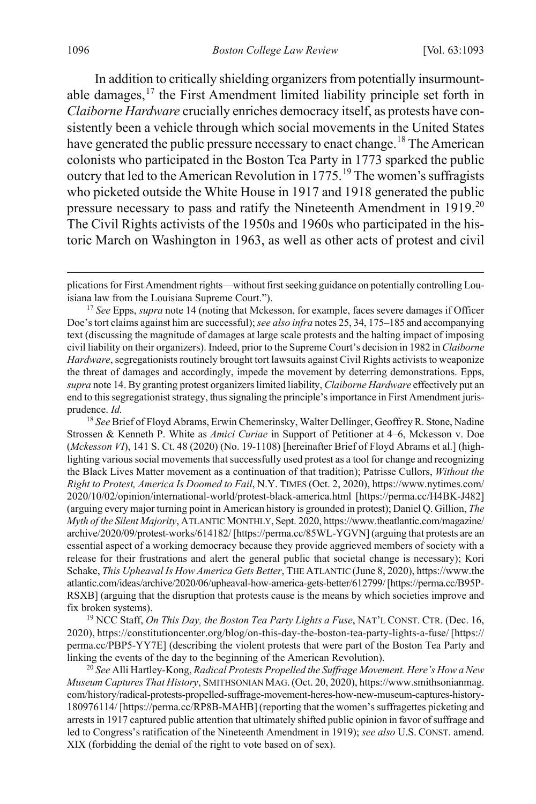<span id="page-4-4"></span>In addition to critically shielding organizers from potentially insurmountable damages, $17$  the First Amendment limited liability principle set forth in *Claiborne Hardware* crucially enriches democracy itself, as protests have consistently been a vehicle through which social movements in the United States have generated the public pressure necessary to enact change.<sup>[18](#page-4-1)</sup> The American colonists who participated in the Boston Tea Party in 1773 sparked the public outcry that led to the American Revolution in  $1775$ .<sup>[19](#page-4-2)</sup> The women's suffragists who picketed outside the White House in 1917 and 1918 generated the public pressure necessary to pass and ratify the Nineteenth Amendment in 1919.<sup>[20](#page-4-3)</sup> The Civil Rights activists of the 1950s and 1960s who participated in the historic March on Washington in 1963, as well as other acts of protest and civil

<span id="page-4-1"></span><sup>18</sup> *See* Brief of Floyd Abrams, Erwin Chemerinsky, Walter Dellinger, Geoffrey R. Stone, Nadine Strossen & Kenneth P. White as *Amici Curiae* in Support of Petitioner at 4–6, Mckesson v. Doe (*Mckesson VI*), 141 S. Ct. 48 (2020) (No. 19-1108) [hereinafter Brief of Floyd Abrams et al.] (highlighting various social movements that successfully used protest as a tool for change and recognizing the Black Lives Matter movement as a continuation of that tradition); Patrisse Cullors, *Without the Right to Protest, America Is Doomed to Fail*, N.Y. TIMES (Oct. 2, 2020), https://www.nytimes.com/ 2020/10/02/opinion/international-world/protest-black-america.html [https://perma.cc/H4BK-J482] (arguing every major turning point in American history is grounded in protest); Daniel Q. Gillion, *The Myth of the Silent Majority*, ATLANTIC MONTHLY, Sept. 2020, https://www.theatlantic.com/magazine/ archive/2020/09/protest-works/614182/ [https://perma.cc/85WL-YGVN] (arguing that protests are an essential aspect of a working democracy because they provide aggrieved members of society with a release for their frustrations and alert the general public that societal change is necessary); Kori Schake, *This Upheaval Is How America Gets Better*, THE ATLANTIC (June 8, 2020), https://www.the atlantic.com/ideas/archive/2020/06/upheaval-how-america-gets-better/612799/ [https://perma.cc/B95P-RSXB] (arguing that the disruption that protests cause is the means by which societies improve and fix broken systems).

<span id="page-4-2"></span><sup>19</sup> NCC Staff, *On This Day, the Boston Tea Party Lights a Fuse*, NAT'L CONST. CTR. (Dec. 16, 2020), https://constitutioncenter.org/blog/on-this-day-the-boston-tea-party-lights-a-fuse/ [https:// perma.cc/PBP5-YY7E] (describing the violent protests that were part of the Boston Tea Party and linking the events of the day to the beginning of the American Revolution).

<span id="page-4-3"></span><sup>20</sup> *See* Alli Hartley-Kong, *Radical Protests Propelled the Suffrage Movement. Here's How a New Museum Captures That History*, SMITHSONIAN MAG.(Oct. 20, 2020), https://www.smithsonianmag. com/history/radical-protests-propelled-suffrage-movement-heres-how-new-museum-captures-history-180976114/ [https://perma.cc/RP8B-MAHB] (reporting that the women's suffragettes picketing and arrests in 1917 captured public attention that ultimately shifted public opinion in favor of suffrage and led to Congress's ratification of the Nineteenth Amendment in 1919); *see also* U.S. CONST. amend. XIX (forbidding the denial of the right to vote based on of sex).

plications for First Amendment rights—without first seeking guidance on potentially controlling Louisiana law from the Louisiana Supreme Court.").

<span id="page-4-0"></span><sup>17</sup> *See* Epps, *supra* not[e 14](#page-3-7) (noting that Mckesson, for example, faces severe damages if Officer Doe's tort claims against him are successful); *see also infra* note[s 25](#page-5-0)[, 34,](#page-7-0) [175](#page-32-0)[–185](#page-33-0) and accompanying text (discussing the magnitude of damages at large scale protests and the halting impact of imposing civil liability on their organizers). Indeed, prior to the Supreme Court's decision in 1982 in *Claiborne Hardware*, segregationists routinely brought tort lawsuits against Civil Rights activists to weaponize the threat of damages and accordingly, impede the movement by deterring demonstrations. Epps, *supra* not[e 14.](#page-3-7) By granting protest organizers limited liability, *Claiborne Hardware* effectively put an end to this segregationist strategy, thus signaling the principle's importance in First Amendment jurisprudence. *Id.*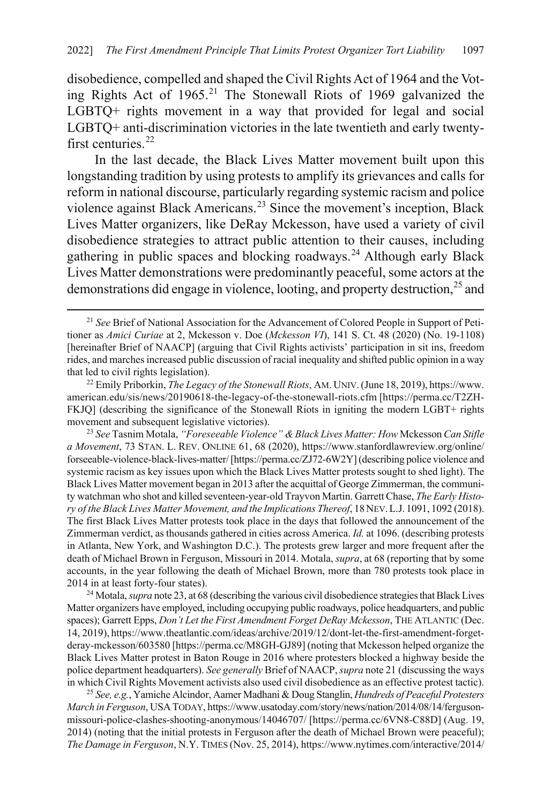<span id="page-5-2"></span>disobedience, compelled and shaped the Civil Rights Act of 1964 and the Voting Rights Act of 1965.[21](#page-5-3) The Stonewall Riots of 1969 galvanized the LGBTQ+ rights movement in a way that provided for legal and social LGBTQ+ anti-discrimination victories in the late twentieth and early twenty-first centuries.<sup>[22](#page-5-4)</sup>

<span id="page-5-8"></span><span id="page-5-1"></span>In the last decade, the Black Lives Matter movement built upon this longstanding tradition by using protests to amplify its grievances and calls for reform in national discourse, particularly regarding systemic racism and police violence against Black Americans.<sup>[23](#page-5-5)</sup> Since the movement's inception, Black Lives Matter organizers, like DeRay Mckesson, have used a variety of civil disobedience strategies to attract public attention to their causes, including gathering in public spaces and blocking roadways.<sup>[24](#page-5-6)</sup> Although early Black Lives Matter demonstrations were predominantly peaceful, some actors at the demonstrations did engage in violence, looting, and property destruction,  $^{25}$  $^{25}$  $^{25}$  and

<span id="page-5-5"></span><sup>23</sup> *See* Tasnim Motala, *"Foreseeable Violence" & Black Lives Matter: How* Mckesson *Can Stifle a Movement*, 73 STAN. L. REV. ONLINE 61, 68 (2020), https://www.stanfordlawreview.org/online/ forseeable-violence-black-lives-matter/ [https://perma.cc/ZJ72-6W2Y] (describing police violence and systemic racism as key issues upon which the Black Lives Matter protests sought to shed light). The Black Lives Matter movement began in 2013 after the acquittal of George Zimmerman, the community watchman who shot and killed seventeen-year-old Trayvon Martin. Garrett Chase, *The Early History of the Black Lives Matter Movement, and the Implications Thereof*, 18NEV.L.J. 1091, 1092 (2018). The first Black Lives Matter protests took place in the days that followed the announcement of the Zimmerman verdict, as thousands gathered in cities across America. *Id.* at 1096. (describing protests in Atlanta, New York, and Washington D.C.). The protests grew larger and more frequent after the death of Michael Brown in Ferguson, Missouri in 2014. Motala, *supra*, at 68 (reporting that by some accounts, in the year following the death of Michael Brown, more than 780 protests took place in 2014 in at least forty-four states).

<span id="page-5-6"></span><sup>24</sup> Motala, *supra* not[e 23,](#page-5-1) at 68 (describing the various civil disobedience strategies that Black Lives Matter organizers have employed, including occupying public roadways, police headquarters, and public spaces); Garrett Epps, *Don't Let the First Amendment Forget DeRay Mckesson*, THE ATLANTIC (Dec. 14, 2019), https://www.theatlantic.com/ideas/archive/2019/12/dont-let-the-first-amendment-forgetderay-mckesson/603580 [https://perma.cc/M8GH-GJ89] (noting that Mckesson helped organize the Black Lives Matter protest in Baton Rouge in 2016 where protesters blocked a highway beside the police department headquarters). *See generally* Brief of NAACP, *supra* not[e 21](#page-5-2) (discussing the ways in which Civil Rights Movement activists also used civil disobedience as an effective protest tactic).

<span id="page-5-7"></span><sup>25</sup> *See, e.g.*, Yamiche Alcindor, Aamer Madhani & Doug Stanglin, *Hundreds of Peaceful Protesters March in Ferguson*, USATODAY, https://www.usatoday.com/story/news/nation/2014/08/14/fergusonmissouri-police-clashes-shooting-anonymous/14046707/ [https://perma.cc/6VN8-C88D] (Aug. 19, 2014) (noting that the initial protests in Ferguson after the death of Michael Brown were peaceful); *The Damage in Ferguson*, N.Y. TIMES (Nov. 25, 2014), https://www.nytimes.com/interactive/2014/

<span id="page-5-3"></span><span id="page-5-0"></span> <sup>21</sup> *See* Brief of National Association for the Advancement of Colored People in Support of Petitioner as *Amici Curiae* at 2, Mckesson v. Doe (*Mckesson VI*), 141 S. Ct. 48 (2020) (No. 19-1108) [hereinafter Brief of NAACP] (arguing that Civil Rights activists' participation in sit ins, freedom rides, and marches increased public discussion of racial inequality and shifted public opinion in a way that led to civil rights legislation).

<span id="page-5-4"></span><sup>22</sup> Emily Priborkin, *The Legacy of the Stonewall Riots*, AM. UNIV.(June 18, 2019), https://www. american.edu/sis/news/20190618-the-legacy-of-the-stonewall-riots.cfm [https://perma.cc/T2ZH-FKJQ] (describing the significance of the Stonewall Riots in igniting the modern LGBT+ rights movement and subsequent legislative victories).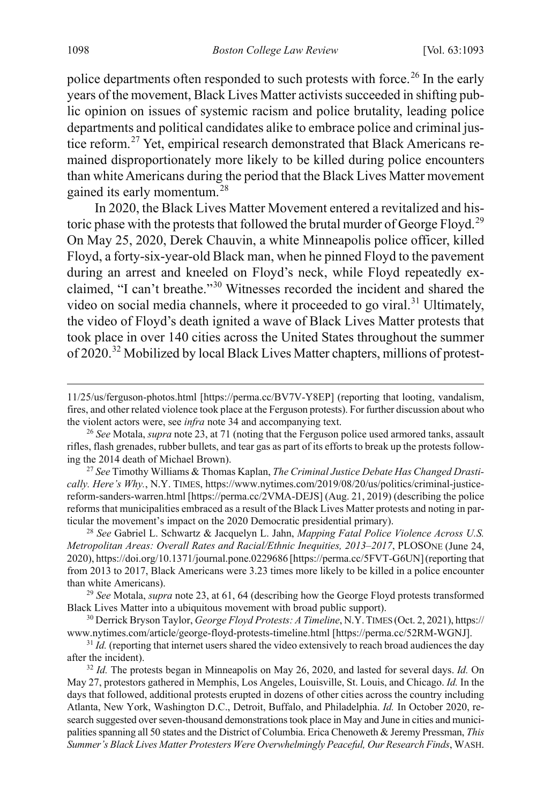police departments often responded to such protests with force.<sup>[26](#page-6-0)</sup> In the early years of the movement, Black Lives Matter activists succeeded in shifting public opinion on issues of systemic racism and police brutality, leading police departments and political candidates alike to embrace police and criminal jus-tice reform.<sup>[27](#page-6-1)</sup> Yet, empirical research demonstrated that Black Americans remained disproportionately more likely to be killed during police encounters than white Americans during the period that the Black Lives Matter movement gained its early momentum.[28](#page-6-2)

<span id="page-6-9"></span><span id="page-6-8"></span>In 2020, the Black Lives Matter Movement entered a revitalized and his-toric phase with the protests that followed the brutal murder of George Floyd.<sup>[29](#page-6-3)</sup> On May 25, 2020, Derek Chauvin, a white Minneapolis police officer, killed Floyd, a forty-six-year-old Black man, when he pinned Floyd to the pavement during an arrest and kneeled on Floyd's neck, while Floyd repeatedly exclaimed, "I can't breathe."[30](#page-6-4) Witnesses recorded the incident and shared the video on social media channels, where it proceeded to go viral.<sup>[31](#page-6-5)</sup> Ultimately, the video of Floyd's death ignited a wave of Black Lives Matter protests that took place in over 140 cities across the United States throughout the summer of 2020.[32](#page-6-6) Mobilized by local Black Lives Matter chapters, millions of protest-

<span id="page-6-7"></span><sup>11/25/</sup>us/ferguson-photos.html [https://perma.cc/BV7V-Y8EP] (reporting that looting, vandalism, fires, and other related violence took place at the Ferguson protests). For further discussion about who the violent actors were, see *infra* note [34](#page-7-0) and accompanying text.

<span id="page-6-0"></span><sup>26</sup> *See* Motala, *supra* note [23,](#page-5-1) at 71 (noting that the Ferguson police used armored tanks, assault rifles, flash grenades, rubber bullets, and tear gas as part of its efforts to break up the protests following the 2014 death of Michael Brown).

<span id="page-6-1"></span><sup>27</sup> *See* Timothy Williams & Thomas Kaplan, *The Criminal Justice Debate Has Changed Drastically. Here's Why.*, N.Y. TIMES, https://www.nytimes.com/2019/08/20/us/politics/criminal-justicereform-sanders-warren.html [https://perma.cc/2VMA-DEJS] (Aug. 21, 2019) (describing the police reforms that municipalities embraced as a result of the Black Lives Matter protests and noting in particular the movement's impact on the 2020 Democratic presidential primary).

<span id="page-6-2"></span><sup>28</sup> *See* Gabriel L. Schwartz & Jacquelyn L. Jahn, *Mapping Fatal Police Violence Across U.S. Metropolitan Areas: Overall Rates and Racial/Ethnic Inequities, 2013–2017*, PLOSONE (June 24, 2020), https://doi.org/10.1371/journal.pone.0229686 [https://perma.cc/5FVT-G6UN](reporting that from 2013 to 2017, Black Americans were 3.23 times more likely to be killed in a police encounter than white Americans).

<span id="page-6-3"></span><sup>29</sup> *See* Motala, *supra* note [23,](#page-5-1) at 61, 64 (describing how the George Floyd protests transformed Black Lives Matter into a ubiquitous movement with broad public support).

<span id="page-6-4"></span><sup>30</sup> Derrick Bryson Taylor, *George Floyd Protests: A Timeline*, N.Y.TIMES (Oct. 2, 2021), https:// www.nytimes.com/article/george-floyd-protests-timeline.html [https://perma.cc/52RM-WGNJ].

<span id="page-6-5"></span><sup>&</sup>lt;sup>31</sup> *Id.* (reporting that internet users shared the video extensively to reach broad audiences the day after the incident).

<span id="page-6-6"></span><sup>32</sup> *Id.* The protests began in Minneapolis on May 26, 2020, and lasted for several days. *Id.* On May 27, protestors gathered in Memphis, Los Angeles, Louisville, St. Louis, and Chicago. *Id.* In the days that followed, additional protests erupted in dozens of other cities across the country including Atlanta, New York, Washington D.C., Detroit, Buffalo, and Philadelphia. *Id.* In October 2020, research suggested over seven-thousand demonstrations took place in May and June in cities and municipalities spanning all 50 states and the District of Columbia. Erica Chenoweth & Jeremy Pressman, *This Summer's Black Lives Matter Protesters Were Overwhelmingly Peaceful, Our Research Finds*, WASH.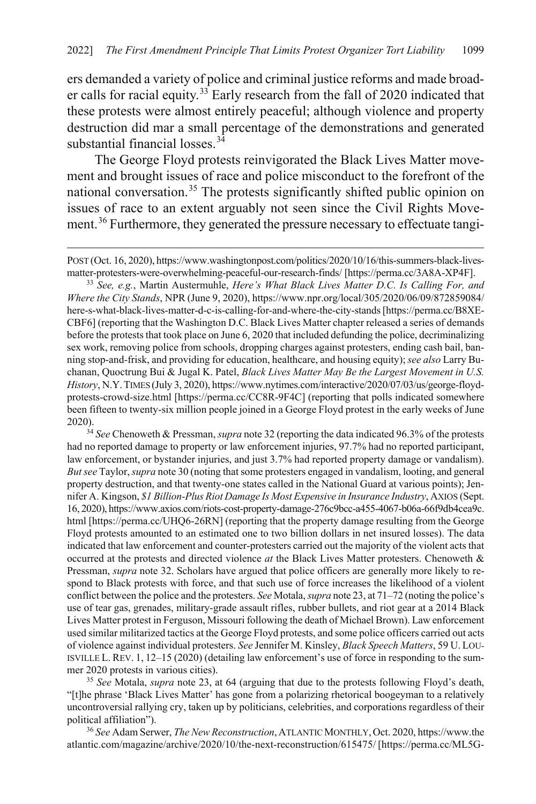<span id="page-7-5"></span>ers demanded a variety of police and criminal justice reforms and made broad-er calls for racial equity.<sup>[33](#page-7-1)</sup> Early research from the fall of 2020 indicated that these protests were almost entirely peaceful; although violence and property destruction did mar a small percentage of the demonstrations and generated substantial financial losses.<sup>[34](#page-7-2)</sup>

<span id="page-7-6"></span><span id="page-7-0"></span>The George Floyd protests reinvigorated the Black Lives Matter movement and brought issues of race and police misconduct to the forefront of the national conversation.[35](#page-7-3) The protests significantly shifted public opinion on issues of race to an extent arguably not seen since the Civil Rights Move-ment.<sup>[36](#page-7-4)</sup> Furthermore, they generated the pressure necessary to effectuate tangi-

 $\overline{a}$ 

<span id="page-7-1"></span>matter-protesters-were-overwhelming-peaceful-our-research-finds/ [https://perma.cc/3A8A-XP4F]. 33 *See, e.g.*, Martin Austermuhle, *Here's What Black Lives Matter D.C. Is Calling For, and Where the City Stands*, NPR (June 9, 2020), https://www.npr.org/local/305/2020/06/09/872859084/ here-s-what-black-lives-matter-d-c-is-calling-for-and-where-the-city-stands [https://perma.cc/B8XE-CBF6] (reporting that the Washington D.C. Black Lives Matter chapter released a series of demands before the protests that took place on June 6, 2020 that included defunding the police, decriminalizing sex work, removing police from schools, dropping charges against protesters, ending cash bail, banning stop-and-frisk, and providing for education, healthcare, and housing equity); *see also* Larry Buchanan, Quoctrung Bui & Jugal K. Patel, *Black Lives Matter May Be the Largest Movement in U.S. History*, N.Y.TIMES (July 3, 2020), https://www.nytimes.com/interactive/2020/07/03/us/george-floydprotests-crowd-size.html [https://perma.cc/CC8R-9F4C] (reporting that polls indicated somewhere been fifteen to twenty-six million people joined in a George Floyd protest in the early weeks of June 2020). 34 *See* Chenoweth & Pressman, *supra* not[e 32](#page-6-7) (reporting the data indicated 96.3% of the protests

<span id="page-7-2"></span>had no reported damage to property or law enforcement injuries, 97.7% had no reported participant, law enforcement, or bystander injuries, and just 3.7% had reported property damage or vandalism). *But see* Taylor, *supra* not[e 30](#page-6-8) (noting that some protesters engaged in vandalism, looting, and general property destruction, and that twenty-one states called in the National Guard at various points); Jennifer A. Kingson, *\$1 Billion-Plus Riot Damage Is Most Expensive in Insurance Industry*, AXIOS (Sept. 16, 2020), https://www.axios.com/riots-cost-property-damage-276c9bcc-a455-4067-b06a-66f9db4cea9c. html [https://perma.cc/UHQ6-26RN] (reporting that the property damage resulting from the George Floyd protests amounted to an estimated one to two billion dollars in net insured losses). The data indicated that law enforcement and counter-protesters carried out the majority of the violent acts that occurred at the protests and directed violence *at* the Black Lives Matter protesters. Chenoweth & Pressman, *supra* not[e 32.](#page-6-7) Scholars have argued that police officers are generally more likely to respond to Black protests with force, and that such use of force increases the likelihood of a violent conflict between the police and the protesters. *See* Motala, *supra* not[e 23,](#page-5-1) at 71–72 (noting the police's use of tear gas, grenades, military-grade assault rifles, rubber bullets, and riot gear at a 2014 Black Lives Matter protest in Ferguson, Missouri following the death of Michael Brown). Law enforcement used similar militarized tactics at the George Floyd protests, and some police officers carried out acts of violence against individual protesters. *See* Jennifer M. Kinsley, *Black Speech Matters*, 59 U. LOU-ISVILLE L. REV. 1, 12–15 (2020) (detailing law enforcement's use of force in responding to the summer 2020 protests in various cities).

<span id="page-7-3"></span><sup>35</sup> *See* Motala, *supra* note [23,](#page-5-1) at 64 (arguing that due to the protests following Floyd's death, "[t]he phrase 'Black Lives Matter' has gone from a polarizing rhetorical boogeyman to a relatively uncontroversial rallying cry, taken up by politicians, celebrities, and corporations regardless of their political affiliation").

<span id="page-7-4"></span><sup>36</sup> *See* Adam Serwer, *The New Reconstruction*,ATLANTIC MONTHLY,Oct. 2020, https://www.the atlantic.com/magazine/archive/2020/10/the-next-reconstruction/615475/ [https://perma.cc/ML5G-

POST (Oct. 16, 2020), https://www.washingtonpost.com/politics/2020/10/16/this-summers-black-lives-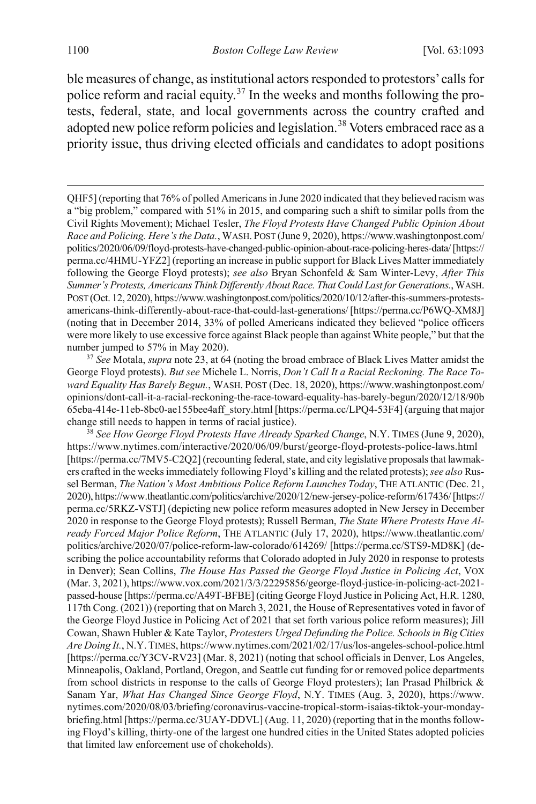<span id="page-8-3"></span><span id="page-8-2"></span>ble measures of change, as institutional actors responded to protestors' calls for police reform and racial equity.<sup>[37](#page-8-0)</sup> In the weeks and months following the protests, federal, state, and local governments across the country crafted and adopted new police reform policies and legislation.<sup>[38](#page-8-1)</sup> Voters embraced race as a priority issue, thus driving elected officials and candidates to adopt positions

<span id="page-8-0"></span><sup>37</sup> *See* Motala, *supra* not[e 23,](#page-5-1) at 64 (noting the broad embrace of Black Lives Matter amidst the George Floyd protests). *But see* Michele L. Norris, *Don't Call It a Racial Reckoning. The Race Toward Equality Has Barely Begun.*, WASH. POST (Dec. 18, 2020), https://www.washingtonpost.com/ opinions/dont-call-it-a-racial-reckoning-the-race-toward-equality-has-barely-begun/2020/12/18/90b 65eba-414e-11eb-8bc0-ae155bee4aff\_story.html [https://perma.cc/LPQ4-53F4] (arguing that major change still needs to happen in terms of racial justice).

<span id="page-8-1"></span><sup>38</sup> *See How George Floyd Protests Have Already Sparked Change*, N.Y. TIMES (June 9, 2020), https://www.nytimes.com/interactive/2020/06/09/burst/george-floyd-protests-police-laws.html [https://perma.cc/7MV5-C2Q2] (recounting federal, state, and city legislative proposals that lawmakers crafted in the weeks immediately following Floyd's killing and the related protests); *see also* Russel Berman, *The Nation's Most Ambitious Police Reform Launches Today*, THE ATLANTIC (Dec. 21, 2020), https://www.theatlantic.com/politics/archive/2020/12/new-jersey-police-reform/617436/[https:// perma.cc/5RKZ-VSTJ] (depicting new police reform measures adopted in New Jersey in December 2020 in response to the George Floyd protests); Russell Berman, *The State Where Protests Have Already Forced Major Police Reform*, THE ATLANTIC (July 17, 2020), https://www.theatlantic.com/ politics/archive/2020/07/police-reform-law-colorado/614269/ [https://perma.cc/STS9-MD8K] (describing the police accountability reforms that Colorado adopted in July 2020 in response to protests in Denver); Sean Collins, *The House Has Passed the George Floyd Justice in Policing Act*, VOX (Mar. 3, 2021), https://www.vox.com/2021/3/3/22295856/george-floyd-justice-in-policing-act-2021 passed-house [https://perma.cc/A49T-BFBE] (citing George Floyd Justice in Policing Act, H.R. 1280, 117th Cong. (2021)) (reporting that on March 3, 2021, the House of Representatives voted in favor of the George Floyd Justice in Policing Act of 2021 that set forth various police reform measures); Jill Cowan, Shawn Hubler & Kate Taylor, *Protesters Urged Defunding the Police. Schools in Big Cities Are Doing It.*, N.Y. TIMES, https://www.nytimes.com/2021/02/17/us/los-angeles-school-police.html [https://perma.cc/Y3CV-RV23] (Mar. 8, 2021) (noting that school officials in Denver, Los Angeles, Minneapolis, Oakland, Portland, Oregon, and Seattle cut funding for or removed police departments from school districts in response to the calls of George Floyd protesters); Ian Prasad Philbrick & Sanam Yar, *What Has Changed Since George Floyd*, N.Y. TIMES (Aug. 3, 2020), https://www. nytimes.com/2020/08/03/briefing/coronavirus-vaccine-tropical-storm-isaias-tiktok-your-mondaybriefing.html [https://perma.cc/3UAY-DDVL] (Aug. 11, 2020) (reporting that in the months following Floyd's killing, thirty-one of the largest one hundred cities in the United States adopted policies that limited law enforcement use of chokeholds).

QHF5] (reporting that 76% of polled Americans in June 2020 indicated that they believed racism was a "big problem," compared with 51% in 2015, and comparing such a shift to similar polls from the Civil Rights Movement); Michael Tesler, *The Floyd Protests Have Changed Public Opinion About Race and Policing. Here's the Data.*, WASH. POST (June 9, 2020), https://www.washingtonpost.com/ politics/2020/06/09/floyd-protests-have-changed-public-opinion-about-race-policing-heres-data/[https:// perma.cc/4HMU-YFZ2] (reporting an increase in public support for Black Lives Matter immediately following the George Floyd protests); *see also* Bryan Schonfeld & Sam Winter-Levy, *After This Summer's Protests, Americans Think Differently About Race. That Could Last for Generations.*, WASH. POST (Oct. 12, 2020), https://www.washingtonpost.com/politics/2020/10/12/after-this-summers-protestsamericans-think-differently-about-race-that-could-last-generations/ [https://perma.cc/P6WQ-XM8J] (noting that in December 2014, 33% of polled Americans indicated they believed "police officers were more likely to use excessive force against Black people than against White people," but that the number jumped to 57% in May 2020).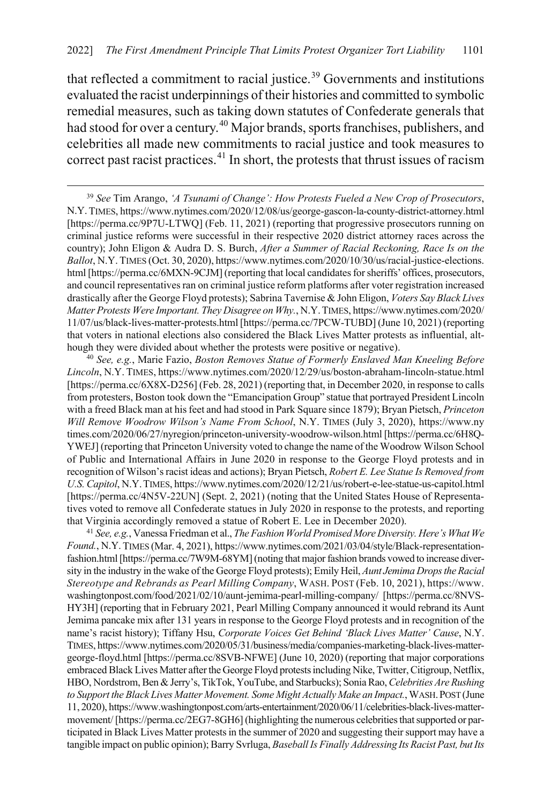that reflected a commitment to racial justice.<sup>[39](#page-9-0)</sup> Governments and institutions evaluated the racist underpinnings of their histories and committed to symbolic remedial measures, such as taking down statutes of Confederate generals that had stood for over a century.<sup>[40](#page-9-1)</sup> Major brands, sports franchises, publishers, and celebrities all made new commitments to racial justice and took measures to correct past racist practices.<sup>[41](#page-9-2)</sup> In short, the protests that thrust issues of racism

<span id="page-9-2"></span><sup>41</sup> *See, e.g.*, Vanessa Friedman et al., *The Fashion World Promised More Diversity. Here's What We Found.*, N.Y.TIMES (Mar. 4, 2021), https://www.nytimes.com/2021/03/04/style/Black-representationfashion.html [https://perma.cc/7W9M-68YM] (noting that major fashion brands vowed to increase diversity in the industry in the wake of the George Floyd protests); Emily Heil, *Aunt Jemima Drops the Racial Stereotype and Rebrands as Pearl Milling Company*, WASH. POST (Feb. 10, 2021), https://www. washingtonpost.com/food/2021/02/10/aunt-jemima-pearl-milling-company/ [https://perma.cc/8NVS-HY3H] (reporting that in February 2021, Pearl Milling Company announced it would rebrand its Aunt Jemima pancake mix after 131 years in response to the George Floyd protests and in recognition of the name's racist history); Tiffany Hsu, *Corporate Voices Get Behind 'Black Lives Matter' Cause*, N.Y. TIMES, https://www.nytimes.com/2020/05/31/business/media/companies-marketing-black-lives-mattergeorge-floyd.html [https://perma.cc/8SVB-NFWE] (June 10, 2020) (reporting that major corporations embraced Black Lives Matter after the George Floyd protests including Nike, Twitter, Citigroup, Netflix, HBO, Nordstrom, Ben & Jerry's, TikTok, YouTube, and Starbucks); Sonia Rao, *Celebrities Are Rushing to Support the Black Lives Matter Movement. Some Might Actually Make an Impact.*, WASH.POST (June 11, 2020), https://www.washingtonpost.com/arts-entertainment/2020/06/11/celebrities-black-lives-mattermovement/ [https://perma.cc/2EG7-8GH6] (highlighting the numerous celebrities that supported or participated in Black Lives Matter protests in the summer of 2020 and suggesting their support may have a tangible impact on public opinion); Barry Svrluga, *Baseball Is Finally Addressing Its Racist Past, but Its* 

<span id="page-9-0"></span> <sup>39</sup> *See* Tim Arango, *'A Tsunami of Change': How Protests Fueled a New Crop of Prosecutors*, N.Y.TIMES, https://www.nytimes.com/2020/12/08/us/george-gascon-la-county-district-attorney.html [https://perma.cc/9P7U-LTWQ] (Feb. 11, 2021) (reporting that progressive prosecutors running on criminal justice reforms were successful in their respective 2020 district attorney races across the country); John Eligon & Audra D. S. Burch, *After a Summer of Racial Reckoning, Race Is on the Ballot*, N.Y.TIMES (Oct. 30, 2020), https://www.nytimes.com/2020/10/30/us/racial-justice-elections. html [https://perma.cc/6MXN-9CJM] (reporting that local candidates for sheriffs' offices, prosecutors, and council representatives ran on criminal justice reform platforms after voter registration increased drastically after the George Floyd protests); Sabrina Tavernise & John Eligon, *Voters Say Black Lives Matter Protests Were Important. They Disagree on Why.*, N.Y.TIMES, https://www.nytimes.com/2020/ 11/07/us/black-lives-matter-protests.html [https://perma.cc/7PCW-TUBD] (June 10, 2021) (reporting that voters in national elections also considered the Black Lives Matter protests as influential, although they were divided about whether the protests were positive or negative).

<span id="page-9-1"></span><sup>40</sup> *See, e.g.*, Marie Fazio, *Boston Removes Statue of Formerly Enslaved Man Kneeling Before Lincoln*, N.Y. TIMES, https://www.nytimes.com/2020/12/29/us/boston-abraham-lincoln-statue.html [https://perma.cc/6X8X-D256] (Feb. 28, 2021) (reporting that, in December 2020, in response to calls from protesters, Boston took down the "Emancipation Group" statue that portrayed President Lincoln with a freed Black man at his feet and had stood in Park Square since 1879); Bryan Pietsch, *Princeton Will Remove Woodrow Wilson's Name From School*, N.Y. TIMES (July 3, 2020), https://www.ny times.com/2020/06/27/nyregion/princeton-university-woodrow-wilson.html [https://perma.cc/6H8Q-YWEJ] (reporting that Princeton University voted to change the name of the Woodrow Wilson School of Public and International Affairs in June 2020 in response to the George Floyd protests and in recognition of Wilson's racist ideas and actions); Bryan Pietsch, *Robert E. Lee Statue Is Removed from U.S. Capitol*, N.Y.TIMES, https://www.nytimes.com/2020/12/21/us/robert-e-lee-statue-us-capitol.html [https://perma.cc/4N5V-22UN] (Sept. 2, 2021) (noting that the United States House of Representatives voted to remove all Confederate statues in July 2020 in response to the protests, and reporting that Virginia accordingly removed a statue of Robert E. Lee in December 2020).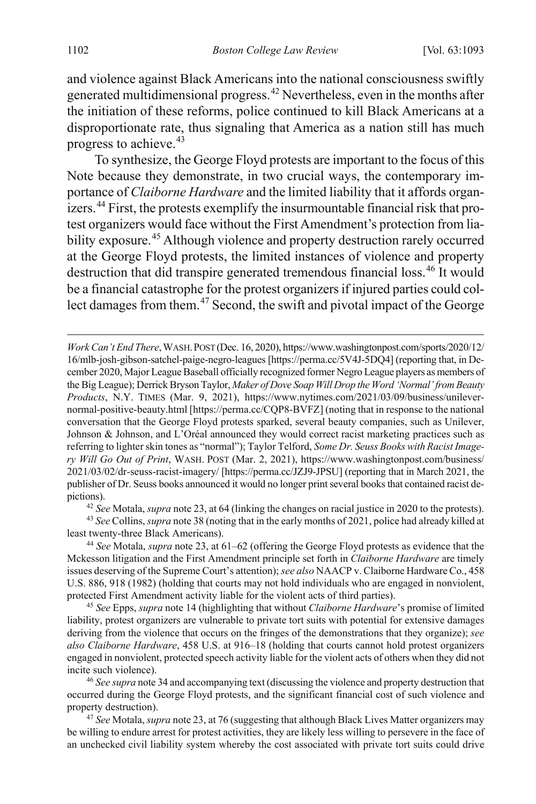<span id="page-10-6"></span>and violence against Black Americans into the national consciousness swiftly generated multidimensional progress.[42](#page-10-0) Nevertheless, even in the months after the initiation of these reforms, police continued to kill Black Americans at a disproportionate rate, thus signaling that America as a nation still has much progress to achieve.[43](#page-10-1)

<span id="page-10-7"></span>To synthesize, the George Floyd protests are important to the focus of this Note because they demonstrate, in two crucial ways, the contemporary importance of *Claiborne Hardware* and the limited liability that it affords organizers.[44](#page-10-2) First, the protests exemplify the insurmountable financial risk that protest organizers would face without the First Amendment's protection from lia-bility exposure.<sup>[45](#page-10-3)</sup> Although violence and property destruction rarely occurred at the George Floyd protests, the limited instances of violence and property destruction that did transpire generated tremendous financial loss.<sup>[46](#page-10-4)</sup> It would be a financial catastrophe for the protest organizers if injured parties could col-lect damages from them.<sup>[47](#page-10-5)</sup> Second, the swift and pivotal impact of the George

*Work Can't End There*,WASH.POST (Dec. 16, 2020), https://www.washingtonpost.com/sports/2020/12/ 16/mlb-josh-gibson-satchel-paige-negro-leagues [https://perma.cc/5V4J-5DQ4] (reporting that, in December 2020, Major League Baseball officially recognized former Negro League players as members of the Big League); Derrick Bryson Taylor, *Maker of Dove Soap Will Drop the Word 'Normal' from Beauty Products*, N.Y. TIMES (Mar. 9, 2021), https://www.nytimes.com/2021/03/09/business/unilevernormal-positive-beauty.html [https://perma.cc/CQP8-BVFZ] (noting that in response to the national conversation that the George Floyd protests sparked, several beauty companies, such as Unilever, Johnson & Johnson, and L'Oréal announced they would correct racist marketing practices such as referring to lighter skin tones as "normal"); Taylor Telford, *Some Dr. Seuss Books with Racist Imagery Will Go Out of Print*, WASH. POST (Mar. 2, 2021), https://www.washingtonpost.com/business/ 2021/03/02/dr-seuss-racist-imagery/ [https://perma.cc/JZJ9-JPSU] (reporting that in March 2021, the publisher of Dr. Seuss books announced it would no longer print several books that contained racist depictions).

<sup>42</sup> *See* Motala, *supra* not[e 23,](#page-5-1) at 64 (linking the changes on racial justice in 2020 to the protests).

<span id="page-10-1"></span><span id="page-10-0"></span><sup>43</sup> *See* Collins, *supra* not[e 38](#page-8-2) (noting that in the early months of 2021, police had already killed at least twenty-three Black Americans).

<span id="page-10-2"></span><sup>44</sup> *See* Motala, *supra* not[e 23,](#page-5-1) at 61–62 (offering the George Floyd protests as evidence that the Mckesson litigation and the First Amendment principle set forth in *Claiborne Hardware* are timely issues deserving of the Supreme Court's attention); *see also* NAACP v. Claiborne Hardware Co., 458 U.S. 886, 918 (1982) (holding that courts may not hold individuals who are engaged in nonviolent, protected First Amendment activity liable for the violent acts of third parties).

<span id="page-10-3"></span><sup>45</sup> *See* Epps, *supra* not[e 14](#page-3-7) (highlighting that without *Claiborne Hardware*'s promise of limited liability, protest organizers are vulnerable to private tort suits with potential for extensive damages deriving from the violence that occurs on the fringes of the demonstrations that they organize); *see also Claiborne Hardware*, 458 U.S. at 916–18 (holding that courts cannot hold protest organizers engaged in nonviolent, protected speech activity liable for the violent acts of others when they did not incite such violence).

<span id="page-10-4"></span><sup>46</sup> *See supra* not[e 34](#page-7-0) and accompanying text (discussing the violence and property destruction that occurred during the George Floyd protests, and the significant financial cost of such violence and property destruction).

<span id="page-10-5"></span><sup>47</sup> *See* Motala, *supra* not[e 23,](#page-5-1) at 76 (suggesting that although Black Lives Matter organizers may be willing to endure arrest for protest activities, they are likely less willing to persevere in the face of an unchecked civil liability system whereby the cost associated with private tort suits could drive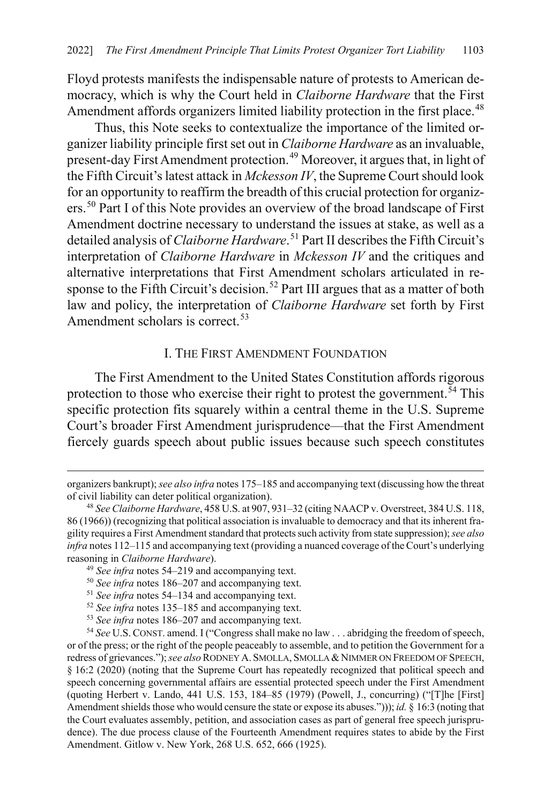Floyd protests manifests the indispensable nature of protests to American democracy, which is why the Court held in *Claiborne Hardware* that the First Amendment affords organizers limited liability protection in the first place.<sup>[48](#page-11-1)</sup>

Thus, this Note seeks to contextualize the importance of the limited organizer liability principle first set out in *Claiborne Hardware* as an invaluable, present-day First Amendment protection.[49](#page-11-2) Moreover, it argues that, in light of the Fifth Circuit's latest attack in *Mckesson IV*, the Supreme Court should look for an opportunity to reaffirm the breadth of this crucial protection for organizers.[50](#page-11-3) Part I of this Note provides an overview of the broad landscape of First Amendment doctrine necessary to understand the issues at stake, as well as a detailed analysis of *Claiborne Hardware*. [51](#page-11-4) Part II describes the Fifth Circuit's interpretation of *Claiborne Hardware* in *Mckesson IV* and the critiques and alternative interpretations that First Amendment scholars articulated in re-sponse to the Fifth Circuit's decision.<sup>[52](#page-11-5)</sup> Part III argues that as a matter of both law and policy, the interpretation of *Claiborne Hardware* set forth by First Amendment scholars is correct.<sup>[53](#page-11-6)</sup>

#### <span id="page-11-0"></span>I. THE FIRST AMENDMENT FOUNDATION

The First Amendment to the United States Constitution affords rigorous protection to those who exercise their right to protest the government.<sup> $\bar{5}$ 4</sup> This specific protection fits squarely within a central theme in the U.S. Supreme Court's broader First Amendment jurisprudence—that the First Amendment fiercely guards speech about public issues because such speech constitutes

 $\overline{a}$ 

<sup>53</sup> *See infra* notes [186](#page-33-1)[–207](#page-37-0) and accompanying text.

organizers bankrupt); *see also infra* note[s 175](#page-32-0)[–185](#page-33-0) and accompanying text (discussing how the threat of civil liability can deter political organization).

<span id="page-11-1"></span><sup>48</sup> *See Claiborne Hardware*, 458 U.S. at 907, 931–32 (citing NAACP v. Overstreet, 384 U.S. 118, 86 (1966)) (recognizing that political association is invaluable to democracy and that its inherent fragility requires a First Amendment standard that protects such activity from state suppression); *see also infra* note[s 112](#page-21-1)[–115](#page-21-0) and accompanying text (providing a nuanced coverage of the Court's underlying reasoning in *Claiborne Hardware*). 49 *See infra* note[s 54–](#page-11-0)[219](#page-39-0) and accompanying text.

<span id="page-11-2"></span>

<sup>50</sup> *See infra* note[s 186](#page-33-1)[–207](#page-37-0) and accompanying text.

<sup>51</sup> *See infra* notes [54–](#page-11-0)[134](#page-24-0) and accompanying text.

<sup>52</sup> *See infra* notes [135](#page-25-0)[–185](#page-33-0) and accompanying text.

<span id="page-11-7"></span><span id="page-11-6"></span><span id="page-11-5"></span><span id="page-11-4"></span><span id="page-11-3"></span><sup>54</sup> *See* U.S.CONST. amend. I ("Congress shall make no law . . . abridging the freedom of speech, or of the press; or the right of the people peaceably to assemble, and to petition the Government for a redress of grievances."); *see also* RODNEY A. SMOLLA, SMOLLA &NIMMER ON FREEDOM OF SPEECH, § 16:2 (2020) (noting that the Supreme Court has repeatedly recognized that political speech and speech concerning governmental affairs are essential protected speech under the First Amendment (quoting Herbert v. Lando, 441 U.S. 153, 184–85 (1979) (Powell, J., concurring) ("[T]he [First] Amendment shields those who would censure the state or expose its abuses."))); *id.* § 16:3 (noting that the Court evaluates assembly, petition, and association cases as part of general free speech jurisprudence). The due process clause of the Fourteenth Amendment requires states to abide by the First Amendment. Gitlow v. New York, 268 U.S. 652, 666 (1925).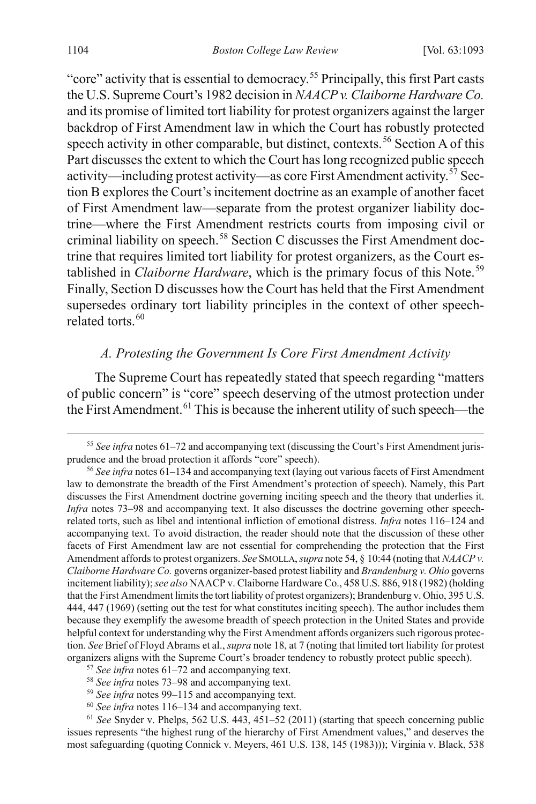"core" activity that is essential to democracy.<sup>[55](#page-12-1)</sup> Principally, this first Part casts the U.S. Supreme Court's 1982 decision in *NAACP v. Claiborne Hardware Co.* and its promise of limited tort liability for protest organizers against the larger backdrop of First Amendment law in which the Court has robustly protected speech activity in other comparable, but distinct, contexts.<sup>[56](#page-12-2)</sup> Section A of this Part discusses the extent to which the Court has long recognized public speech activity—including protest activity—as core First Amendment activity.<sup>[57](#page-12-3)</sup> Section B explores the Court's incitement doctrine as an example of another facet of First Amendment law—separate from the protest organizer liability doctrine—where the First Amendment restricts courts from imposing civil or criminal liability on speech.<sup>[58](#page-12-4)</sup> Section C discusses the First Amendment doctrine that requires limited tort liability for protest organizers, as the Court established in *Claiborne Hardware*, which is the primary focus of this Note.<sup>[59](#page-12-5)</sup> Finally, Section D discusses how the Court has held that the First Amendment supersedes ordinary tort liability principles in the context of other speech-related torts.<sup>[60](#page-12-6)</sup>

#### <span id="page-12-0"></span>*A. Protesting the Government Is Core First Amendment Activity*

The Supreme Court has repeatedly stated that speech regarding "matters of public concern" is "core" speech deserving of the utmost protection under the First Amendment.<sup>[61](#page-12-7)</sup> This is because the inherent utility of such speech—the

- <sup>58</sup> *See infra* notes [73–](#page-15-1)[98](#page-18-0) and accompanying text.
- <sup>59</sup> *See infra* notes [99–](#page-19-0)[115](#page-21-0) and accompanying text.
- <sup>60</sup> *See infra* note[s 116](#page-21-2)[–134](#page-24-0) and accompanying text.

<span id="page-12-1"></span> <sup>55</sup> *See infra* notes [61](#page-12-0)[–72](#page-15-0) and accompanying text (discussing the Court's First Amendment jurisprudence and the broad protection it affords "core" speech).

<span id="page-12-2"></span><sup>56</sup> *See infra* notes [61](#page-12-0)[–134](#page-24-0) and accompanying text (laying out various facets of First Amendment law to demonstrate the breadth of the First Amendment's protection of speech). Namely, this Part discusses the First Amendment doctrine governing inciting speech and the theory that underlies it. *Infra* notes [73](#page-15-1)[–98](#page-18-0) and accompanying text. It also discusses the doctrine governing other speechrelated torts, such as libel and intentional infliction of emotional distress. *Infra* notes [116–](#page-21-2)[124 a](#page-22-0)nd accompanying text. To avoid distraction, the reader should note that the discussion of these other facets of First Amendment law are not essential for comprehending the protection that the First Amendment affords to protest organizers. *See* SMOLLA, *supra* not[e 54,](#page-11-0) § 10:44 (noting that *NAACP v. Claiborne Hardware Co.* governs organizer-based protest liability and *Brandenburg v. Ohio* governs incitement liability); *see also* NAACP v. Claiborne Hardware Co., 458 U.S. 886, 918 (1982) (holding that the First Amendment limits the tort liability of protest organizers); Brandenburg v. Ohio, 395 U.S. 444, 447 (1969) (setting out the test for what constitutes inciting speech). The author includes them because they exemplify the awesome breadth of speech protection in the United States and provide helpful context for understanding why the First Amendment affords organizers such rigorous protection. *See* Brief of Floyd Abrams et al., *supra* not[e 18,](#page-4-4) at 7 (noting that limited tort liability for protest organizers aligns with the Supreme Court's broader tendency to robustly protect public speech).

<sup>57</sup> *See infra* notes [61–](#page-12-0)[72](#page-15-0) and accompanying text.

<span id="page-12-7"></span><span id="page-12-6"></span><span id="page-12-5"></span><span id="page-12-4"></span><span id="page-12-3"></span><sup>61</sup> *See* Snyder v. Phelps, 562 U.S. 443, 451–52 (2011) (starting that speech concerning public issues represents "the highest rung of the hierarchy of First Amendment values," and deserves the most safeguarding (quoting Connick v. Meyers, 461 U.S. 138, 145 (1983))); Virginia v. Black, 538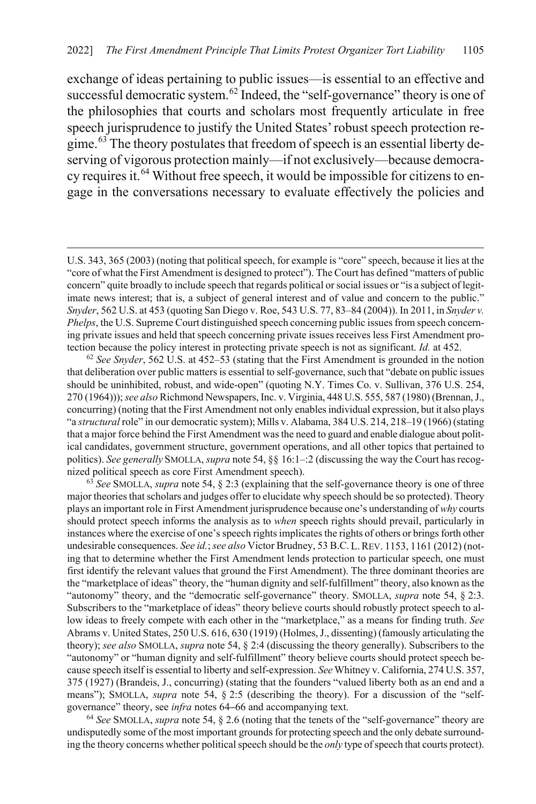exchange of ideas pertaining to public issues—is essential to an effective and successful democratic system.<sup>[62](#page-13-1)</sup> Indeed, the "self-governance" theory is one of the philosophies that courts and scholars most frequently articulate in free speech jurisprudence to justify the United States' robust speech protection regime.[63](#page-13-2) The theory postulates that freedom of speech is an essential liberty deserving of vigorous protection mainly—if not exclusively—because democra-cy requires it.<sup>[64](#page-13-3)</sup> Without free speech, it would be impossible for citizens to engage in the conversations necessary to evaluate effectively the policies and

<span id="page-13-0"></span> $\overline{a}$ 

<span id="page-13-2"></span><sup>63</sup> *See* SMOLLA, *supra* note [54,](#page-11-0) § 2:3 (explaining that the self-governance theory is one of three major theories that scholars and judges offer to elucidate why speech should be so protected). Theory plays an important role in First Amendment jurisprudence because one's understanding of *why* courts should protect speech informs the analysis as to *when* speech rights should prevail, particularly in instances where the exercise of one's speech rights implicates the rights of others or brings forth other undesirable consequences. *See id.*;*see also* Victor Brudney, 53 B.C. L.REV. 1153, 1161 (2012) (noting that to determine whether the First Amendment lends protection to particular speech, one must first identify the relevant values that ground the First Amendment). The three dominant theories are the "marketplace of ideas" theory, the "human dignity and self-fulfillment" theory, also known as the "autonomy" theory, and the "democratic self-governance" theory. SMOLLA, *supra* note [54,](#page-11-0) § 2:3. Subscribers to the "marketplace of ideas" theory believe courts should robustly protect speech to allow ideas to freely compete with each other in the "marketplace," as a means for finding truth. *See*  Abrams v. United States, 250 U.S. 616, 630 (1919) (Holmes, J., dissenting) (famously articulating the theory); *see also* SMOLLA, *supra* not[e 54,](#page-11-0) § 2:4 (discussing the theory generally). Subscribers to the "autonomy" or "human dignity and self-fulfillment" theory believe courts should protect speech because speech itself is essential to liberty and self-expression. *See* Whitney v. California, 274 U.S. 357, 375 (1927) (Brandeis, J., concurring) (stating that the founders "valued liberty both as an end and a means"); SMOLLA, *supra* note [54,](#page-11-0) § 2:5 (describing the theory). For a discussion of the "selfgovernance" theory, see *infra* note[s 64](#page-13-0)**–**[66](#page-14-0) and accompanying text.

<span id="page-13-3"></span><sup>64</sup> *See* SMOLLA, *supra* not[e 54,](#page-11-0) § 2.6 (noting that the tenets of the "self-governance" theory are undisputedly some of the most important grounds for protecting speech and the only debate surrounding the theory concerns whether political speech should be the *only* type of speech that courts protect).

U.S. 343, 365 (2003) (noting that political speech, for example is "core" speech, because it lies at the "core of what the First Amendment is designed to protect"). The Court has defined "matters of public concern" quite broadly to include speech that regards political or social issues or "is a subject of legitimate news interest; that is, a subject of general interest and of value and concern to the public." *Snyder*, 562 U.S. at 453 (quoting San Diego v. Roe, 543 U.S. 77, 83–84 (2004)). In 2011, in *Snyder v. Phelps*, the U.S. Supreme Court distinguished speech concerning public issues from speech concerning private issues and held that speech concerning private issues receives less First Amendment protection because the policy interest in protecting private speech is not as significant. *Id.* at 452.

<span id="page-13-1"></span><sup>62</sup> *See Snyder*, 562 U.S. at 452–53 (stating that the First Amendment is grounded in the notion that deliberation over public matters is essential to self-governance, such that "debate on public issues should be uninhibited, robust, and wide-open" (quoting N.Y. Times Co. v. Sullivan, 376 U.S. 254, 270 (1964)));*see also* Richmond Newspapers, Inc. v. Virginia, 448 U.S. 555, 587 (1980) (Brennan, J., concurring) (noting that the First Amendment not only enables individual expression, but it also plays "a *structural* role" in our democratic system); Mills v. Alabama, 384 U.S. 214, 218–19 (1966) (stating that a major force behind the First Amendment was the need to guard and enable dialogue about political candidates, government structure, government operations, and all other topics that pertained to politics). *See generally* SMOLLA, *supra* not[e 54,](#page-11-0) §§ 16:1–:2 (discussing the way the Court has recognized political speech as core First Amendment speech).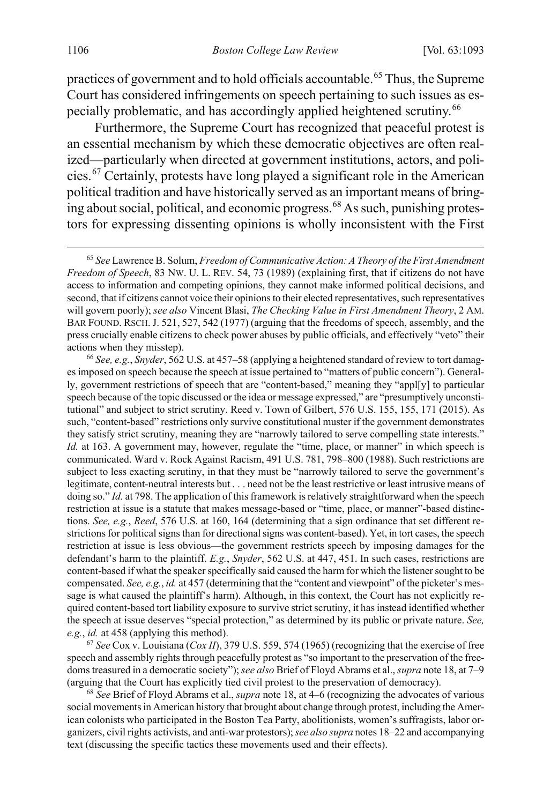practices of government and to hold officials accountable.<sup>[65](#page-14-1)</sup> Thus, the Supreme Court has considered infringements on speech pertaining to such issues as es-pecially problematic, and has accordingly applied heightened scrutiny.<sup>[66](#page-14-2)</sup>

<span id="page-14-0"></span>Furthermore, the Supreme Court has recognized that peaceful protest is an essential mechanism by which these democratic objectives are often realized—particularly when directed at government institutions, actors, and policies.[67](#page-14-3) Certainly, protests have long played a significant role in the American political tradition and have historically served as an important means of bring-ing about social, political, and economic progress.<sup>[68](#page-14-4)</sup> As such, punishing protestors for expressing dissenting opinions is wholly inconsistent with the First

<span id="page-14-2"></span><sup>66</sup> *See, e.g.*, *Snyder*, 562 U.S. at 457–58 (applying a heightened standard of review to tort damages imposed on speech because the speech at issue pertained to "matters of public concern"). Generally, government restrictions of speech that are "content-based," meaning they "appl[y] to particular speech because of the topic discussed or the idea or message expressed," are "presumptively unconstitutional" and subject to strict scrutiny. Reed v. Town of Gilbert, 576 U.S. 155, 155, 171 (2015). As such, "content-based" restrictions only survive constitutional muster if the government demonstrates they satisfy strict scrutiny, meaning they are "narrowly tailored to serve compelling state interests." *Id.* at 163. A government may, however, regulate the "time, place, or manner" in which speech is communicated. Ward v. Rock Against Racism, 491 U.S. 781, 798–800 (1988). Such restrictions are subject to less exacting scrutiny, in that they must be "narrowly tailored to serve the government's legitimate, content-neutral interests but . . . need not be the least restrictive or least intrusive means of doing so." *Id.* at 798. The application of this framework is relatively straightforward when the speech restriction at issue is a statute that makes message-based or "time, place, or manner"-based distinctions. *See, e.g.*, *Reed*, 576 U.S. at 160, 164 (determining that a sign ordinance that set different restrictions for political signs than for directional signs was content-based). Yet, in tort cases, the speech restriction at issue is less obvious—the government restricts speech by imposing damages for the defendant's harm to the plaintiff. *E.g.*, *Snyder*, 562 U.S. at 447, 451. In such cases, restrictions are content-based if what the speaker specifically said caused the harm for which the listener sought to be compensated. *See, e.g.*, *id.* at 457 (determining that the "content and viewpoint" of the picketer's message is what caused the plaintiff's harm). Although, in this context, the Court has not explicitly required content-based tort liability exposure to survive strict scrutiny, it has instead identified whether the speech at issue deserves "special protection," as determined by its public or private nature. *See, e.g.*, *id.* at 458 (applying this method).

<span id="page-14-3"></span><sup>67</sup> *See* Cox v. Louisiana (*Cox II*), 379 U.S. 559, 574 (1965) (recognizing that the exercise of free speech and assembly rights through peacefully protest as "so important to the preservation of the freedoms treasured in a democratic society"); *see also* Brief of Floyd Abrams et al., *supra* not[e 18,](#page-4-4) at 7–9 (arguing that the Court has explicitly tied civil protest to the preservation of democracy).

<span id="page-14-4"></span><sup>68</sup> *See* Brief of Floyd Abrams et al., *supra* not[e 18,](#page-4-4) at 4–6 (recognizing the advocates of various social movements in American history that brought about change through protest, including the American colonists who participated in the Boston Tea Party, abolitionists, women's suffragists, labor organizers, civil rights activists, and anti-war protestors); *see also supra* note[s 18](#page-4-4)[–22](#page-5-8) and accompanying text (discussing the specific tactics these movements used and their effects).

<span id="page-14-1"></span> <sup>65</sup> *See* Lawrence B. Solum, *Freedom of Communicative Action: A Theory of the First Amendment Freedom of Speech*, 83 NW. U. L. REV. 54, 73 (1989) (explaining first, that if citizens do not have access to information and competing opinions, they cannot make informed political decisions, and second, that if citizens cannot voice their opinions to their elected representatives, such representatives will govern poorly); *see also* Vincent Blasi, *The Checking Value in First Amendment Theory*, 2 AM. BAR FOUND. RSCH. J. 521, 527, 542 (1977) (arguing that the freedoms of speech, assembly, and the press crucially enable citizens to check power abuses by public officials, and effectively "veto" their actions when they misstep).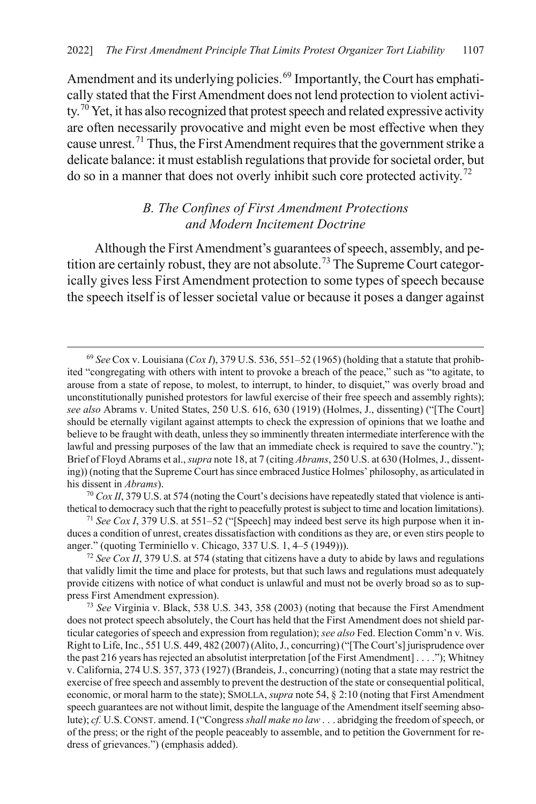Amendment and its underlying policies.<sup>[69](#page-15-2)</sup> Importantly, the Court has emphatically stated that the First Amendment does not lend protection to violent activi-ty.<sup>[70](#page-15-3)</sup> Yet, it has also recognized that protest speech and related expressive activity are often necessarily provocative and might even be most effective when they cause unrest.[71](#page-15-4) Thus, the First Amendment requires that the government strike a delicate balance: it must establish regulations that provide for societal order, but do so in a manner that does not overly inhibit such core protected activity.[72](#page-15-5)

### <span id="page-15-1"></span><span id="page-15-0"></span>*B. The Confines of First Amendment Protections and Modern Incitement Doctrine*

Although the First Amendment's guarantees of speech, assembly, and pe-tition are certainly robust, they are not absolute.<sup>[73](#page-15-6)</sup> The Supreme Court categorically gives less First Amendment protection to some types of speech because the speech itself is of lesser societal value or because it poses a danger against

<span id="page-15-3"></span><sup>70</sup> *Cox II*, 379 U.S. at 574 (noting the Court's decisions have repeatedly stated that violence is antithetical to democracy such that the right to peacefully protest is subject to time and location limitations).

<span id="page-15-4"></span><sup>71</sup> *See Cox I*, 379 U.S. at 551–52 ("[Speech] may indeed best serve its high purpose when it induces a condition of unrest, creates dissatisfaction with conditions as they are, or even stirs people to anger." (quoting Terminiello v. Chicago, 337 U.S. 1, 4–5 (1949))).

<span id="page-15-5"></span><sup>72</sup> *See Cox II*, 379 U.S. at 574 (stating that citizens have a duty to abide by laws and regulations that validly limit the time and place for protests, but that such laws and regulations must adequately provide citizens with notice of what conduct is unlawful and must not be overly broad so as to suppress First Amendment expression).

<span id="page-15-6"></span><sup>73</sup> *See* Virginia v. Black, 538 U.S. 343, 358 (2003) (noting that because the First Amendment does not protect speech absolutely, the Court has held that the First Amendment does not shield particular categories of speech and expression from regulation); *see also* Fed. Election Comm'n v. Wis. Right to Life, Inc., 551 U.S. 449, 482 (2007) (Alito, J., concurring) ("[The Court's] jurisprudence over the past 216 years has rejected an absolutist interpretation [of the First Amendment] . . . ."); Whitney v. California, 274 U.S. 357, 373 (1927) (Brandeis, J., concurring) (noting that a state may restrict the exercise of free speech and assembly to prevent the destruction of the state or consequential political, economic, or moral harm to the state); SMOLLA, *supra* not[e 54,](#page-11-0) § 2:10 (noting that First Amendment speech guarantees are not without limit, despite the language of the Amendment itself seeming absolute); *cf.* U.S.CONST. amend. I ("Congress *shall make no law* . . . abridging the freedom ofspeech, or of the press; or the right of the people peaceably to assemble, and to petition the Government for redress of grievances.") (emphasis added).

<span id="page-15-2"></span> <sup>69</sup> *See* Cox v. Louisiana (*Cox I*), 379 U.S. 536, 551–52 (1965) (holding that a statute that prohibited "congregating with others with intent to provoke a breach of the peace," such as "to agitate, to arouse from a state of repose, to molest, to interrupt, to hinder, to disquiet," was overly broad and unconstitutionally punished protestors for lawful exercise of their free speech and assembly rights); *see also* Abrams v. United States, 250 U.S. 616, 630 (1919) (Holmes, J., dissenting) ("[The Court] should be eternally vigilant against attempts to check the expression of opinions that we loathe and believe to be fraught with death, unless they so imminently threaten intermediate interference with the lawful and pressing purposes of the law that an immediate check is required to save the country."); Brief of Floyd Abrams et al., *supra* not[e 18,](#page-4-4) at 7 (citing *Abrams*, 250 U.S. at 630 (Holmes, J., dissenting)) (noting that the Supreme Court has since embraced Justice Holmes' philosophy, as articulated in his dissent in *Abrams*).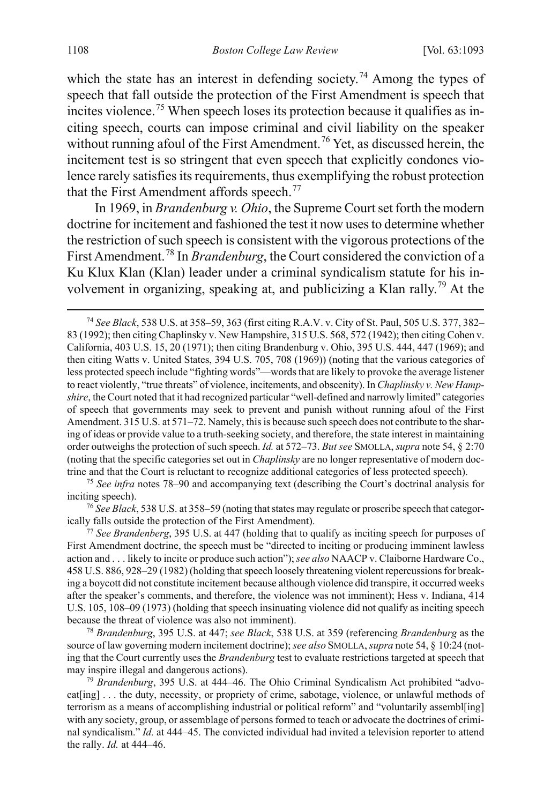<span id="page-16-7"></span>which the state has an interest in defending society.<sup>[74](#page-16-1)</sup> Among the types of speech that fall outside the protection of the First Amendment is speech that incites violence.<sup>[75](#page-16-2)</sup> When speech loses its protection because it qualifies as inciting speech, courts can impose criminal and civil liability on the speaker without running afoul of the First Amendment.<sup>[76](#page-16-3)</sup> Yet, as discussed herein, the incitement test is so stringent that even speech that explicitly condones violence rarely satisfies its requirements, thus exemplifying the robust protection that the First Amendment affords speech.<sup>[77](#page-16-4)</sup>

<span id="page-16-0"></span>In 1969, in *Brandenburg v. Ohio*, the Supreme Court set forth the modern doctrine for incitement and fashioned the test it now uses to determine whether the restriction of such speech is consistent with the vigorous protections of the First Amendment.<sup>78</sup> In *Brandenburg*, the Court considered the conviction of a Ku Klux Klan (Klan) leader under a criminal syndicalism statute for his involvement in organizing, speaking at, and publicizing a Klan rally.[79](#page-16-6) At the

<span id="page-16-2"></span><sup>75</sup> *See infra* notes [78–](#page-16-0)[90](#page-18-1) and accompanying text (describing the Court's doctrinal analysis for inciting speech).

<span id="page-16-3"></span><sup>76</sup> *See Black*, 538 U.S. at 358–59 (noting that states may regulate or proscribe speech that categorically falls outside the protection of the First Amendment).

<span id="page-16-4"></span><sup>77</sup> *See Brandenberg*, 395 U.S. at 447 (holding that to qualify as inciting speech for purposes of First Amendment doctrine, the speech must be "directed to inciting or producing imminent lawless action and . . . likely to incite or produce such action"); *see also* NAACP v. Claiborne Hardware Co., 458 U.S. 886, 928–29 (1982) (holding that speech loosely threatening violent repercussions for breaking a boycott did not constitute incitement because although violence did transpire, it occurred weeks after the speaker's comments, and therefore, the violence was not imminent); Hess v. Indiana, 414 U.S. 105, 108–09 (1973) (holding that speech insinuating violence did not qualify as inciting speech because the threat of violence was also not imminent).

<span id="page-16-5"></span><sup>78</sup> *Brandenburg*, 395 U.S. at 447; *see Black*, 538 U.S. at 359 (referencing *Brandenburg* as the source of law governing modern incitement doctrine); *see also* SMOLLA, *supra* not[e 54,](#page-11-0) § 10:24 (noting that the Court currently uses the *Brandenburg* test to evaluate restrictions targeted at speech that may inspire illegal and dangerous actions).

<span id="page-16-6"></span>79 *Brandenburg*, 395 U.S. at 444–46. The Ohio Criminal Syndicalism Act prohibited "advocat[ing] . . . the duty, necessity, or propriety of crime, sabotage, violence, or unlawful methods of terrorism as a means of accomplishing industrial or political reform" and "voluntarily assembl[ing] with any society, group, or assemblage of persons formed to teach or advocate the doctrines of criminal syndicalism." *Id.* at 444–45. The convicted individual had invited a television reporter to attend the rally. *Id.* at 444–46.

<span id="page-16-1"></span> <sup>74</sup> *See Black*, 538 U.S. at 358–59, 363 (first citing R.A.V. v. City of St. Paul, 505 U.S. 377, 382– 83 (1992); then citing Chaplinsky v. New Hampshire, 315 U.S. 568, 572 (1942); then citing Cohen v. California, 403 U.S. 15, 20 (1971); then citing Brandenburg v. Ohio, 395 U.S. 444, 447 (1969); and then citing Watts v. United States, 394 U.S. 705, 708 (1969)) (noting that the various categories of less protected speech include "fighting words"—words that are likely to provoke the average listener to react violently, "true threats" of violence, incitements, and obscenity). In *Chaplinsky v. New Hampshire*, the Court noted that it had recognized particular "well-defined and narrowly limited" categories of speech that governments may seek to prevent and punish without running afoul of the First Amendment. 315 U.S. at 571–72. Namely, this is because such speech does not contribute to the sharing of ideas or provide value to a truth-seeking society, and therefore, the state interest in maintaining order outweighs the protection of such speech. *Id.* at 572–73. *But see* SMOLLA, *supra* not[e 54,](#page-11-0) § 2:70 (noting that the specific categories set out in *Chaplinsky* are no longer representative of modern doctrine and that the Court is reluctant to recognize additional categories of less protected speech).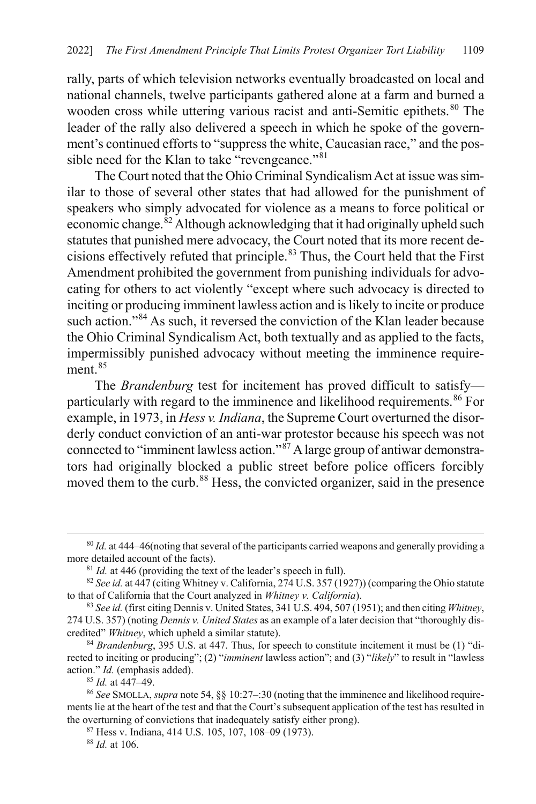rally, parts of which television networks eventually broadcasted on local and national channels, twelve participants gathered alone at a farm and burned a wooden cross while uttering various racist and anti-Semitic epithets.<sup>[80](#page-17-0)</sup> The leader of the rally also delivered a speech in which he spoke of the government's continued efforts to "suppress the white, Caucasian race," and the pos-sible need for the Klan to take "revengeance."<sup>[81](#page-17-1)</sup>

The Court noted that the Ohio Criminal Syndicalism Act at issue was similar to those of several other states that had allowed for the punishment of speakers who simply advocated for violence as a means to force political or economic change.<sup>[82](#page-17-2)</sup> Although acknowledging that it had originally upheld such statutes that punished mere advocacy, the Court noted that its more recent decisions effectively refuted that principle.[83](#page-17-3) Thus, the Court held that the First Amendment prohibited the government from punishing individuals for advocating for others to act violently "except where such advocacy is directed to inciting or producing imminent lawless action and is likely to incite or produce such action."<sup>[84](#page-17-4)</sup> As such, it reversed the conviction of the Klan leader because the Ohio Criminal Syndicalism Act, both textually and as applied to the facts, impermissibly punished advocacy without meeting the imminence require-ment.<sup>[85](#page-17-5)</sup>

The *Brandenburg* test for incitement has proved difficult to satisfy— particularly with regard to the imminence and likelihood requirements.<sup>[86](#page-17-6)</sup> For example, in 1973, in *Hess v. Indiana*, the Supreme Court overturned the disorderly conduct conviction of an anti-war protestor because his speech was not connected to "imminent lawless action."[87](#page-17-7) A large group of antiwar demonstrators had originally blocked a public street before police officers forcibly moved them to the curb.<sup>[88](#page-17-8)</sup> Hess, the convicted organizer, said in the presence

<sup>88</sup> *Id.* at 106.

<span id="page-17-0"></span> <sup>80</sup> *Id.* at 444–46(noting that several of the participants carried weapons and generally providing a more detailed account of the facts).

<sup>&</sup>lt;sup>81</sup> *Id.* at 446 (providing the text of the leader's speech in full).

<span id="page-17-2"></span><span id="page-17-1"></span><sup>&</sup>lt;sup>82</sup> See id. at 447 (citing Whitney v. California, 274 U.S. 357 (1927)) (comparing the Ohio statute to that of California that the Court analyzed in *Whitney v. California*).

<span id="page-17-3"></span><sup>83</sup> *See id.* (first citing Dennis v. United States, 341 U.S. 494, 507 (1951); and then citing *Whitney*, 274 U.S. 357) (noting *Dennis v. United States* as an example of a later decision that "thoroughly discredited" *Whitney*, which upheld a similar statute).

<span id="page-17-4"></span><sup>84</sup> *Brandenburg*, 395 U.S. at 447. Thus, for speech to constitute incitement it must be (1) "directed to inciting or producing"; (2) "*imminent* lawless action"; and (3) "*likely*" to result in "lawless action." *Id.* (emphasis added).

<sup>85</sup> *Id.* at 447–49.

<span id="page-17-8"></span><span id="page-17-7"></span><span id="page-17-6"></span><span id="page-17-5"></span><sup>86</sup> *See* SMOLLA, *supra* not[e 54,](#page-11-0) §§ 10:27–:30 (noting that the imminence and likelihood requirements lie at the heart of the test and that the Court's subsequent application of the test has resulted in the overturning of convictions that inadequately satisfy either prong). <sup>87</sup> Hess v. Indiana, 414 U.S. 105, 107, 108–09 (1973).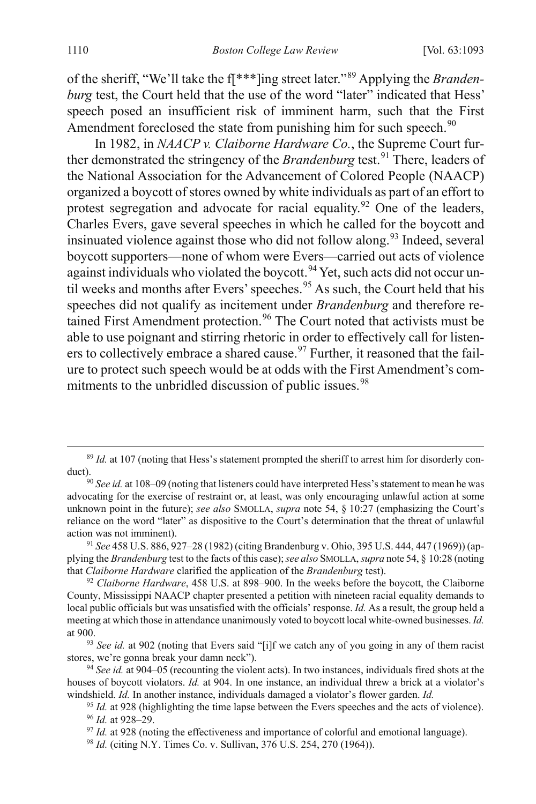of the sheriff, "We'll take the f[\*\*\*]ing street later."[89](#page-18-2) Applying the *Brandenburg* test, the Court held that the use of the word "later" indicated that Hess' speech posed an insufficient risk of imminent harm, such that the First Amendment foreclosed the state from punishing him for such speech.<sup>[90](#page-18-3)</sup>

<span id="page-18-12"></span><span id="page-18-1"></span>In 1982, in *NAACP v. Claiborne Hardware Co.*, the Supreme Court further demonstrated the stringency of the *Brandenburg* test.<sup>[91](#page-18-4)</sup> There, leaders of the National Association for the Advancement of Colored People (NAACP) organized a boycott of stores owned by white individuals as part of an effort to protest segregation and advocate for racial equality.<sup>[92](#page-18-5)</sup> One of the leaders, Charles Evers, gave several speeches in which he called for the boycott and insinuated violence against those who did not follow along.<sup>[93](#page-18-6)</sup> Indeed, several boycott supporters—none of whom were Evers—carried out acts of violence against individuals who violated the boycott.<sup>[94](#page-18-7)</sup> Yet, such acts did not occur un-til weeks and months after Evers' speeches.<sup>[95](#page-18-8)</sup> As such, the Court held that his speeches did not qualify as incitement under *Brandenburg* and therefore re-tained First Amendment protection.<sup>[96](#page-18-9)</sup> The Court noted that activists must be able to use poignant and stirring rhetoric in order to effectively call for listen-ers to collectively embrace a shared cause.<sup>[97](#page-18-10)</sup> Further, it reasoned that the failure to protect such speech would be at odds with the First Amendment's com-mitments to the unbridled discussion of public issues.<sup>[98](#page-18-11)</sup>

<span id="page-18-2"></span><span id="page-18-0"></span><sup>&</sup>lt;sup>89</sup> *Id.* at 107 (noting that Hess's statement prompted the sheriff to arrest him for disorderly conduct). 90 *See id.* at 108–09 (noting that listeners could have interpreted Hess's statement to mean he was

<span id="page-18-3"></span>advocating for the exercise of restraint or, at least, was only encouraging unlawful action at some unknown point in the future); *see also* SMOLLA, *supra* note [54,](#page-11-0) § 10:27 (emphasizing the Court's reliance on the word "later" as dispositive to the Court's determination that the threat of unlawful action was not imminent).

<span id="page-18-4"></span><sup>91</sup> *See* 458 U.S. 886, 927–28 (1982) (citing Brandenburg v. Ohio, 395 U.S. 444, 447 (1969)) (applying the *Brandenburg* test to the facts of this case); *see also* SMOLLA, *supra* not[e 54,](#page-11-0) § 10:28 (noting that *Claiborne Hardware* clarified the application of the *Brandenburg* test).

<span id="page-18-5"></span><sup>92</sup> *Claiborne Hardware*, 458 U.S. at 898–900. In the weeks before the boycott, the Claiborne County, Mississippi NAACP chapter presented a petition with nineteen racial equality demands to local public officials but was unsatisfied with the officials' response. *Id.* As a result, the group held a meeting at which those in attendance unanimously voted to boycott local white-owned businesses. *Id.*  at 900.

<span id="page-18-6"></span><sup>&</sup>lt;sup>93</sup> See id. at 902 (noting that Evers said "[i]f we catch any of you going in any of them racist stores, we're gonna break your damn neck").

<span id="page-18-9"></span><span id="page-18-8"></span><span id="page-18-7"></span><sup>94</sup> *See id.* at 904–05 (recounting the violent acts). In two instances, individuals fired shots at the houses of boycott violators. *Id.* at 904. In one instance, an individual threw a brick at a violator's windshield. *Id.* In another instance, individuals damaged a violator's flower garden. *Id.*

<sup>&</sup>lt;sup>95</sup> *Id.* at 928 (highlighting the time lapse between the Evers speeches and the acts of violence). <sup>96</sup> *Id.* at 928–29.

<span id="page-18-10"></span><sup>&</sup>lt;sup>97</sup> *Id.* at 928 (noting the effectiveness and importance of colorful and emotional language).

<span id="page-18-11"></span><sup>98</sup> *Id.* (citing N.Y. Times Co. v. Sullivan, 376 U.S. 254, 270 (1964)).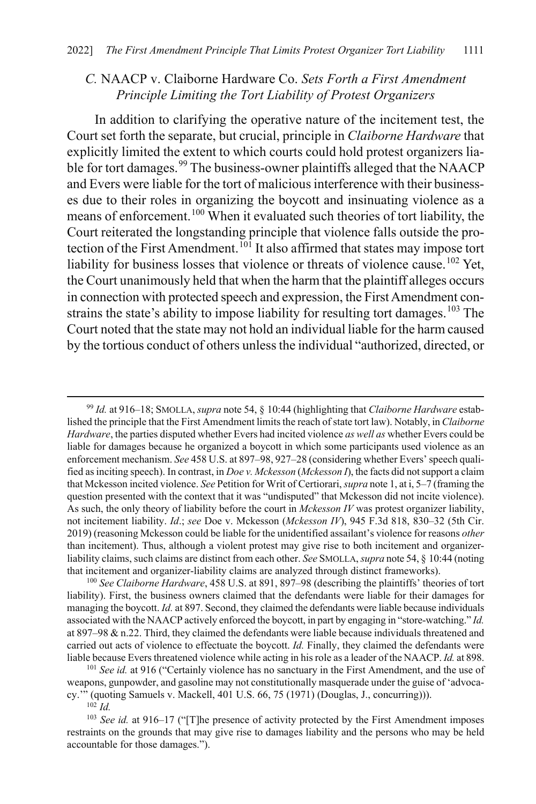#### *C.* NAACP v. Claiborne Hardware Co. *Sets Forth a First Amendment Principle Limiting the Tort Liability of Protest Organizers*

<span id="page-19-0"></span>In addition to clarifying the operative nature of the incitement test, the Court set forth the separate, but crucial, principle in *Claiborne Hardware* that explicitly limited the extent to which courts could hold protest organizers lia-ble for tort damages.<sup>[99](#page-19-1)</sup> The business-owner plaintiffs alleged that the NAACP and Evers were liable for the tort of malicious interference with their businesses due to their roles in organizing the boycott and insinuating violence as a means of enforcement.[100](#page-19-2) When it evaluated such theories of tort liability, the Court reiterated the longstanding principle that violence falls outside the pro-tection of the First Amendment.<sup>[101](#page-19-3)</sup> It also affirmed that states may impose tort liability for business losses that violence or threats of violence cause.<sup>[102](#page-19-4)</sup> Yet, the Court unanimously held that when the harm that the plaintiff alleges occurs in connection with protected speech and expression, the First Amendment con-strains the state's ability to impose liability for resulting tort damages.<sup>[103](#page-19-5)</sup> The Court noted that the state may not hold an individual liable for the harm caused by the tortious conduct of others unless the individual "authorized, directed, or

<span id="page-19-1"></span> 99 *Id.* at 916–18; SMOLLA, *supra* not[e 54,](#page-11-0) § 10:44 (highlighting that *Claiborne Hardware* established the principle that the First Amendment limits the reach of state tort law). Notably, in *Claiborne Hardware*, the parties disputed whether Evers had incited violence *as well as* whether Evers could be liable for damages because he organized a boycott in which some participants used violence as an enforcement mechanism. *See* 458 U.S. at 897–98, 927–28 (considering whether Evers' speech qualified as inciting speech). In contrast, in *Doe v. Mckesson* (*Mckesson I*), the facts did not support a claim that Mckesson incited violence. *See* Petition for Writ of Certiorari, *supra* not[e 1,](#page-1-2) at i, 5–7 (framing the question presented with the context that it was "undisputed" that Mckesson did not incite violence). As such, the only theory of liability before the court in *Mckesson IV* was protest organizer liability, not incitement liability. *Id*.; *see* Doe v. Mckesson (*Mckesson IV*), 945 F.3d 818, 830–32 (5th Cir. 2019) (reasoning Mckesson could be liable for the unidentified assailant's violence for reasons *other*  than incitement). Thus, although a violent protest may give rise to both incitement and organizerliability claims, such claims are distinct from each other. *See* SMOLLA, *supra* not[e 54,](#page-11-0) § 10:44 (noting that incitement and organizer-liability claims are analyzed through distinct frameworks).

<span id="page-19-2"></span><sup>100</sup> *See Claiborne Hardware*, 458 U.S. at 891, 897–98 (describing the plaintiffs' theories of tort liability). First, the business owners claimed that the defendants were liable for their damages for managing the boycott. *Id.* at 897. Second, they claimed the defendants were liable because individuals associated with the NAACP actively enforced the boycott, in part by engaging in "store-watching." *Id.* at 897–98 & n.22. Third, they claimed the defendants were liable because individuals threatened and carried out acts of violence to effectuate the boycott. *Id.* Finally, they claimed the defendants were liable because Evers threatened violence while acting in his role as a leader of the NAACP. *Id.* at 898.

<span id="page-19-3"></span><sup>101</sup> *See id.* at 916 ("Certainly violence has no sanctuary in the First Amendment, and the use of weapons, gunpowder, and gasoline may not constitutionally masquerade under the guise of 'advocacy.'" (quoting Samuels v. Mackell, 401 U.S. 66, 75 (1971) (Douglas, J., concurring))).

 $102$  *Id.* 

<span id="page-19-5"></span><span id="page-19-4"></span><sup>103</sup> *See id.* at 916–17 ("[T]he presence of activity protected by the First Amendment imposes restraints on the grounds that may give rise to damages liability and the persons who may be held accountable for those damages.").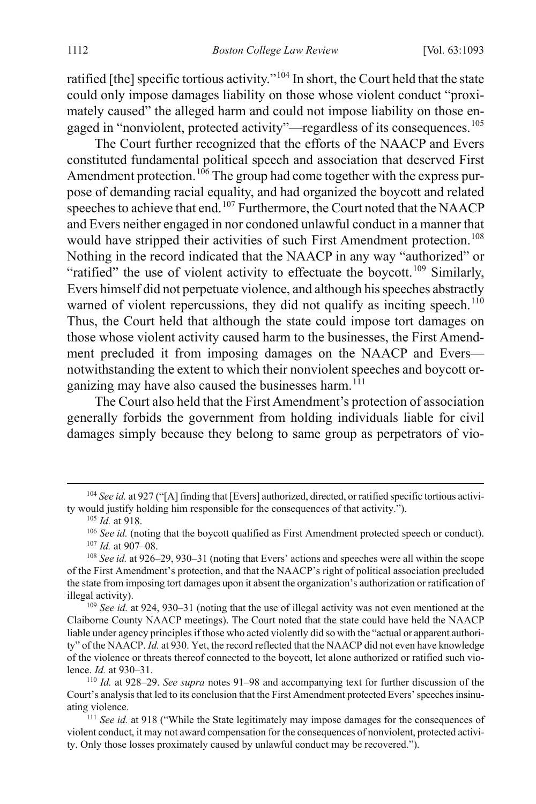ratified [the] specific tortious activity."[104](#page-20-0) In short, the Court held that the state could only impose damages liability on those whose violent conduct "proximately caused" the alleged harm and could not impose liability on those en-gaged in "nonviolent, protected activity"—regardless of its consequences.<sup>[105](#page-20-1)</sup>

The Court further recognized that the efforts of the NAACP and Evers constituted fundamental political speech and association that deserved First Amendment protection.<sup>[106](#page-20-2)</sup> The group had come together with the express purpose of demanding racial equality, and had organized the boycott and related speeches to achieve that end.<sup>[107](#page-20-3)</sup> Furthermore, the Court noted that the NAACP and Evers neither engaged in nor condoned unlawful conduct in a manner that would have stripped their activities of such First Amendment protection.<sup>[108](#page-20-4)</sup> Nothing in the record indicated that the NAACP in any way "authorized" or "ratified" the use of violent activity to effectuate the boycott.<sup>[109](#page-20-5)</sup> Similarly, Evers himself did not perpetuate violence, and although his speeches abstractly warned of violent repercussions, they did not qualify as inciting speech.<sup>[110](#page-20-6)</sup> Thus, the Court held that although the state could impose tort damages on those whose violent activity caused harm to the businesses, the First Amendment precluded it from imposing damages on the NAACP and Evers notwithstanding the extent to which their nonviolent speeches and boycott organizing may have also caused the businesses harm. $111$ 

The Court also held that the First Amendment's protection of association generally forbids the government from holding individuals liable for civil damages simply because they belong to same group as perpetrators of vio-

<span id="page-20-1"></span><span id="page-20-0"></span><sup>&</sup>lt;sup>104</sup> *See id.* at 927 ("[A] finding that [Evers] authorized, directed, or ratified specific tortious activity would justify holding him responsible for the consequences of that activity.").

<sup>105</sup> *Id.* at 918.

<sup>&</sup>lt;sup>106</sup> *See id.* (noting that the boycott qualified as First Amendment protected speech or conduct). <sup>107</sup> *Id.* at 907–08.

<span id="page-20-4"></span><span id="page-20-3"></span><span id="page-20-2"></span><sup>108</sup> *See id.* at 926–29, 930–31 (noting that Evers' actions and speeches were all within the scope of the First Amendment's protection, and that the NAACP's right of political association precluded the state from imposing tort damages upon it absent the organization's authorization or ratification of illegal activity).

<span id="page-20-5"></span><sup>109</sup> *See id.* at 924, 930–31 (noting that the use of illegal activity was not even mentioned at the Claiborne County NAACP meetings). The Court noted that the state could have held the NAACP liable under agency principles if those who acted violently did so with the "actual or apparent authority" of the NAACP. *Id.* at 930. Yet, the record reflected that the NAACP did not even have knowledge of the violence or threats thereof connected to the boycott, let alone authorized or ratified such violence. *Id.* at 930–31. 110 *Id.* at 928–29. *See supra* notes [91–](#page-18-12)[98](#page-18-0) and accompanying text for further discussion of the

<span id="page-20-6"></span>Court's analysis that led to its conclusion that the First Amendment protected Evers' speeches insinuating violence.

<span id="page-20-7"></span><sup>111</sup> *See id.* at 918 ("While the State legitimately may impose damages for the consequences of violent conduct, it may not award compensation for the consequences of nonviolent, protected activity. Only those losses proximately caused by unlawful conduct may be recovered.").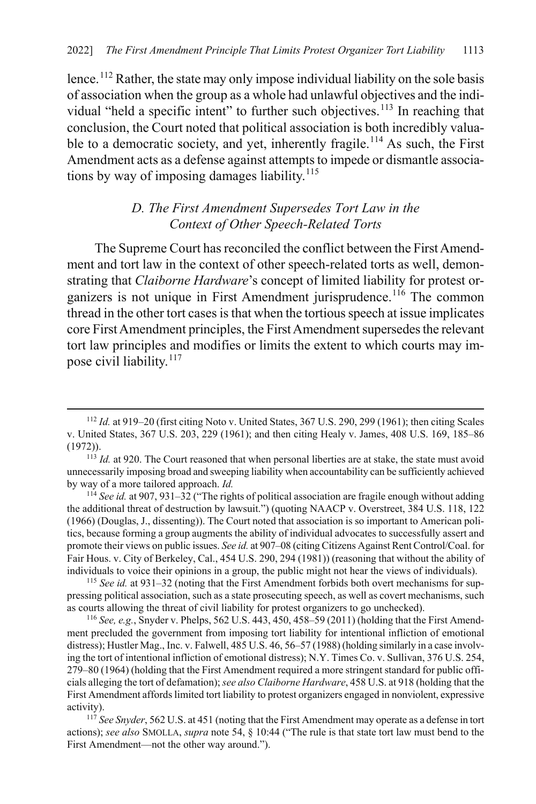<span id="page-21-1"></span>lence.<sup>[112](#page-21-3)</sup> Rather, the state may only impose individual liability on the sole basis of association when the group as a whole had unlawful objectives and the indi-vidual "held a specific intent" to further such objectives.<sup>[113](#page-21-4)</sup> In reaching that conclusion, the Court noted that political association is both incredibly valua-ble to a democratic society, and yet, inherently fragile.<sup>[114](#page-21-5)</sup> As such, the First Amendment acts as a defense against attempts to impede or dismantle associa-tions by way of imposing damages liability.<sup>[115](#page-21-6)</sup>

### <span id="page-21-2"></span><span id="page-21-0"></span>*D. The First Amendment Supersedes Tort Law in the Context of Other Speech-Related Torts*

The Supreme Court has reconciled the conflict between the First Amendment and tort law in the context of other speech-related torts as well, demonstrating that *Claiborne Hardware*'s concept of limited liability for protest or-ganizers is not unique in First Amendment jurisprudence.<sup>[116](#page-21-7)</sup> The common thread in the other tort cases is that when the tortious speech at issue implicates core First Amendment principles, the First Amendment supersedes the relevant tort law principles and modifies or limits the extent to which courts may im-pose civil liability.<sup>[117](#page-21-8)</sup>

<span id="page-21-5"></span><sup>114</sup> *See id.* at 907, 931–32 ("The rights of political association are fragile enough without adding the additional threat of destruction by lawsuit.") (quoting NAACP v. Overstreet, 384 U.S. 118, 122 (1966) (Douglas, J., dissenting)). The Court noted that association is so important to American politics, because forming a group augments the ability of individual advocates to successfully assert and promote their views on public issues. *See id.* at 907–08 (citing Citizens Against Rent Control/Coal. for Fair Hous. v. City of Berkeley, Cal., 454 U.S. 290, 294 (1981)) (reasoning that without the ability of individuals to voice their opinions in a group, the public might not hear the views of individuals).

<span id="page-21-6"></span><sup>115</sup> *See id.* at 931–32 (noting that the First Amendment forbids both overt mechanisms for suppressing political association, such as a state prosecuting speech, as well as covert mechanisms, such as courts allowing the threat of civil liability for protest organizers to go unchecked).

<span id="page-21-7"></span><sup>116</sup> *See, e.g.*, Snyder v. Phelps, 562 U.S. 443, 450, 458–59 (2011) (holding that the First Amendment precluded the government from imposing tort liability for intentional infliction of emotional distress); Hustler Mag., Inc. v. Falwell, 485 U.S. 46, 56–57 (1988) (holding similarly in a case involving the tort of intentional infliction of emotional distress); N.Y. Times Co. v. Sullivan, 376 U.S. 254, 279–80 (1964) (holding that the First Amendment required a more stringent standard for public officials alleging the tort of defamation); *see also Claiborne Hardware*, 458 U.S. at 918 (holding that the First Amendment affords limited tort liability to protest organizers engaged in nonviolent, expressive activity).

<span id="page-21-8"></span><sup>117</sup> *See Snyder*, 562 U.S. at 451 (noting that the First Amendment may operate as a defense in tort actions); *see also* SMOLLA, *supra* note [54,](#page-11-0) § 10:44 ("The rule is that state tort law must bend to the First Amendment—not the other way around.").

<span id="page-21-3"></span> <sup>112</sup> *Id.* at 919–20 (first citing Noto v. United States, 367 U.S. 290, 299 (1961); then citing Scales v. United States, 367 U.S. 203, 229 (1961); and then citing Healy v. James, 408 U.S. 169, 185–86 (1972)). 113 *Id.* at 920. The Court reasoned that when personal liberties are at stake, the state must avoid

<span id="page-21-4"></span>unnecessarily imposing broad and sweeping liability when accountability can be sufficiently achieved by way of a more tailored approach. *Id.*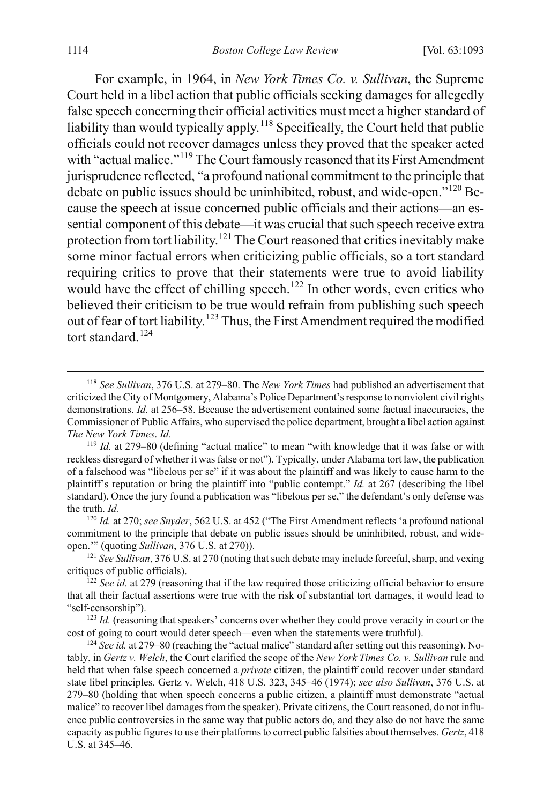For example, in 1964, in *New York Times Co. v. Sullivan*, the Supreme Court held in a libel action that public officials seeking damages for allegedly false speech concerning their official activities must meet a higher standard of liability than would typically apply.<sup>[118](#page-22-1)</sup> Specifically, the Court held that public officials could not recover damages unless they proved that the speaker acted with "actual malice."<sup>[119](#page-22-2)</sup> The Court famously reasoned that its First Amendment jurisprudence reflected, "a profound national commitment to the principle that debate on public issues should be uninhibited, robust, and wide-open."<sup>[120](#page-22-3)</sup> Because the speech at issue concerned public officials and their actions—an essential component of this debate—it was crucial that such speech receive extra protection from tort liability.<sup>[121](#page-22-4)</sup> The Court reasoned that critics inevitably make some minor factual errors when criticizing public officials, so a tort standard requiring critics to prove that their statements were true to avoid liability would have the effect of chilling speech.<sup>[122](#page-22-5)</sup> In other words, even critics who believed their criticism to be true would refrain from publishing such speech out of fear of tort liability.<sup>[123](#page-22-6)</sup> Thus, the First Amendment required the modified tort standard.<sup>[124](#page-22-7)</sup>

<span id="page-22-1"></span><span id="page-22-0"></span> <sup>118</sup> *See Sullivan*, 376 U.S. at 279–80. The *New York Times* had published an advertisement that criticized the City of Montgomery, Alabama's Police Department's response to nonviolent civil rights demonstrations. *Id.* at 256–58. Because the advertisement contained some factual inaccuracies, the Commissioner of Public Affairs, who supervised the police department, brought a libel action against *The New York Times*. *Id.*

<span id="page-22-2"></span><sup>119</sup> *Id.* at 279–80 (defining "actual malice" to mean "with knowledge that it was false or with reckless disregard of whether it was false or not"). Typically, under Alabama tort law, the publication of a falsehood was "libelous per se" if it was about the plaintiff and was likely to cause harm to the plaintiff's reputation or bring the plaintiff into "public contempt." *Id.* at 267 (describing the libel standard). Once the jury found a publication was "libelous per se," the defendant's only defense was the truth. *Id.*

<span id="page-22-3"></span><sup>120</sup> *Id.* at 270; *see Snyder*, 562 U.S. at 452 ("The First Amendment reflects 'a profound national commitment to the principle that debate on public issues should be uninhibited, robust, and wideopen.'" (quoting *Sullivan*, 376 U.S. at 270)).

<span id="page-22-4"></span><sup>121</sup> *See Sullivan*, 376 U.S. at 270 (noting that such debate may include forceful, sharp, and vexing critiques of public officials).

<span id="page-22-5"></span><sup>&</sup>lt;sup>122</sup> *See id.* at 279 (reasoning that if the law required those criticizing official behavior to ensure that all their factual assertions were true with the risk of substantial tort damages, it would lead to "self-censorship").

<span id="page-22-6"></span><sup>&</sup>lt;sup>123</sup> *Id.* (reasoning that speakers' concerns over whether they could prove veracity in court or the cost of going to court would deter speech—even when the statements were truthful).

<span id="page-22-7"></span><sup>124</sup> *See id.* at 279–80 (reaching the "actual malice" standard after setting out this reasoning). Notably, in *Gertz v. Welch*, the Court clarified the scope of the *New York Times Co. v. Sullivan* rule and held that when false speech concerned a *private* citizen, the plaintiff could recover under standard state libel principles. Gertz v. Welch, 418 U.S. 323, 345–46 (1974); *see also Sullivan*, 376 U.S. at 279–80 (holding that when speech concerns a public citizen, a plaintiff must demonstrate "actual malice" to recover libel damages from the speaker). Private citizens, the Court reasoned, do not influence public controversies in the same way that public actors do, and they also do not have the same capacity as public figures to use their platforms to correct public falsities about themselves. *Gertz*, 418 U.S. at 345–46.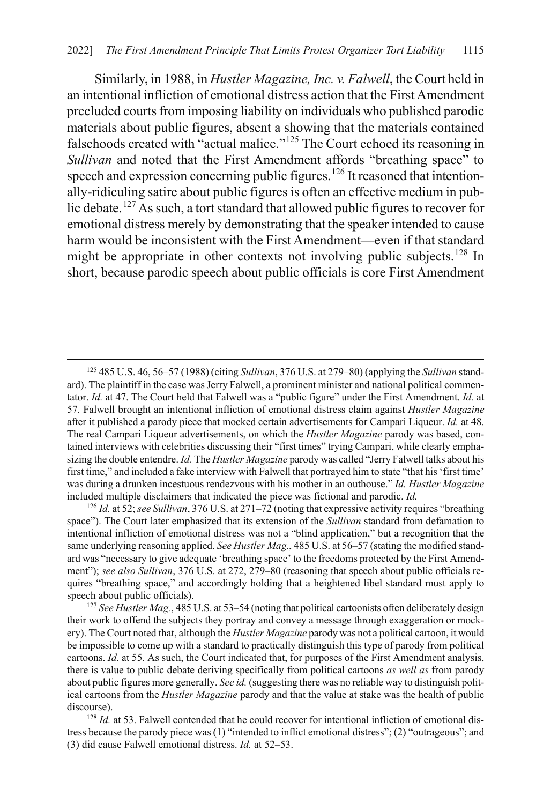Similarly, in 1988, in *Hustler Magazine, Inc. v. Falwell*, the Court held in an intentional infliction of emotional distress action that the First Amendment precluded courts from imposing liability on individuals who published parodic materials about public figures, absent a showing that the materials contained falsehoods created with "actual malice."[125](#page-23-0) The Court echoed its reasoning in *Sullivan* and noted that the First Amendment affords "breathing space" to speech and expression concerning public figures.<sup>[126](#page-23-1)</sup> It reasoned that intentionally-ridiculing satire about public figures is often an effective medium in public debate.[127](#page-23-2) As such, a tort standard that allowed public figures to recover for emotional distress merely by demonstrating that the speaker intended to cause harm would be inconsistent with the First Amendment—even if that standard might be appropriate in other contexts not involving public subjects.<sup>[128](#page-23-3)</sup> In short, because parodic speech about public officials is core First Amendment

<span id="page-23-0"></span> <sup>125</sup> 485 U.S. 46, 56–57 (1988) (citing *Sullivan*, 376 U.S. at 279–80) (applying the *Sullivan* standard). The plaintiff in the case was Jerry Falwell, a prominent minister and national political commentator. *Id.* at 47. The Court held that Falwell was a "public figure" under the First Amendment. *Id.* at 57. Falwell brought an intentional infliction of emotional distress claim against *Hustler Magazine* after it published a parody piece that mocked certain advertisements for Campari Liqueur. *Id.* at 48. The real Campari Liqueur advertisements, on which the *Hustler Magazine* parody was based, contained interviews with celebrities discussing their "first times" trying Campari, while clearly emphasizing the double entendre. *Id.* The *Hustler Magazine* parody was called "Jerry Falwell talks about his first time," and included a fake interview with Falwell that portrayed him to state "that his 'first time' was during a drunken incestuous rendezvous with his mother in an outhouse." *Id. Hustler Magazine* included multiple disclaimers that indicated the piece was fictional and parodic. *Id.*

<span id="page-23-1"></span><sup>126</sup> *Id.* at 52; *see Sullivan*, 376 U.S. at 271–72 (noting that expressive activity requires "breathing space"). The Court later emphasized that its extension of the *Sullivan* standard from defamation to intentional infliction of emotional distress was not a "blind application," but a recognition that the same underlying reasoning applied. *See Hustler Mag.*, 485 U.S. at 56–57 (stating the modified standard was "necessary to give adequate 'breathing space' to the freedoms protected by the First Amendment"); *see also Sullivan*, 376 U.S. at 272, 279–80 (reasoning that speech about public officials requires "breathing space," and accordingly holding that a heightened libel standard must apply to speech about public officials).

<span id="page-23-2"></span><sup>127</sup> *See Hustler Mag.*, 485 U.S. at 53–54 (noting that political cartoonists often deliberately design their work to offend the subjects they portray and convey a message through exaggeration or mockery). The Court noted that, although the *Hustler Magazine* parody was not a political cartoon, it would be impossible to come up with a standard to practically distinguish this type of parody from political cartoons. *Id.* at 55. As such, the Court indicated that, for purposes of the First Amendment analysis, there is value to public debate deriving specifically from political cartoons *as well as* from parody about public figures more generally. *See id.* (suggesting there was no reliable way to distinguish political cartoons from the *Hustler Magazine* parody and that the value at stake was the health of public discourse).<br><sup>128</sup> *Id.* at 53. Falwell contended that he could recover for intentional infliction of emotional dis-

<span id="page-23-3"></span>tress because the parody piece was (1) "intended to inflict emotional distress"; (2) "outrageous"; and (3) did cause Falwell emotional distress. *Id.* at 52–53.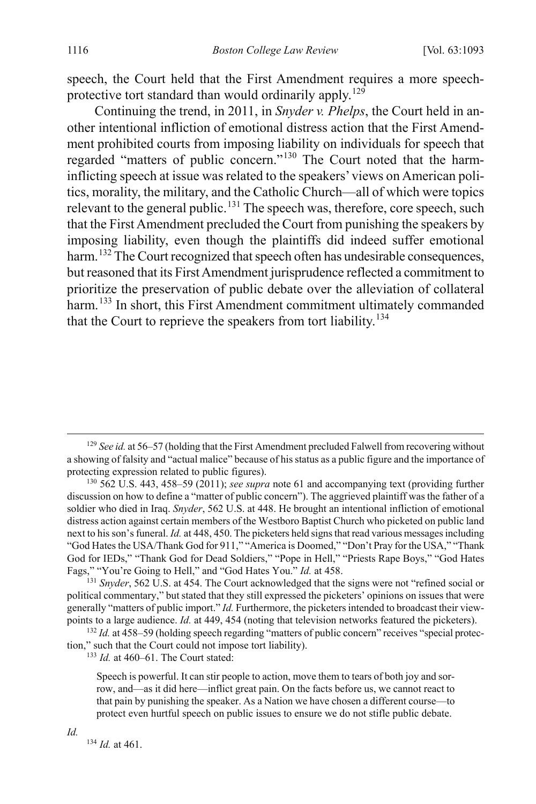speech, the Court held that the First Amendment requires a more speech-protective tort standard than would ordinarily apply.<sup>[129](#page-24-1)</sup>

Continuing the trend, in 2011, in *Snyder v. Phelps*, the Court held in another intentional infliction of emotional distress action that the First Amendment prohibited courts from imposing liability on individuals for speech that regarded "matters of public concern."[130](#page-24-2) The Court noted that the harminflicting speech at issue was related to the speakers' views on American politics, morality, the military, and the Catholic Church—all of which were topics relevant to the general public.<sup>[131](#page-24-3)</sup> The speech was, therefore, core speech, such that the First Amendment precluded the Court from punishing the speakers by imposing liability, even though the plaintiffs did indeed suffer emotional harm.<sup>[132](#page-24-4)</sup> The Court recognized that speech often has undesirable consequences, but reasoned that its First Amendment jurisprudence reflected a commitment to prioritize the preservation of public debate over the alleviation of collateral harm.<sup>[133](#page-24-5)</sup> In short, this First Amendment commitment ultimately commanded that the Court to reprieve the speakers from tort liability.<sup>[134](#page-24-6)</sup>

<span id="page-24-5"></span><span id="page-24-4"></span><sup>132</sup> *Id.* at 458–59 (holding speech regarding "matters of public concern" receives "special protection," such that the Court could not impose tort liability).

<sup>133</sup> *Id.* at 460–61. The Court stated:

Speech is powerful. It can stir people to action, move them to tears of both joy and sorrow, and—as it did here—inflict great pain. On the facts before us, we cannot react to that pain by punishing the speaker. As a Nation we have chosen a different course—to protect even hurtful speech on public issues to ensure we do not stifle public debate.

<span id="page-24-6"></span>*Id.*

<sup>134</sup> *Id.* at 461.

<span id="page-24-1"></span><span id="page-24-0"></span><sup>&</sup>lt;sup>129</sup> *See id.* at 56–57 (holding that the First Amendment precluded Falwell from recovering without a showing of falsity and "actual malice" because of his status as a public figure and the importance of protecting expression related to public figures).

<span id="page-24-2"></span><sup>130</sup> 562 U.S. 443, 458–59 (2011); *see supra* not[e 61](#page-12-0) and accompanying text (providing further discussion on how to define a "matter of public concern"). The aggrieved plaintiff was the father of a soldier who died in Iraq. *Snyder*, 562 U.S. at 448. He brought an intentional infliction of emotional distress action against certain members of the Westboro Baptist Church who picketed on public land next to his son's funeral. *Id.* at 448, 450. The picketers held signs that read various messages including "God Hates the USA/Thank God for 911," "America is Doomed," "Don't Pray for the USA," "Thank God for IEDs," "Thank God for Dead Soldiers," "Pope in Hell," "Priests Rape Boys," "God Hates Fags," "You're Going to Hell," and "God Hates You." *Id.* at 458.

<span id="page-24-3"></span><sup>&</sup>lt;sup>131</sup> Snyder, 562 U.S. at 454. The Court acknowledged that the signs were not "refined social or political commentary," but stated that they still expressed the picketers' opinions on issues that were generally "matters of public import." *Id.* Furthermore, the picketers intended to broadcast their viewpoints to a large audience. *Id.* at 449, 454 (noting that television networks featured the picketers).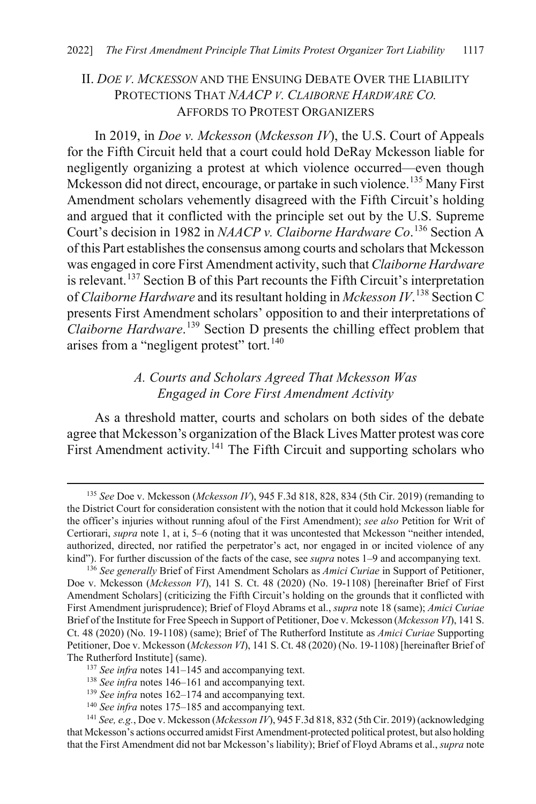#### II. *DOE V. MCKESSON* AND THE ENSUING DEBATE OVER THE LIABILITY PROTECTIONS THAT *NAACP V. CLAIBORNE HARDWARE CO.* AFFORDS TO PROTEST ORGANIZERS

In 2019, in *Doe v. Mckesson* (*Mckesson IV*), the U.S. Court of Appeals for the Fifth Circuit held that a court could hold DeRay Mckesson liable for negligently organizing a protest at which violence occurred—even though Mckesson did not direct, encourage, or partake in such violence.<sup>[135](#page-25-2)</sup> Many First Amendment scholars vehemently disagreed with the Fifth Circuit's holding and argued that it conflicted with the principle set out by the U.S. Supreme Court's decision in 1982 in *NAACP v. Claiborne Hardware Co*. [136](#page-25-3) Section A of this Part establishes the consensus among courts and scholars that Mckesson was engaged in core First Amendment activity, such that *Claiborne Hardware* is relevant.[137](#page-25-4) Section B of this Part recounts the Fifth Circuit's interpretation of *Claiborne Hardware* and its resultant holding in *Mckesson IV*. [138](#page-25-5) Section C presents First Amendment scholars' opposition to and their interpretations of *Claiborne Hardware*. [139](#page-25-6) Section D presents the chilling effect problem that arises from a "negligent protest" tort.<sup>[140](#page-25-7)</sup>

#### <span id="page-25-9"></span><span id="page-25-1"></span><span id="page-25-0"></span>*A. Courts and Scholars Agreed That Mckesson Was Engaged in Core First Amendment Activity*

As a threshold matter, courts and scholars on both sides of the debate agree that Mckesson's organization of the Black Lives Matter protest was core First Amendment activity.<sup>[141](#page-25-8)</sup> The Fifth Circuit and supporting scholars who

<span id="page-25-2"></span> <sup>135</sup> *See* Doe v. Mckesson (*Mckesson IV*), 945 F.3d 818, 828, 834 (5th Cir. 2019) (remanding to the District Court for consideration consistent with the notion that it could hold Mckesson liable for the officer's injuries without running afoul of the First Amendment); *see also* Petition for Writ of Certiorari, *supra* note [1,](#page-1-2) at i, 5–6 (noting that it was uncontested that Mckesson "neither intended, authorized, directed, nor ratified the perpetrator's act, nor engaged in or incited violence of any kind"). For further discussion of the facts of the case, see *supra* note[s 1](#page-1-3)[–9](#page-2-8) and accompanying text.

<span id="page-25-3"></span><sup>136</sup> *See generally* Brief of First Amendment Scholars as *Amici Curiae* in Support of Petitioner, Doe v. Mckesson (*Mckesson VI*), 141 S. Ct. 48 (2020) (No. 19-1108) [hereinafter Brief of First Amendment Scholars] (criticizing the Fifth Circuit's holding on the grounds that it conflicted with First Amendment jurisprudence); Brief of Floyd Abrams et al., *supra* note [18](#page-4-4) (same); *Amici Curiae* Brief of the Institute for Free Speech in Support of Petitioner, Doe v. Mckesson (*Mckesson VI*), 141 S. Ct. 48 (2020) (No. 19-1108) (same); Brief of The Rutherford Institute as *Amici Curiae* Supporting Petitioner, Doe v. Mckesson (*Mckesson VI*), 141 S. Ct. 48 (2020) (No. 19-1108) [hereinafter Brief of The Rutherford Institute] (same).

<sup>&</sup>lt;sup>137</sup> *See infra* notes [141–](#page-25-1)[145](#page-26-0) and accompanying text.

<sup>138</sup> *See infra* notes [146–](#page-26-1)[161](#page-29-0) and accompanying text.

<sup>139</sup> *See infra* notes [162–](#page-29-1)[174](#page-31-0) and accompanying text.

<sup>140</sup> *See infra* notes [175–](#page-32-0)[185](#page-33-0) and accompanying text.

<span id="page-25-8"></span><span id="page-25-7"></span><span id="page-25-6"></span><span id="page-25-5"></span><span id="page-25-4"></span><sup>141</sup> *See, e.g.*, Doe v. Mckesson (*Mckesson IV*), 945 F.3d 818, 832 (5th Cir. 2019) (acknowledging that Mckesson's actions occurred amidst First Amendment-protected political protest, but also holding that the First Amendment did not bar Mckesson's liability); Brief of Floyd Abrams et al., *supra* note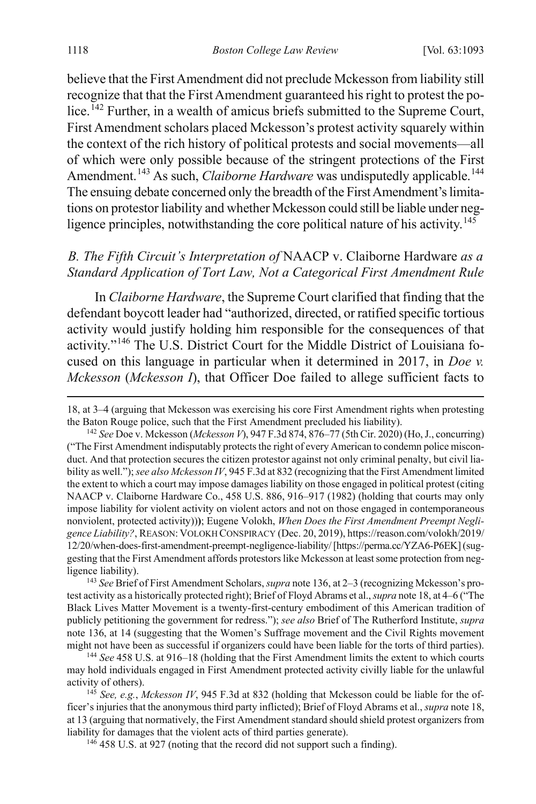<span id="page-26-7"></span>believe that the First Amendment did not preclude Mckesson from liability still recognize that that the First Amendment guaranteed his right to protest the po-lice.<sup>[142](#page-26-2)</sup> Further, in a wealth of amicus briefs submitted to the Supreme Court, First Amendment scholars placed Mckesson's protest activity squarely within the context of the rich history of political protests and social movements—all of which were only possible because of the stringent protections of the First Amendment.<sup>[143](#page-26-3)</sup> As such, *Claiborne Hardware* was undisputedly applicable.<sup>[144](#page-26-4)</sup> The ensuing debate concerned only the breadth of the First Amendment's limitations on protestor liability and whether Mckesson could still be liable under neg-ligence principles, notwithstanding the core political nature of his activity.<sup>[145](#page-26-5)</sup>

### <span id="page-26-0"></span>*B. The Fifth Circuit's Interpretation of* NAACP v. Claiborne Hardware *as a Standard Application of Tort Law, Not a Categorical First Amendment Rule*

<span id="page-26-1"></span>In *Claiborne Hardware*, the Supreme Court clarified that finding that the defendant boycott leader had "authorized, directed, or ratified specific tortious activity would justify holding him responsible for the consequences of that activity."[146](#page-26-6) The U.S. District Court for the Middle District of Louisiana focused on this language in particular when it determined in 2017, in *Doe v. Mckesson* (*Mckesson I*), that Officer Doe failed to allege sufficient facts to

<span id="page-26-3"></span>143 *See* Brief of First Amendment Scholars, *supra* not[e 136,](#page-25-9) at 2–3 (recognizing Mckesson's protest activity as a historically protected right); Brief of Floyd Abrams et al., *supra* not[e 18,](#page-4-4) at 4–6 ("The Black Lives Matter Movement is a twenty-first-century embodiment of this American tradition of publicly petitioning the government for redress."); *see also* Brief of The Rutherford Institute, *supra*  note [136,](#page-25-9) at 14 (suggesting that the Women's Suffrage movement and the Civil Rights movement might not have been as successful if organizers could have been liable for the torts of third parties).

<span id="page-26-4"></span><sup>144</sup> *See* 458 U.S. at 916–18 (holding that the First Amendment limits the extent to which courts may hold individuals engaged in First Amendment protected activity civilly liable for the unlawful activity of others).

<span id="page-26-6"></span><span id="page-26-5"></span><sup>145</sup> *See, e.g.*, *Mckesson IV*, 945 F.3d at 832 (holding that Mckesson could be liable for the officer's injuries that the anonymous third party inflicted); Brief of Floyd Abrams et al., *supra* not[e 18,](#page-4-4) at 13 (arguing that normatively, the First Amendment standard should shield protest organizers from liability for damages that the violent acts of third parties generate).

<sup>146</sup> 458 U.S. at 927 (noting that the record did not support such a finding).

[<sup>18,</sup>](#page-4-4) at 3–4 (arguing that Mckesson was exercising his core First Amendment rights when protesting the Baton Rouge police, such that the First Amendment precluded his liability).

<span id="page-26-2"></span><sup>142</sup> *See* Doe v. Mckesson (*Mckesson V*), 947 F.3d 874, 876–77 (5th Cir. 2020) (Ho, J., concurring) ("The First Amendment indisputably protects the right of every American to condemn police misconduct. And that protection secures the citizen protestor against not only criminal penalty, but civil liability as well."); *see also Mckesson IV*, 945 F.3d at 832 (recognizing that the First Amendment limited the extent to which a court may impose damages liability on those engaged in political protest (citing NAACP v. Claiborne Hardware Co., 458 U.S. 886, 916–917 (1982) (holding that courts may only impose liability for violent activity on violent actors and not on those engaged in contemporaneous nonviolent, protected activity))**)**; Eugene Volokh, *When Does the First Amendment Preempt Negligence Liability?*, REASON: VOLOKH CONSPIRACY (Dec. 20, 2019), https://reason.com/volokh/2019/ 12/20/when-does-first-amendment-preempt-negligence-liability/ [https://perma.cc/YZA6-P6EK](suggesting that the First Amendment affords protestors like Mckesson at least some protection from negligence liability).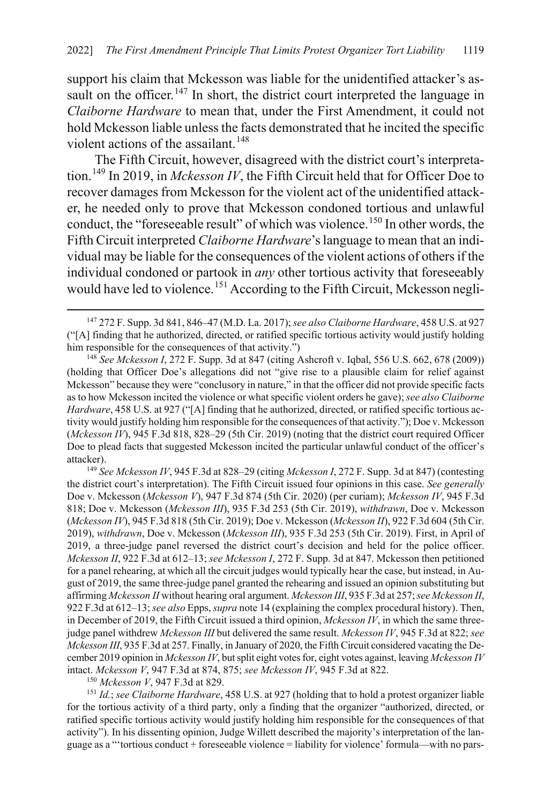support his claim that Mckesson was liable for the unidentified attacker's as-sault on the officer.<sup>[147](#page-27-1)</sup> In short, the district court interpreted the language in *Claiborne Hardware* to mean that, under the First Amendment, it could not hold Mckesson liable unless the facts demonstrated that he incited the specific violent actions of the assailant.<sup>[148](#page-27-2)</sup>

<span id="page-27-6"></span><span id="page-27-0"></span>The Fifth Circuit, however, disagreed with the district court's interpretation.[149](#page-27-3) In 2019, in *Mckesson IV*, the Fifth Circuit held that for Officer Doe to recover damages from Mckesson for the violent act of the unidentified attacker, he needed only to prove that Mckesson condoned tortious and unlawful conduct, the "foreseeable result" of which was violence.<sup>[150](#page-27-4)</sup> In other words, the Fifth Circuit interpreted *Claiborne Hardware*'s language to mean that an individual may be liable for the consequences of the violent actions of others if the individual condoned or partook in *any* other tortious activity that foreseeably would have led to violence.<sup>[151](#page-27-5)</sup> According to the Fifth Circuit, Mckesson negli-

<span id="page-27-2"></span>(holding that Officer Doe's allegations did not "give rise to a plausible claim for relief against Mckesson" because they were "conclusory in nature," in that the officer did not provide specific facts as to how Mckesson incited the violence or what specific violent orders he gave); *see also Claiborne Hardware*, 458 U.S. at 927 ("[A] finding that he authorized, directed, or ratified specific tortious activity would justify holding him responsible for the consequences of that activity."); Doe v. Mckesson (*Mckesson IV*), 945 F.3d 818, 828–29 (5th Cir. 2019) (noting that the district court required Officer Doe to plead facts that suggested Mckesson incited the particular unlawful conduct of the officer's attacker).

<span id="page-27-3"></span><sup>149</sup> *See Mckesson IV*, 945 F.3d at 828–29 (citing *Mckesson I*, 272 F. Supp. 3d at 847) (contesting the district court's interpretation). The Fifth Circuit issued four opinions in this case. *See generally*  Doe v. Mckesson (*Mckesson V*), 947 F.3d 874 (5th Cir. 2020) (per curiam); *Mckesson IV*, 945 F.3d 818; Doe v. Mckesson (*Mckesson III*), 935 F.3d 253 (5th Cir. 2019), *withdrawn*, Doe v. Mckesson (*Mckesson IV*), 945 F.3d 818 (5th Cir. 2019); Doe v. Mckesson (*Mckesson II*), 922 F.3d 604 (5th Cir. 2019), *withdrawn*, Doe v. Mckesson (*Mckesson III*), 935 F.3d 253 (5th Cir. 2019). First, in April of 2019, a three-judge panel reversed the district court's decision and held for the police officer. *Mckesson II*, 922 F.3d at 612–13; *see Mckesson I*, 272 F. Supp. 3d at 847. Mckesson then petitioned for a panel rehearing, at which all the circuit judges would typically hear the case, but instead, in August of 2019, the same three-judge panel granted the rehearing and issued an opinion substituting but affirming *Mckesson II* without hearing oral argument. *Mckesson III*, 935 F.3d at 257; *see Mckesson II*, 922 F.3d at 612–13; *see also* Epps, *supra* not[e 14](#page-3-7) (explaining the complex procedural history). Then, in December of 2019, the Fifth Circuit issued a third opinion, *Mckesson IV*, in which the same threejudge panel withdrew *Mckesson III* but delivered the same result. *Mckesson IV*, 945 F.3d at 822; *see Mckesson III*, 935 F.3d at 257. Finally, in January of 2020, the Fifth Circuit considered vacating the December 2019 opinion in *Mckesson IV*, but split eight votes for, eight votes against, leaving *Mckesson IV*  intact. *Mckesson V*, 947 F.3d at 874, 875; *see Mckesson IV*, 945 F.3d at 822.

<sup>150</sup> *Mckesson V*, 947 F.3d at 829.

<span id="page-27-5"></span><span id="page-27-4"></span><sup>151</sup> *Id.*; *see Claiborne Hardware*, 458 U.S. at 927 (holding that to hold a protest organizer liable for the tortious activity of a third party, only a finding that the organizer "authorized, directed, or ratified specific tortious activity would justify holding him responsible for the consequences of that activity"). In his dissenting opinion, Judge Willett described the majority's interpretation of the language as a "'tortious conduct + foreseeable violence = liability for violence' formula—with no pars-

<span id="page-27-1"></span> <sup>147</sup> 272 F. Supp. 3d 841, 846–47 (M.D. La. 2017); *see also Claiborne Hardware*, 458 U.S. at 927 ("[A] finding that he authorized, directed, or ratified specific tortious activity would justify holding him responsible for the consequences of that activity.")<br><sup>148</sup> *See Mckesson I*, 272 F. Supp. 3d at 847 (citing Ashcroft v. Iqbal, 556 U.S. 662, 678 (2009))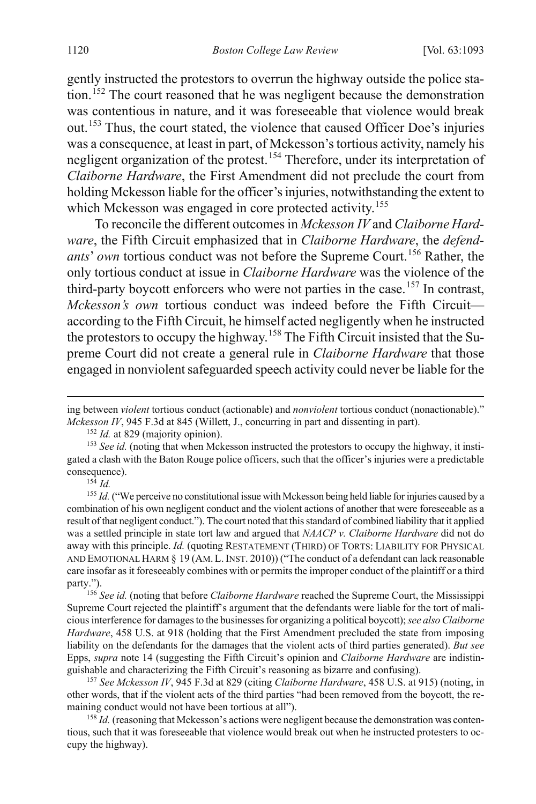gently instructed the protestors to overrun the highway outside the police sta-tion.<sup>[152](#page-28-0)</sup> The court reasoned that he was negligent because the demonstration was contentious in nature, and it was foreseeable that violence would break out.[153](#page-28-1) Thus, the court stated, the violence that caused Officer Doe's injuries was a consequence, at least in part, of Mckesson's tortious activity, namely his negligent organization of the protest.[154](#page-28-2) Therefore, under its interpretation of *Claiborne Hardware*, the First Amendment did not preclude the court from holding Mckesson liable for the officer's injuries, notwithstanding the extent to which Mckesson was engaged in core protected activity.<sup>[155](#page-28-3)</sup>

To reconcile the different outcomes in *Mckesson IV* and *Claiborne Hardware*, the Fifth Circuit emphasized that in *Claiborne Hardware*, the *defendants' own* tortious conduct was not before the Supreme Court.<sup>[156](#page-28-4)</sup> Rather, the only tortious conduct at issue in *Claiborne Hardware* was the violence of the third-party boycott enforcers who were not parties in the case.<sup>[157](#page-28-5)</sup> In contrast, *Mckesson's own* tortious conduct was indeed before the Fifth Circuit according to the Fifth Circuit, he himself acted negligently when he instructed the protestors to occupy the highway.<sup>[158](#page-28-6)</sup> The Fifth Circuit insisted that the Supreme Court did not create a general rule in *Claiborne Hardware* that those engaged in nonviolent safeguarded speech activity could never be liable for the

 $\overline{a}$ 

<span id="page-28-3"></span><span id="page-28-2"></span><sup>155</sup> *Id.* ("We perceive no constitutional issue with Mckesson being held liable for injuries caused by a combination of his own negligent conduct and the violent actions of another that were foreseeable as a result of that negligent conduct."). The court noted that this standard of combined liability that it applied was a settled principle in state tort law and argued that *NAACP v. Claiborne Hardware* did not do away with this principle. *Id.* (quoting RESTATEMENT (THIRD) OF TORTS: LIABILITY FOR PHYSICAL AND EMOTIONAL HARM § 19 (AM.L.INST. 2010)) ("The conduct of a defendant can lack reasonable care insofar as it foreseeably combines with or permits the improper conduct of the plaintiff or a third party.").

<span id="page-28-4"></span><sup>156</sup> *See id.* (noting that before *Claiborne Hardware* reached the Supreme Court, the Mississippi Supreme Court rejected the plaintiff's argument that the defendants were liable for the tort of malicious interference for damages to the businesses for organizing a political boycott); *see also Claiborne Hardware*, 458 U.S. at 918 (holding that the First Amendment precluded the state from imposing liability on the defendants for the damages that the violent acts of third parties generated). *But see*  Epps, *supra* not[e 14](#page-3-7) (suggesting the Fifth Circuit's opinion and *Claiborne Hardware* are indistinguishable and characterizing the Fifth Circuit's reasoning as bizarre and confusing).

<span id="page-28-5"></span><sup>157</sup> *See Mckesson IV*, 945 F.3d at 829 (citing *Claiborne Hardware*, 458 U.S. at 915) (noting, in other words, that if the violent acts of the third parties "had been removed from the boycott, the remaining conduct would not have been tortious at all").

<span id="page-28-6"></span><sup>158</sup> *Id.* (reasoning that Mckesson's actions were negligent because the demonstration was contentious, such that it was foreseeable that violence would break out when he instructed protesters to occupy the highway).

ing between *violent* tortious conduct (actionable) and *nonviolent* tortious conduct (nonactionable)." *Mckesson IV*, 945 F.3d at 845 (Willett, J., concurring in part and dissenting in part).

<sup>&</sup>lt;sup>152</sup> *Id.* at 829 (majority opinion).

<span id="page-28-1"></span><span id="page-28-0"></span><sup>153</sup> *See id.* (noting that when Mckesson instructed the protestors to occupy the highway, it instigated a clash with the Baton Rouge police officers, such that the officer's injuries were a predictable consequence). 154 *Id.*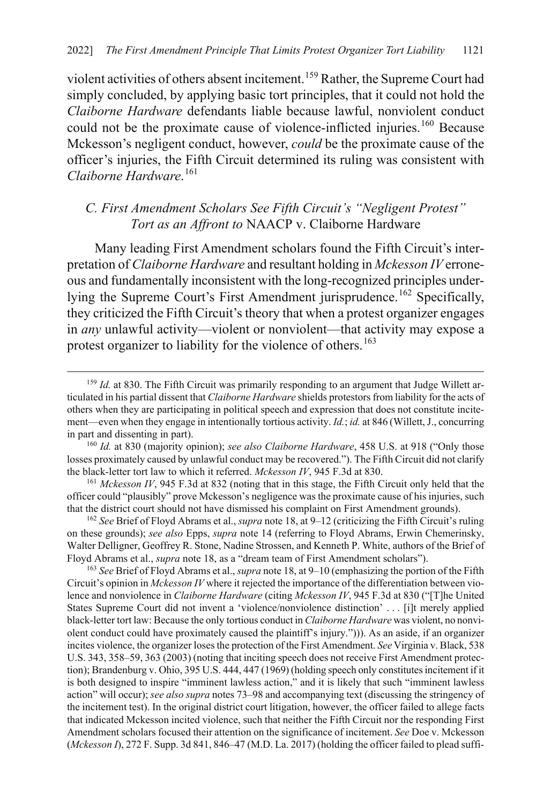violent activities of others absent incitement.[159](#page-29-2) Rather, the Supreme Court had simply concluded, by applying basic tort principles, that it could not hold the *Claiborne Hardware* defendants liable because lawful, nonviolent conduct could not be the proximate cause of violence-inflicted injuries.<sup>[160](#page-29-3)</sup> Because Mckesson's negligent conduct, however, *could* be the proximate cause of the officer's injuries, the Fifth Circuit determined its ruling was consistent with *Claiborne Hardware*. [161](#page-29-4)

### <span id="page-29-1"></span><span id="page-29-0"></span>*C. First Amendment Scholars See Fifth Circuit's "Negligent Protest" Tort as an Affront to* NAACP v. Claiborne Hardware

Many leading First Amendment scholars found the Fifth Circuit's interpretation of *Claiborne Hardware* and resultant holding in *Mckesson IV* erroneous and fundamentally inconsistent with the long-recognized principles under-lying the Supreme Court's First Amendment jurisprudence.<sup>[162](#page-29-5)</sup> Specifically, they criticized the Fifth Circuit's theory that when a protest organizer engages in *any* unlawful activity—violent or nonviolent—that activity may expose a protest organizer to liability for the violence of others.<sup>[163](#page-29-6)</sup>

<span id="page-29-4"></span><sup>161</sup> *Mckesson IV*, 945 F.3d at 832 (noting that in this stage, the Fifth Circuit only held that the officer could "plausibly" prove Mckesson's negligence was the proximate cause of his injuries, such that the district court should not have dismissed his complaint on First Amendment grounds).

<span id="page-29-5"></span><sup>162</sup> *See* Brief of Floyd Abrams et al., *supra* not[e 18,](#page-4-4) at 9–12 (criticizing the Fifth Circuit's ruling on these grounds); *see also* Epps, *supra* not[e 14](#page-3-7) (referring to Floyd Abrams, Erwin Chemerinsky, Walter Delligner, Geoffrey R. Stone, Nadine Strossen, and Kenneth P. White, authors of the Brief of Floyd Abrams et al., *supra* note [18,](#page-4-4) as a "dream team of First Amendment scholars").

<span id="page-29-6"></span><sup>163</sup> *See* Brief of Floyd Abrams et al., *supra* not[e 18,](#page-4-4) at 9–10 (emphasizing the portion of the Fifth Circuit's opinion in *Mckesson IV* where it rejected the importance of the differentiation between violence and nonviolence in *Claiborne Hardware* (citing *Mckesson IV*, 945 F.3d at 830 ("[T]he United States Supreme Court did not invent a 'violence/nonviolence distinction' . . . [i]t merely applied black-letter tort law: Because the only tortious conduct in *Claiborne Hardware* was violent, no nonviolent conduct could have proximately caused the plaintiff's injury."))). As an aside, if an organizer incites violence, the organizer loses the protection of the First Amendment. *See* Virginia v. Black, 538 U.S. 343, 358–59, 363 (2003) (noting that inciting speech does not receive First Amendment protection); Brandenburg v. Ohio, 395 U.S. 444, 447 (1969) (holding speech only constitutes incitement if it is both designed to inspire "imminent lawless action," and it is likely that such "imminent lawless action" will occur); *see also supra* note[s 73](#page-15-1)[–98](#page-18-0) and accompanying text (discussing the stringency of the incitement test). In the original district court litigation, however, the officer failed to allege facts that indicated Mckesson incited violence, such that neither the Fifth Circuit nor the responding First Amendment scholars focused their attention on the significance of incitement. *See* Doe v. Mckesson (*Mckesson I*), 272 F. Supp. 3d 841, 846–47 (M.D. La. 2017) (holding the officer failed to plead suffi-

<span id="page-29-2"></span><sup>&</sup>lt;sup>159</sup> *Id.* at 830. The Fifth Circuit was primarily responding to an argument that Judge Willett articulated in his partial dissent that *Claiborne Hardware* shields protestors from liability for the acts of others when they are participating in political speech and expression that does not constitute incitement—even when they engage in intentionally tortious activity. *Id.*; *id.* at 846 (Willett, J., concurring in part and dissenting in part).

<span id="page-29-3"></span><sup>160</sup> *Id.* at 830 (majority opinion); *see also Claiborne Hardware*, 458 U.S. at 918 ("Only those losses proximately caused by unlawful conduct may be recovered."). The Fifth Circuit did not clarify the black-letter tort law to which it referred. *Mckesson IV*, 945 F.3d at 830.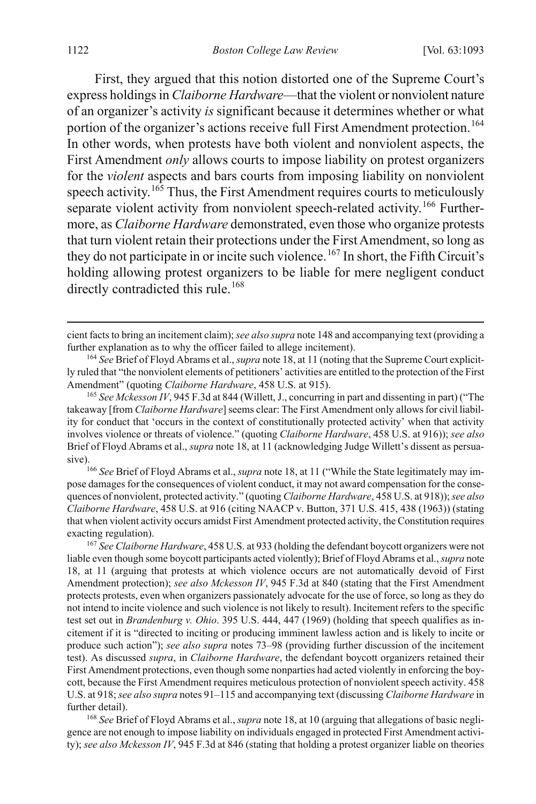First, they argued that this notion distorted one of the Supreme Court's express holdings in *Claiborne Hardware*—that the violent or nonviolent nature of an organizer's activity *is* significant because it determines whether or what portion of the organizer's actions receive full First Amendment protection.<sup>[164](#page-30-0)</sup> In other words, when protests have both violent and nonviolent aspects, the First Amendment *only* allows courts to impose liability on protest organizers for the *violent* aspects and bars courts from imposing liability on nonviolent speech activity.<sup>[165](#page-30-1)</sup> Thus, the First Amendment requires courts to meticulously separate violent activity from nonviolent speech-related activity.<sup>[166](#page-30-2)</sup> Furthermore, as *Claiborne Hardware* demonstrated, even those who organize protests that turn violent retain their protections under the First Amendment, so long as they do not participate in or incite such violence.<sup>[167](#page-30-3)</sup> In short, the Fifth Circuit's holding allowing protest organizers to be liable for mere negligent conduct directly contradicted this rule.<sup>[168](#page-30-4)</sup>

<span id="page-30-2"></span>pose damages for the consequences of violent conduct, it may not award compensation for the consequences of nonviolent, protected activity." (quoting *Claiborne Hardware*, 458 U.S. at 918)); *see also Claiborne Hardware*, 458 U.S. at 916 (citing NAACP v. Button, 371 U.S. 415, 438 (1963)) (stating that when violent activity occurs amidst First Amendment protected activity, the Constitution requires exacting regulation).

<span id="page-30-3"></span><sup>167</sup> *See Claiborne Hardware*, 458 U.S. at 933 (holding the defendant boycott organizers were not liable even though some boycott participants acted violently); Brief of Floyd Abrams et al., *supra* note [18,](#page-4-4) at 11 (arguing that protests at which violence occurs are not automatically devoid of First Amendment protection); *see also Mckesson IV*, 945 F.3d at 840 (stating that the First Amendment protects protests, even when organizers passionately advocate for the use of force, so long as they do not intend to incite violence and such violence is not likely to result). Incitement refers to the specific test set out in *Brandenburg v. Ohio*. 395 U.S. 444, 447 (1969) (holding that speech qualifies as incitement if it is "directed to inciting or producing imminent lawless action and is likely to incite or produce such action"); *see also supra* notes [73](#page-15-1)[–98](#page-18-0) (providing further discussion of the incitement test). As discussed *supra*, in *Claiborne Hardware*, the defendant boycott organizers retained their First Amendment protections, even though some nonparties had acted violently in enforcing the boycott, because the First Amendment requires meticulous protection of nonviolent speech activity. 458 U.S. at 918; *see also supra* note[s 91–](#page-18-12)[115](#page-21-0) and accompanying text (discussing *Claiborne Hardware* in further detail).

<span id="page-30-4"></span>168 *See* Brief of Floyd Abrams et al., *supra* not[e 18,](#page-4-4) at 10 (arguing that allegations of basic negligence are not enough to impose liability on individuals engaged in protected First Amendment activity); *see also Mckesson IV*, 945 F.3d at 846 (stating that holding a protest organizer liable on theories

cient facts to bring an incitement claim); *see also supra* not[e 148](#page-27-6) and accompanying text (providing a further explanation as to why the officer failed to allege incitement).

<span id="page-30-0"></span><sup>164</sup> *See* Brief of Floyd Abrams et al., *supra* not[e 18,](#page-4-4) at 11 (noting that the Supreme Court explicitly ruled that "the nonviolent elements of petitioners' activities are entitled to the protection of the First Amendment" (quoting *Claiborne Hardware*, 458 U.S. at 915).

<span id="page-30-1"></span><sup>165</sup> *See Mckesson IV*, 945 F.3d at 844 (Willett, J., concurring in part and dissenting in part) ("The takeaway [from *Claiborne Hardware*] seems clear: The First Amendment only allows for civil liability for conduct that 'occurs in the context of constitutionally protected activity' when that activity involves violence or threats of violence." (quoting *Claiborne Hardware*, 458 U.S. at 916)); *see also*  Brief of Floyd Abrams et al., *supra* not[e 18,](#page-4-4) at 11 (acknowledging Judge Willett's dissent as persuasive).<br><sup>166</sup> *See* Brief of Floyd Abrams et al., *supra* not[e 18,](#page-4-4) at 11 ("While the State legitimately may im-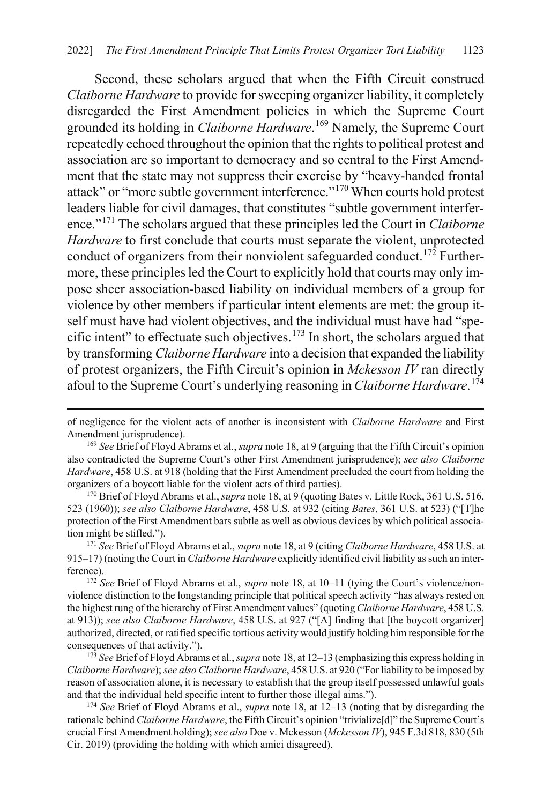Second, these scholars argued that when the Fifth Circuit construed *Claiborne Hardware* to provide for sweeping organizer liability, it completely disregarded the First Amendment policies in which the Supreme Court grounded its holding in *Claiborne Hardware*. [169](#page-31-1) Namely, the Supreme Court repeatedly echoed throughout the opinion that the rights to political protest and association are so important to democracy and so central to the First Amendment that the state may not suppress their exercise by "heavy-handed frontal attack" or "more subtle government interference."[170](#page-31-2) When courts hold protest leaders liable for civil damages, that constitutes "subtle government interference."[171](#page-31-3) The scholars argued that these principles led the Court in *Claiborne Hardware* to first conclude that courts must separate the violent, unprotected conduct of organizers from their nonviolent safeguarded conduct.<sup>[172](#page-31-4)</sup> Furthermore, these principles led the Court to explicitly hold that courts may only impose sheer association-based liability on individual members of a group for violence by other members if particular intent elements are met: the group itself must have had violent objectives, and the individual must have had "specific intent" to effectuate such objectives.[173](#page-31-5) In short, the scholars argued that by transforming *Claiborne Hardware* into a decision that expanded the liability of protest organizers, the Fifth Circuit's opinion in *Mckesson IV* ran directly afoul to the Supreme Court's underlying reasoning in *Claiborne Hardware*. [174](#page-31-6)

<span id="page-31-0"></span>of negligence for the violent acts of another is inconsistent with *Claiborne Hardware* and First Amendment jurisprudence).

<span id="page-31-1"></span><sup>169</sup> *See* Brief of Floyd Abrams et al., *supra* not[e 18,](#page-4-4) at 9 (arguing that the Fifth Circuit's opinion also contradicted the Supreme Court's other First Amendment jurisprudence); *see also Claiborne Hardware*, 458 U.S. at 918 (holding that the First Amendment precluded the court from holding the organizers of a boycott liable for the violent acts of third parties).

<span id="page-31-2"></span><sup>170</sup> Brief of Floyd Abrams et al., *supra* not[e 18,](#page-4-4) at 9 (quoting Bates v. Little Rock, 361 U.S. 516, 523 (1960)); *see also Claiborne Hardware*, 458 U.S. at 932 (citing *Bates*, 361 U.S. at 523) ("[T]he protection of the First Amendment bars subtle as well as obvious devices by which political association might be stifled.").

<span id="page-31-3"></span><sup>171</sup> *See* Brief of Floyd Abrams et al., *supra* not[e 18,](#page-4-4) at 9 (citing *Claiborne Hardware*, 458 U.S. at 915–17) (noting the Court in *Claiborne Hardware* explicitly identified civil liability as such an interference). 172 *See* Brief of Floyd Abrams et al., *supra* note [18,](#page-4-4) at 10–11 (tying the Court's violence/non-

<span id="page-31-4"></span>violence distinction to the longstanding principle that political speech activity "has always rested on the highest rung of the hierarchy of First Amendment values" (quoting *Claiborne Hardware*, 458 U.S. at 913)); *see also Claiborne Hardware*, 458 U.S. at 927 ("[A] finding that [the boycott organizer] authorized, directed, or ratified specific tortious activity would justify holding him responsible for the consequences of that activity.").

<span id="page-31-5"></span><sup>173</sup> *See* Brief of Floyd Abrams et al., *supra* not[e 18,](#page-4-4) at 12–13 (emphasizing this express holding in *Claiborne Hardware*); *see also Claiborne Hardware*, 458 U.S. at 920 ("For liability to be imposed by reason of association alone, it is necessary to establish that the group itself possessed unlawful goals and that the individual held specific intent to further those illegal aims.").

<span id="page-31-6"></span><sup>174</sup> *See* Brief of Floyd Abrams et al., *supra* note [18,](#page-4-4) at 12–13 (noting that by disregarding the rationale behind *Claiborne Hardware*, the Fifth Circuit's opinion "trivialize[d]" the Supreme Court's crucial First Amendment holding); *see also* Doe v. Mckesson (*Mckesson IV*), 945 F.3d 818, 830 (5th Cir. 2019) (providing the holding with which amici disagreed).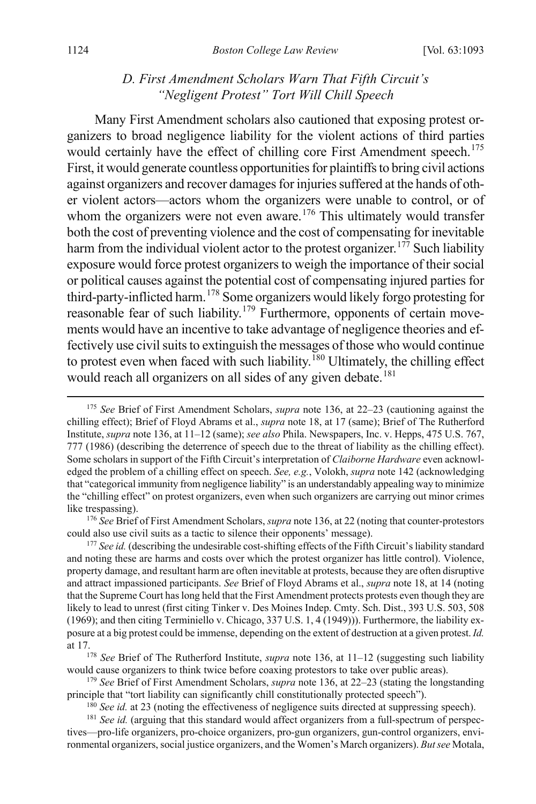#### <span id="page-32-0"></span>*D. First Amendment Scholars Warn That Fifth Circuit's "Negligent Protest" Tort Will Chill Speech*

Many First Amendment scholars also cautioned that exposing protest organizers to broad negligence liability for the violent actions of third parties would certainly have the effect of chilling core First Amendment speech.<sup>[175](#page-32-1)</sup> First, it would generate countless opportunities for plaintiffs to bring civil actions against organizers and recover damages for injuries suffered at the hands of other violent actors—actors whom the organizers were unable to control, or of whom the organizers were not even aware.<sup>[176](#page-32-2)</sup> This ultimately would transfer both the cost of preventing violence and the cost of compensating for inevitable harm from the individual violent actor to the protest organizer.<sup>[177](#page-32-3)</sup> Such liability exposure would force protest organizers to weigh the importance of their social or political causes against the potential cost of compensating injured parties for third-party-inflicted harm.<sup>[178](#page-32-4)</sup> Some organizers would likely forgo protesting for reasonable fear of such liability.[179](#page-32-5) Furthermore, opponents of certain movements would have an incentive to take advantage of negligence theories and effectively use civil suits to extinguish the messages of those who would continue to protest even when faced with such liability.<sup>[180](#page-32-6)</sup> Ultimately, the chilling effect would reach all organizers on all sides of any given debate.<sup>[181](#page-32-7)</sup>

<span id="page-32-2"></span><sup>176</sup> *See* Brief of First Amendment Scholars, *supra* not[e 136,](#page-25-9) at 22 (noting that counter-protestors could also use civil suits as a tactic to silence their opponents' message).

<span id="page-32-3"></span><sup>177</sup> See id. (describing the undesirable cost-shifting effects of the Fifth Circuit's liability standard and noting these are harms and costs over which the protest organizer has little control). Violence, property damage, and resultant harm are often inevitable at protests, because they are often disruptive and attract impassioned participants. *See* Brief of Floyd Abrams et al., *supra* note [18,](#page-4-4) at 14 (noting that the Supreme Court has long held that the First Amendment protects protests even though they are likely to lead to unrest (first citing Tinker v. Des Moines Indep. Cmty. Sch. Dist., 393 U.S. 503, 508 (1969); and then citing Terminiello v. Chicago, 337 U.S. 1, 4 (1949))). Furthermore, the liability exposure at a big protest could be immense, depending on the extent of destruction at a given protest. *Id.*  at 17.178 *See* Brief of The Rutherford Institute, *supra* note [136,](#page-25-9) at 11–12 (suggesting such liability

<span id="page-32-4"></span>would cause organizers to think twice before coaxing protestors to take over public areas).

<span id="page-32-5"></span><sup>179</sup> *See* Brief of First Amendment Scholars, *supra* not[e 136,](#page-25-9) at 22–23 (stating the longstanding principle that "tort liability can significantly chill constitutionally protected speech").

<sup>180</sup> *See id.* at 23 (noting the effectiveness of negligence suits directed at suppressing speech).

<span id="page-32-7"></span><span id="page-32-6"></span><sup>181</sup> See id. (arguing that this standard would affect organizers from a full-spectrum of perspectives—pro-life organizers, pro-choice organizers, pro-gun organizers, gun-control organizers, environmental organizers, social justice organizers, and the Women's March organizers). *But see* Motala,

<span id="page-32-1"></span> <sup>175</sup> *See* Brief of First Amendment Scholars, *supra* note [136,](#page-25-9) at 22–23 (cautioning against the chilling effect); Brief of Floyd Abrams et al., *supra* not[e 18,](#page-4-4) at 17 (same); Brief of The Rutherford Institute, *supra* not[e 136,](#page-25-9) at 11–12 (same); *see also* Phila. Newspapers, Inc. v. Hepps, 475 U.S. 767, 777 (1986) (describing the deterrence of speech due to the threat of liability as the chilling effect). Some scholars in support of the Fifth Circuit's interpretation of *Claiborne Hardware* even acknowledged the problem of a chilling effect on speech. *See, e.g.*, Volokh, *supra* not[e 142 \(](#page-26-7)acknowledging that "categorical immunity from negligence liability" is an understandably appealing way to minimize the "chilling effect" on protest organizers, even when such organizers are carrying out minor crimes like trespassing).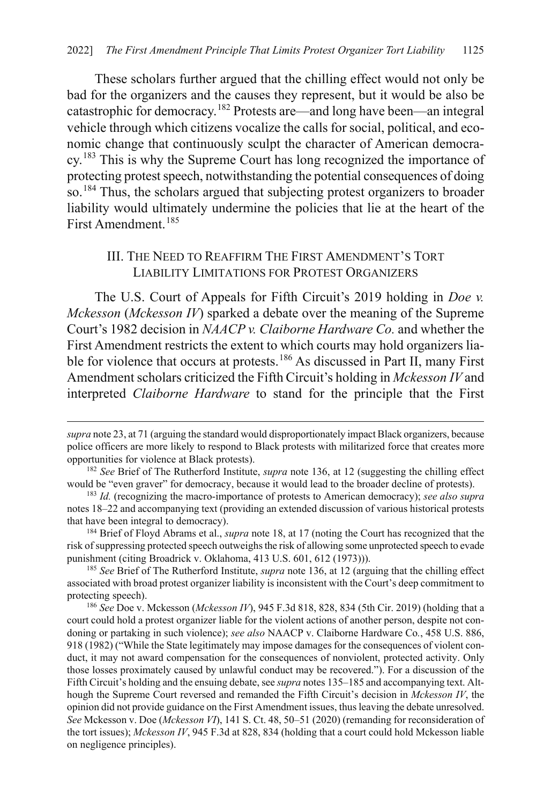<span id="page-33-7"></span>These scholars further argued that the chilling effect would not only be bad for the organizers and the causes they represent, but it would be also be catastrophic for democracy.[182](#page-33-2) Protests are—and long have been—an integral vehicle through which citizens vocalize the calls for social, political, and economic change that continuously sculpt the character of American democracy.[183](#page-33-3) This is why the Supreme Court has long recognized the importance of protecting protest speech, notwithstanding the potential consequences of doing so.<sup>[184](#page-33-4)</sup> Thus, the scholars argued that subjecting protest organizers to broader liability would ultimately undermine the policies that lie at the heart of the First Amendment.[185](#page-33-5)

#### <span id="page-33-1"></span><span id="page-33-0"></span>III. THE NEED TO REAFFIRM THE FIRST AMENDMENT'S TORT LIABILITY LIMITATIONS FOR PROTEST ORGANIZERS

The U.S. Court of Appeals for Fifth Circuit's 2019 holding in *Doe v. Mckesson* (*Mckesson IV*) sparked a debate over the meaning of the Supreme Court's 1982 decision in *NAACP v. Claiborne Hardware Co.* and whether the First Amendment restricts the extent to which courts may hold organizers lia-ble for violence that occurs at protests.<sup>[186](#page-33-6)</sup> As discussed in Part II, many First Amendment scholars criticized the Fifth Circuit's holding in *Mckesson IV* and interpreted *Claiborne Hardware* to stand for the principle that the First

 $\overline{a}$ 

<span id="page-33-4"></span><sup>184</sup> Brief of Floyd Abrams et al., *supra* not[e 18,](#page-4-4) at 17 (noting the Court has recognized that the risk of suppressing protected speech outweighs the risk of allowing some unprotected speech to evade punishment (citing Broadrick v. Oklahoma, 413 U.S. 601, 612 (1973))).

<span id="page-33-5"></span><sup>185</sup> *See* Brief of The Rutherford Institute, *supra* not[e 136,](#page-25-9) at 12 (arguing that the chilling effect associated with broad protest organizer liability is inconsistent with the Court's deep commitment to protecting speech).

<span id="page-33-6"></span><sup>186</sup> *See* Doe v. Mckesson (*Mckesson IV*), 945 F.3d 818, 828, 834 (5th Cir. 2019) (holding that a court could hold a protest organizer liable for the violent actions of another person, despite not condoning or partaking in such violence); *see also* NAACP v. Claiborne Hardware Co*.*, 458 U.S. 886, 918 (1982) ("While the State legitimately may impose damages for the consequences of violent conduct, it may not award compensation for the consequences of nonviolent, protected activity. Only those losses proximately caused by unlawful conduct may be recovered."). For a discussion of the Fifth Circuit's holding and the ensuing debate, see *supra* note[s 135](#page-25-0)[–185](#page-33-0) and accompanying text. Although the Supreme Court reversed and remanded the Fifth Circuit's decision in *Mckesson IV*, the opinion did not provide guidance on the First Amendment issues, thus leaving the debate unresolved. *See* Mckesson v. Doe (*Mckesson VI*), 141 S. Ct. 48, 50–51 (2020) (remanding for reconsideration of the tort issues); *Mckesson IV*, 945 F.3d at 828, 834 (holding that a court could hold Mckesson liable on negligence principles).

*supra* not[e 23,](#page-5-1) at 71 (arguing the standard would disproportionately impact Black organizers, because police officers are more likely to respond to Black protests with militarized force that creates more opportunities for violence at Black protests).

<span id="page-33-2"></span><sup>&</sup>lt;sup>182</sup> See Brief of The Rutherford Institute, *supra* note [136,](#page-25-9) at 12 (suggesting the chilling effect would be "even graver" for democracy, because it would lead to the broader decline of protests).

<span id="page-33-3"></span><sup>&</sup>lt;sup>183</sup> Id. (recognizing the macro-importance of protests to American democracy); *see also supra* notes [18–](#page-4-4)[22](#page-5-8) and accompanying text (providing an extended discussion of various historical protests that have been integral to democracy).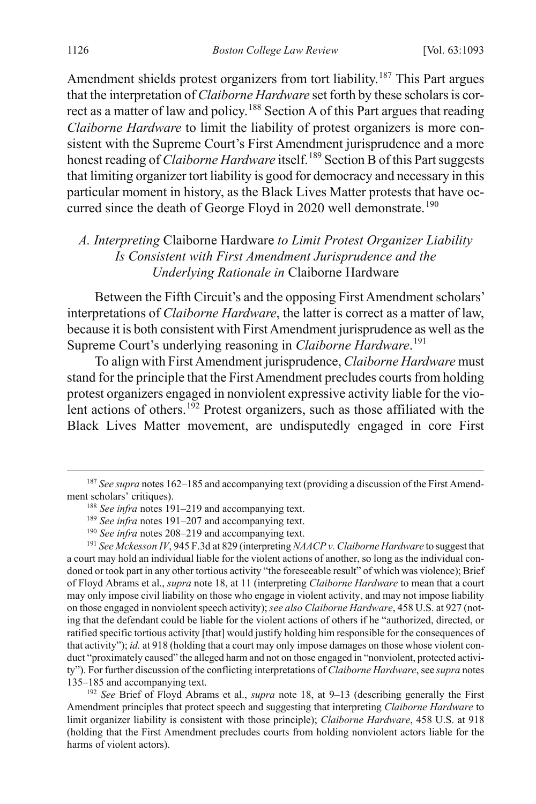Amendment shields protest organizers from tort liability.<sup>[187](#page-34-1)</sup> This Part argues that the interpretation of *Claiborne Hardware* set forth by these scholars is cor-rect as a matter of law and policy.<sup>[188](#page-34-2)</sup> Section A of this Part argues that reading *Claiborne Hardware* to limit the liability of protest organizers is more consistent with the Supreme Court's First Amendment jurisprudence and a more honest reading of *Claiborne Hardware* itself.<sup>[189](#page-34-3)</sup> Section B of this Part suggests that limiting organizer tort liability is good for democracy and necessary in this particular moment in history, as the Black Lives Matter protests that have oc-curred since the death of George Floyd in 2020 well demonstrate.<sup>[190](#page-34-4)</sup>

#### *A. Interpreting* Claiborne Hardware *to Limit Protest Organizer Liability Is Consistent with First Amendment Jurisprudence and the Underlying Rationale in* Claiborne Hardware

Between the Fifth Circuit's and the opposing First Amendment scholars' interpretations of *Claiborne Hardware*, the latter is correct as a matter of law, because it is both consistent with First Amendment jurisprudence as well as the Supreme Court's underlying reasoning in *Claiborne Hardware*. [191](#page-34-5)

<span id="page-34-0"></span>To align with First Amendment jurisprudence, *Claiborne Hardware* must stand for the principle that the First Amendment precludes courts from holding protest organizers engaged in nonviolent expressive activity liable for the vio-lent actions of others.<sup>[192](#page-34-6)</sup> Protest organizers, such as those affiliated with the Black Lives Matter movement, are undisputedly engaged in core First

<span id="page-34-6"></span><sup>192</sup> *See* Brief of Floyd Abrams et al., *supra* note [18,](#page-4-4) at 9–13 (describing generally the First Amendment principles that protect speech and suggesting that interpreting *Claiborne Hardware* to limit organizer liability is consistent with those principle); *Claiborne Hardware*, 458 U.S. at 918 (holding that the First Amendment precludes courts from holding nonviolent actors liable for the harms of violent actors).

<span id="page-34-2"></span><span id="page-34-1"></span> <sup>187</sup> *See supra* note[s 162](#page-29-1)[–185](#page-33-0) and accompanying text (providing a discussion of the First Amendment scholars' critiques).<br><sup>188</sup> *See infra* notes [191–](#page-34-0)[219](#page-39-0) and accompanying text.

<sup>&</sup>lt;sup>189</sup> *See infra* notes [191–](#page-34-0)[207](#page-37-0) and accompanying text.

<sup>&</sup>lt;sup>190</sup> See infra notes 208-[219](#page-39-0) and accompanying text.

<span id="page-34-5"></span><span id="page-34-4"></span><span id="page-34-3"></span><sup>191</sup> *See Mckesson IV*, 945 F.3d at 829 (interpreting *NAACP v. Claiborne Hardware* to suggest that a court may hold an individual liable for the violent actions of another, so long as the individual condoned or took part in any other tortious activity "the foreseeable result" of which was violence); Brief of Floyd Abrams et al., *supra* note [18,](#page-4-4) at 11 (interpreting *Claiborne Hardware* to mean that a court may only impose civil liability on those who engage in violent activity, and may not impose liability on those engaged in nonviolent speech activity); *see also Claiborne Hardware*, 458 U.S. at 927 (noting that the defendant could be liable for the violent actions of others if he "authorized, directed, or ratified specific tortious activity [that] would justify holding him responsible for the consequences of that activity"); *id.* at 918 (holding that a court may only impose damages on those whose violent conduct "proximately caused" the alleged harm and not on those engaged in "nonviolent, protected activity"). For further discussion of the conflicting interpretations of *Claiborne Hardware*, see *supra* notes [135–](#page-25-0)[185](#page-33-0) and accompanying text.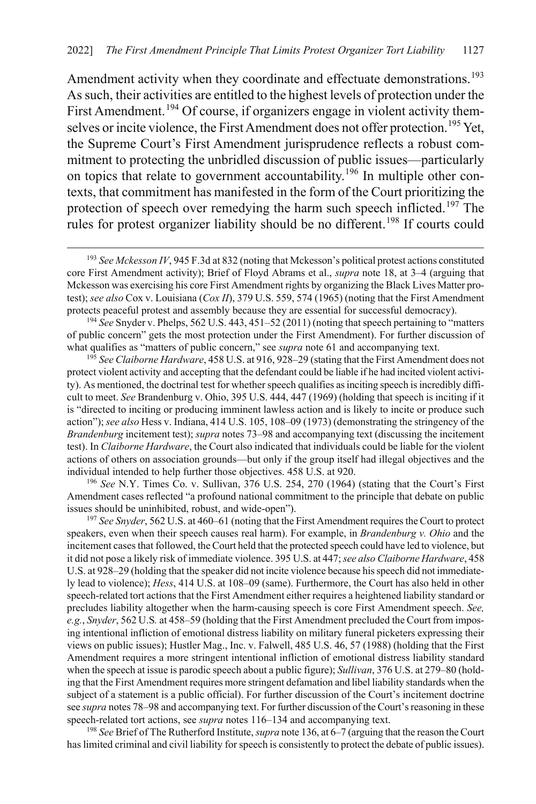Amendment activity when they coordinate and effectuate demonstrations.<sup>[193](#page-35-0)</sup> As such, their activities are entitled to the highest levels of protection under the First Amendment.<sup>[194](#page-35-1)</sup> Of course, if organizers engage in violent activity them-selves or incite violence, the First Amendment does not offer protection.<sup>[195](#page-35-2)</sup> Yet, the Supreme Court's First Amendment jurisprudence reflects a robust commitment to protecting the unbridled discussion of public issues—particularly on topics that relate to government accountability.[196](#page-35-3) In multiple other contexts, that commitment has manifested in the form of the Court prioritizing the protection of speech over remedying the harm such speech inflicted.<sup>[197](#page-35-4)</sup> The rules for protest organizer liability should be no different.<sup>[198](#page-35-5)</sup> If courts could

<span id="page-35-1"></span><sup>194</sup> *See* Snyder v. Phelps, 562 U.S. 443, 451–52 (2011) (noting that speech pertaining to "matters of public concern" gets the most protection under the First Amendment). For further discussion of what qualifies as "matters of public concern," see *supra* note [61](#page-12-0) and accompanying text.

<span id="page-35-2"></span><sup>195</sup> *See Claiborne Hardware*, 458 U.S. at 916, 928–29 (stating that the First Amendment does not protect violent activity and accepting that the defendant could be liable if he had incited violent activity). As mentioned, the doctrinal test for whether speech qualifies as inciting speech is incredibly difficult to meet. *See* Brandenburg v. Ohio, 395 U.S. 444, 447 (1969) (holding that speech is inciting if it is "directed to inciting or producing imminent lawless action and is likely to incite or produce such action"); *see also* Hess v. Indiana, 414 U.S. 105, 108–09 (1973) (demonstrating the stringency of the *Brandenburg* incitement test); *supra* notes [73–](#page-15-1)[98](#page-18-0) and accompanying text (discussing the incitement test). In *Claiborne Hardware*, the Court also indicated that individuals could be liable for the violent actions of others on association grounds—but only if the group itself had illegal objectives and the individual intended to help further those objectives. 458 U.S. at 920.

<span id="page-35-3"></span><sup>196</sup> *See* N.Y. Times Co. v. Sullivan, 376 U.S. 254, 270 (1964) (stating that the Court's First Amendment cases reflected "a profound national commitment to the principle that debate on public issues should be uninhibited, robust, and wide-open").

<span id="page-35-4"></span><sup>197</sup> *See Snyder*, 562 U.S. at 460–61 (noting that the First Amendment requires the Court to protect speakers, even when their speech causes real harm). For example, in *Brandenburg v. Ohio* and the incitement cases that followed, the Court held that the protected speech could have led to violence, but it did not pose a likely risk of immediate violence. 395 U.S. at 447; *see also Claiborne Hardware*, 458 U.S. at 928–29 (holding that the speaker did not incite violence because his speech did not immediately lead to violence); *Hess*, 414 U.S. at 108–09 (same). Furthermore, the Court has also held in other speech-related tort actions that the First Amendment either requires a heightened liability standard or precludes liability altogether when the harm-causing speech is core First Amendment speech. *See, e.g.*, *Snyder*, 562 U.S*.* at 458–59 (holding that the First Amendment precluded the Court from imposing intentional infliction of emotional distress liability on military funeral picketers expressing their views on public issues); Hustler Mag., Inc. v. Falwell, 485 U.S. 46, 57 (1988) (holding that the First Amendment requires a more stringent intentional infliction of emotional distress liability standard when the speech at issue is parodic speech about a public figure); *Sullivan*, 376 U.S. at 279–80 (holding that the First Amendment requires more stringent defamation and libel liability standards when the subject of a statement is a public official). For further discussion of the Court's incitement doctrine see *supra* note[s 78](#page-16-0)[–98](#page-18-0) and accompanying text. For further discussion of the Court's reasoning in these speech-related tort actions, see *supra* notes [116–](#page-21-2)[134](#page-24-0) and accompanying text.

<span id="page-35-5"></span><sup>198</sup> *See* Brief of The Rutherford Institute, *supra* not[e 136,](#page-25-9) at 6–7 (arguing that the reason the Court has limited criminal and civil liability for speech is consistently to protect the debate of public issues).

<span id="page-35-0"></span> <sup>193</sup> *See Mckesson IV*, 945 F.3d at 832 (noting that Mckesson's political protest actions constituted core First Amendment activity); Brief of Floyd Abrams et al., *supra* note [18,](#page-4-4) at 3–4 (arguing that Mckesson was exercising his core First Amendment rights by organizing the Black Lives Matter protest); *see also* Cox v. Louisiana (*Cox II*), 379 U.S. 559, 574 (1965) (noting that the First Amendment protects peaceful protest and assembly because they are essential for successful democracy).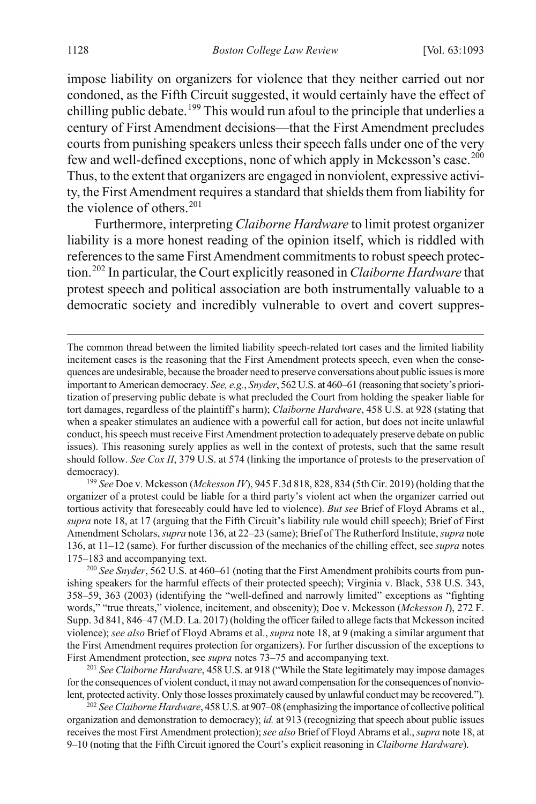impose liability on organizers for violence that they neither carried out nor condoned, as the Fifth Circuit suggested, it would certainly have the effect of chilling public debate.<sup>[199](#page-36-0)</sup> This would run afoul to the principle that underlies a century of First Amendment decisions—that the First Amendment precludes courts from punishing speakers unless their speech falls under one of the very few and well-defined exceptions, none of which apply in Mckesson's case.<sup>[200](#page-36-1)</sup> Thus, to the extent that organizers are engaged in nonviolent, expressive activity, the First Amendment requires a standard that shields them from liability for the violence of others. $201$ 

Furthermore, interpreting *Claiborne Hardware* to limit protest organizer liability is a more honest reading of the opinion itself, which is riddled with references to the same First Amendment commitments to robust speech protection.[202](#page-36-3) In particular, the Court explicitly reasoned in *Claiborne Hardware* that protest speech and political association are both instrumentally valuable to a democratic society and incredibly vulnerable to overt and covert suppres-

The common thread between the limited liability speech-related tort cases and the limited liability incitement cases is the reasoning that the First Amendment protects speech, even when the consequences are undesirable, because the broader need to preserve conversations about public issues is more important to American democracy. *See, e.g.*, *Snyder*, 562 U.S. at 460–61 (reasoning that society's prioritization of preserving public debate is what precluded the Court from holding the speaker liable for tort damages, regardless of the plaintiff's harm); *Claiborne Hardware*, 458 U.S. at 928 (stating that when a speaker stimulates an audience with a powerful call for action, but does not incite unlawful conduct, hisspeech must receive First Amendment protection to adequately preserve debate on public issues). This reasoning surely applies as well in the context of protests, such that the same result should follow. *See Cox II*, 379 U.S. at 574 (linking the importance of protests to the preservation of democracy). 199 *See* Doe v. Mckesson (*Mckesson IV*), 945 F.3d 818, 828, 834 (5th Cir. 2019) (holding that the

<span id="page-36-0"></span>organizer of a protest could be liable for a third party's violent act when the organizer carried out tortious activity that foreseeably could have led to violence). *But see* Brief of Floyd Abrams et al., *supra* not[e 18,](#page-4-4) at 17 (arguing that the Fifth Circuit's liability rule would chill speech); Brief of First Amendment Scholars, *supra* not[e 136,](#page-25-9) at 22–23 (same); Brief of The Rutherford Institute, *supra* note [136,](#page-25-9) at 11–12 (same). For further discussion of the mechanics of the chilling effect, see *supra* notes [175–](#page-32-0)[183](#page-33-7) and accompanying text.

<span id="page-36-1"></span><sup>200</sup> See Snyder, 562 U.S. at 460–61 (noting that the First Amendment prohibits courts from punishing speakers for the harmful effects of their protected speech); Virginia v. Black, 538 U.S. 343, 358–59, 363 (2003) (identifying the "well-defined and narrowly limited" exceptions as "fighting words," "true threats," violence, incitement, and obscenity); Doe v. Mckesson (*Mckesson I*), 272 F. Supp. 3d 841, 846–47 (M.D. La. 2017) (holding the officer failed to allege facts that Mckesson incited violence); *see also* Brief of Floyd Abrams et al., *supra* not[e 18,](#page-4-4) at 9 (making a similar argument that the First Amendment requires protection for organizers). For further discussion of the exceptions to First Amendment protection, see *supra* note[s 73–](#page-15-1)[75](#page-16-7) and accompanying text.

<span id="page-36-2"></span><sup>201</sup> *See Claiborne Hardware*, 458 U.S. at 918 ("While the State legitimately may impose damages for the consequences of violent conduct, it may not award compensation for the consequences of nonviolent, protected activity. Only those losses proximately caused by unlawful conduct may be recovered.").

<span id="page-36-3"></span><sup>202</sup> *See Claiborne Hardware*, 458 U.S. at 907–08 (emphasizing the importance of collective political organization and demonstration to democracy); *id.* at 913 (recognizing that speech about public issues receives the most First Amendment protection); *see also* Brief of Floyd Abrams et al., *supra* not[e 18,](#page-4-4) at 9–10 (noting that the Fifth Circuit ignored the Court's explicit reasoning in *Claiborne Hardware*).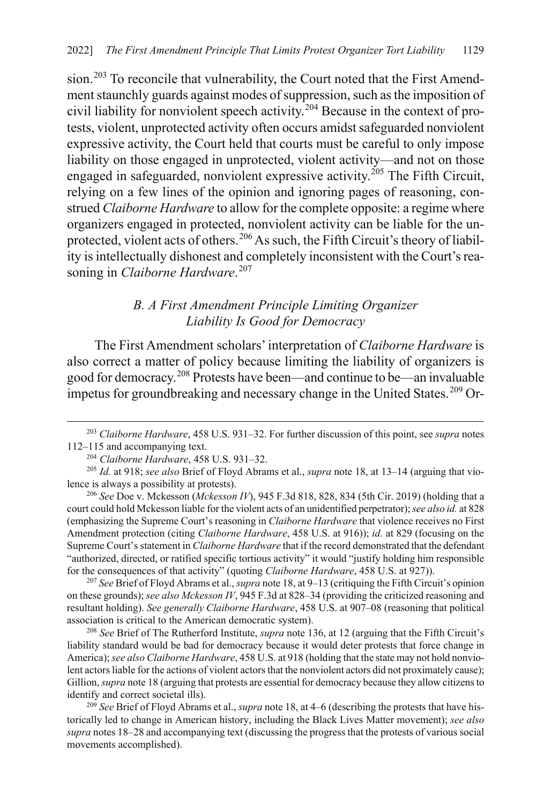sion.<sup>[203](#page-37-2)</sup> To reconcile that vulnerability, the Court noted that the First Amendment staunchly guards against modes of suppression, such as the imposition of civil liability for nonviolent speech activity.[204](#page-37-3) Because in the context of protests, violent, unprotected activity often occurs amidst safeguarded nonviolent expressive activity, the Court held that courts must be careful to only impose liability on those engaged in unprotected, violent activity—and not on those engaged in safeguarded, nonviolent expressive activity.<sup>[205](#page-37-4)</sup> The Fifth Circuit, relying on a few lines of the opinion and ignoring pages of reasoning, construed *Claiborne Hardware* to allow for the complete opposite: a regime where organizers engaged in protected, nonviolent activity can be liable for the un-protected, violent acts of others.<sup>[206](#page-37-5)</sup> As such, the Fifth Circuit's theory of liability is intellectually dishonest and completely inconsistent with the Court's reasoning in *Claiborne Hardware*. [207](#page-37-6)

### <span id="page-37-1"></span><span id="page-37-0"></span>*B. A First Amendment Principle Limiting Organizer Liability Is Good for Democracy*

The First Amendment scholars' interpretation of *Claiborne Hardware* is also correct a matter of policy because limiting the liability of organizers is good for democracy.[208](#page-37-7) Protests have been—and continue to be—an invaluable impetus for groundbreaking and necessary change in the United States.<sup>[209](#page-37-8)</sup> Or-

<span id="page-37-5"></span><sup>206</sup> *See* Doe v. Mckesson (*Mckesson IV*), 945 F.3d 818, 828, 834 (5th Cir. 2019) (holding that a court could hold Mckesson liable for the violent acts of an unidentified perpetrator); *see also id.* at 828 (emphasizing the Supreme Court's reasoning in *Claiborne Hardware* that violence receives no First Amendment protection (citing *Claiborne Hardware*, 458 U.S. at 916)); *id.* at 829 (focusing on the Supreme Court's statement in *Claiborne Hardware* that if the record demonstrated that the defendant "authorized, directed, or ratified specific tortious activity" it would "justify holding him responsible for the consequences of that activity" (quoting *Claiborne Hardware*, 458 U.S. at 927)).

<span id="page-37-6"></span><sup>207</sup> *See* Brief of Floyd Abrams et al., *supra* not[e 18,](#page-4-4) at 9–13 (critiquing the Fifth Circuit's opinion on these grounds); *see also Mckesson IV*, 945 F.3d at 828–34 (providing the criticized reasoning and resultant holding). *See generally Claiborne Hardware*, 458 U.S. at 907–08 (reasoning that political association is critical to the American democratic system).

<span id="page-37-7"></span><sup>208</sup> *See* Brief of The Rutherford Institute, *supra* note [136,](#page-25-9) at 12 (arguing that the Fifth Circuit's liability standard would be bad for democracy because it would deter protests that force change in America); *see also Claiborne Hardware*, 458 U.S. at 918 (holding that the state may not hold nonviolent actors liable for the actions of violent actors that the nonviolent actors did not proximately cause); Gillion, *supra* not[e 18](#page-4-4) (arguing that protests are essential for democracy because they allow citizens to identify and correct societal ills).

<span id="page-37-8"></span>209 *See* Brief of Floyd Abrams et al., *supra* not[e 18,](#page-4-4) at 4–6 (describing the protests that have historically led to change in American history, including the Black Lives Matter movement); *see also supra* note[s 18–](#page-4-4)[28](#page-6-9) and accompanying text (discussing the progress that the protests of various social movements accomplished).

<span id="page-37-2"></span> <sup>203</sup> *Claiborne Hardware*, 458 U.S. 931–32. For further discussion of this point, see *supra* notes [112–](#page-21-1)[115](#page-21-0) and accompanying text.

<span id="page-37-4"></span><span id="page-37-3"></span><sup>&</sup>lt;sup>204</sup> Claiborne Hardware, 458 U.S. 931–32.<br><sup>205</sup> *Id.* at 918; *see also* Brief of Floyd Abrams et al., *supra* note [18,](#page-4-4) at 13–14 (arguing that violence is always a possibility at protests).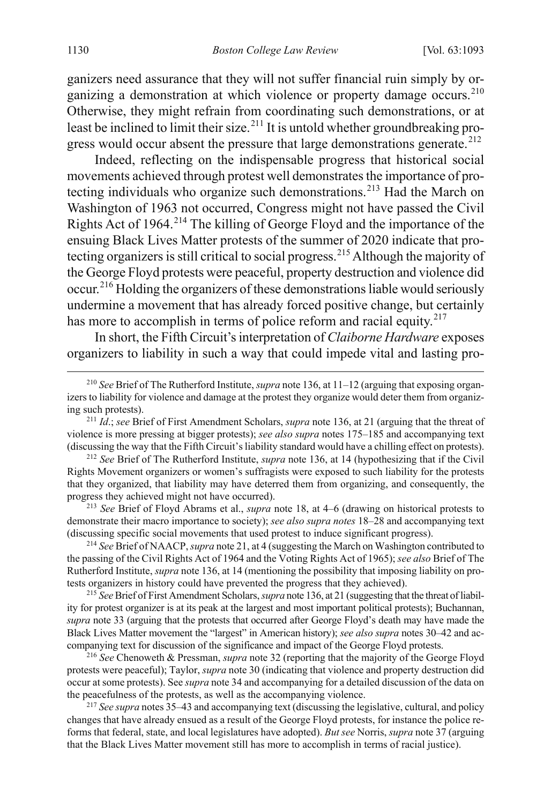ganizers need assurance that they will not suffer financial ruin simply by or-ganizing a demonstration at which violence or property damage occurs.<sup>[210](#page-38-0)</sup> Otherwise, they might refrain from coordinating such demonstrations, or at least be inclined to limit their size.<sup>[211](#page-38-1)</sup> It is untold whether groundbreaking pro-gress would occur absent the pressure that large demonstrations generate.<sup>[212](#page-38-2)</sup>

Indeed, reflecting on the indispensable progress that historical social movements achieved through protest well demonstrates the importance of pro-tecting individuals who organize such demonstrations.<sup>[213](#page-38-3)</sup> Had the March on Washington of 1963 not occurred, Congress might not have passed the Civil Rights Act of 1964.[214](#page-38-4) The killing of George Floyd and the importance of the ensuing Black Lives Matter protests of the summer of 2020 indicate that protecting organizers is still critical to social progress.[215](#page-38-5) Although the majority of the George Floyd protests were peaceful, property destruction and violence did occur.[216](#page-38-6) Holding the organizers of these demonstrations liable would seriously undermine a movement that has already forced positive change, but certainly has more to accomplish in terms of police reform and racial equity.<sup>[217](#page-38-7)</sup>

In short, the Fifth Circuit's interpretation of *Claiborne Hardware* exposes organizers to liability in such a way that could impede vital and lasting pro-

<span id="page-38-2"></span><sup>212</sup> *See* Brief of The Rutherford Institute, *supra* note [136,](#page-25-9) at 14 (hypothesizing that if the Civil Rights Movement organizers or women's suffragists were exposed to such liability for the protests that they organized, that liability may have deterred them from organizing, and consequently, the progress they achieved might not have occurred).

<span id="page-38-3"></span><sup>213</sup> *See* Brief of Floyd Abrams et al., *supra* note [18,](#page-4-4) at 4–6 (drawing on historical protests to demonstrate their macro importance to society); *see also supra notes* [18](#page-4-4)[–28](#page-6-9) and accompanying text (discussing specific social movements that used protest to induce significant progress).

<span id="page-38-4"></span><sup>214</sup> *See* Brief of NAACP, *supra* not[e 21,](#page-5-2) at 4 (suggesting the March on Washington contributed to the passing of the Civil Rights Act of 1964 and the Voting Rights Act of 1965); *see also* Brief of The Rutherford Institute, *supra* not[e 136,](#page-25-9) at 14 (mentioning the possibility that imposing liability on protests organizers in history could have prevented the progress that they achieved).

<span id="page-38-5"></span><sup>215</sup> *See* Brief of First Amendment Scholars, *supra* not[e 136,](#page-25-9) at 21 (suggesting that the threat of liability for protest organizer is at its peak at the largest and most important political protests); Buchannan, *supra* not[e 33](#page-7-5) (arguing that the protests that occurred after George Floyd's death may have made the Black Lives Matter movement the "largest" in American history); *see also supra* note[s 30](#page-6-8)[–42](#page-10-6) and accompanying text for discussion of the significance and impact of the George Floyd protests.

<span id="page-38-6"></span><sup>216</sup> *See* Chenoweth & Pressman, *supra* not[e 32](#page-6-7) (reporting that the majority of the George Floyd protests were peaceful); Taylor, *supra* note [30](#page-6-8) (indicating that violence and property destruction did occur at some protests). See *supra* not[e 34](#page-7-0) and accompanying for a detailed discussion of the data on the peacefulness of the protests, as well as the accompanying violence.

<span id="page-38-7"></span><sup>217</sup> *See supra* notes [35](#page-7-6)[–43](#page-10-7) and accompanying text (discussing the legislative, cultural, and policy changes that have already ensued as a result of the George Floyd protests, for instance the police reforms that federal, state, and local legislatures have adopted). *But see* Norris, *supra* not[e 37 \(](#page-8-3)arguing that the Black Lives Matter movement still has more to accomplish in terms of racial justice).

<span id="page-38-0"></span> <sup>210</sup> *See* Brief of The Rutherford Institute, *supra* not[e 136,](#page-25-9) at 11–12 (arguing that exposing organizers to liability for violence and damage at the protest they organize would deter them from organizing such protests).

<span id="page-38-1"></span><sup>211</sup> *Id*.; *see* Brief of First Amendment Scholars, *supra* not[e 136,](#page-25-9) at 21 (arguing that the threat of violence is more pressing at bigger protests); *see also supra* note[s 175–](#page-32-0)[185](#page-33-0) and accompanying text (discussing the way that the Fifth Circuit's liability standard would have a chilling effect on protests).